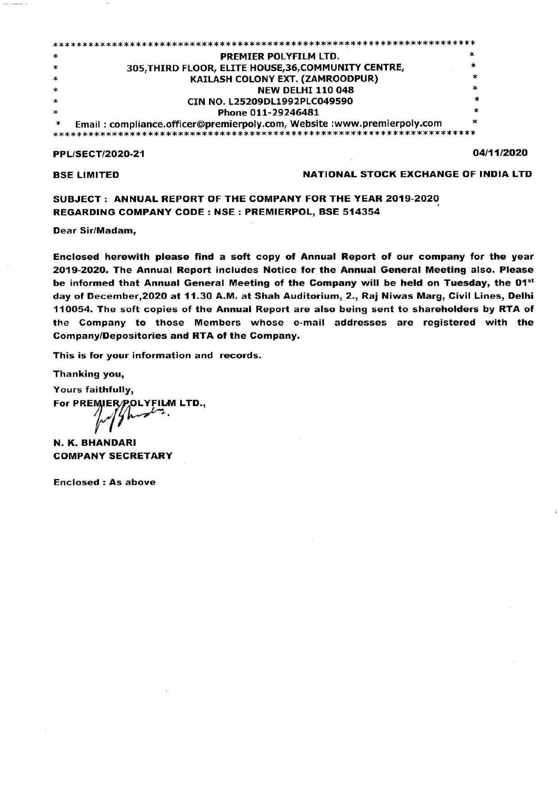| ж      | PREMIER POLYFILM LTD.                                                   |  |
|--------|-------------------------------------------------------------------------|--|
|        | 305, THIRD FLOOR, ELITE HOUSE, 36, COMMUNITY CENTRE,                    |  |
| $\ast$ | KAILASH COLONY EXT. (ZAMROODPUR)                                        |  |
| $*$    | <b>NEW DELHI 110 048</b>                                                |  |
| $\ast$ | CIN NO. L25209DL1992PLC049590                                           |  |
| $\ast$ | Phone 011-29246481                                                      |  |
|        | Email: compliance.officer@premierpoly.com, Website :www.premierpoly.com |  |
|        |                                                                         |  |

PPUSECT/2020·21 04/11/2020

# BSE LIMITED NATIONAL STOCK EXCHANGE OF INDIA LTD

SUBJECT: ANNUAL REPORT OF THE COMPANY FOR THE YEAR 2019-2020 REGARDING COMPANY CODE: NSE: PREMIERPOL, BSE 514354

Dear Sir/Madam,

Enclosed herewith please find a soft copy of Annual Report of our company for the year 2019-2020. The Annual Report includes Notice for the Annual General Meeting also. Please be informed that Annual General Meeting of the Company will be held on Tuesday, the 01st day of December,2020 at 11.30 A.M. at Shah Auditorium, 2., Raj Niwas Marg, Civil Lines, Delhi 110054. The soft copies of the Annual Report are also being sent to shareholders by RTA of the Company to those Members whose e-mail addresses are registered with the Company/Depositories and RTA of the Company.

This is for your information and records.

Thanking you,

Yours faithfully, For PREMIER/POLYFILM LTD.,

N. K. BHANDARI COMPANY SECRETARY

Enclosed : As above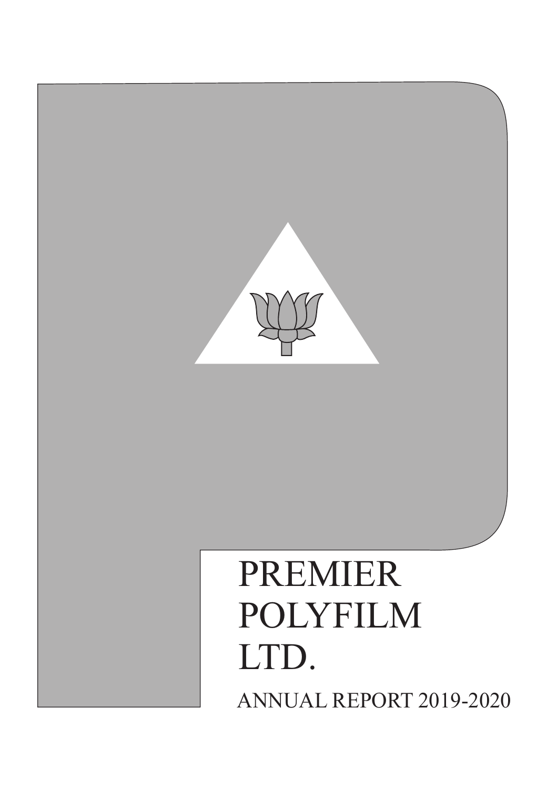

# PREMIER POLYFILM LTD. ANNUAL REPORT 2019-2020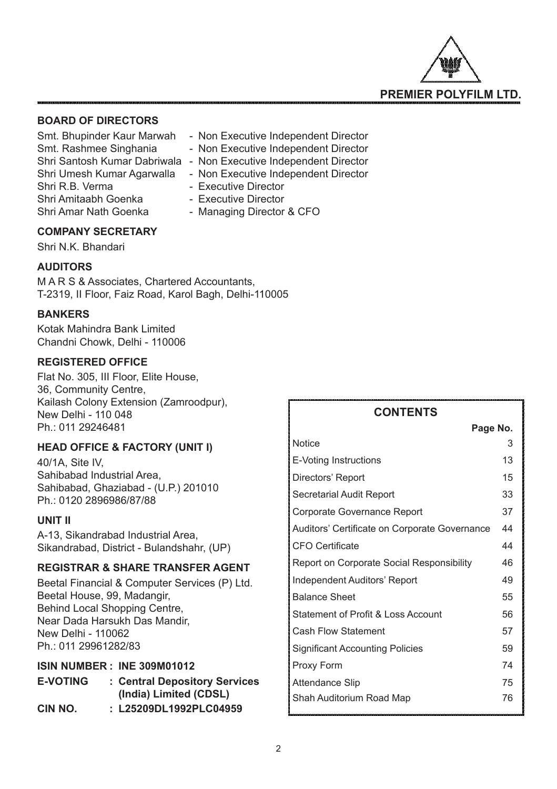

# **BOARD OF DIRECTORS**

Shri R.B. Verma - Cxecutive Director Shri Amitaabh Goenka - Executive Director Shri Amar Nath Goenka - Managing Director & CFO

# **COMPANY SECRETARY**

Shri N.K. Bhandari

# **AUDITORS**

M A R S & Associates, Chartered Accountants, T-2319, II Floor, Faiz Road, Karol Bagh, Delhi-110005

# **BANKERS**

Kotak Mahindra Bank Limited Chandni Chowk, Delhi - 110006

# **REGISTERED OFFICE**

Flat No. 305, III Floor, Elite House, 36, Community Centre, Kailash Colony Extension (Zamroodpur), New Delhi - 110 048 Ph.: 011 29246481

# **HEAD OFFICE & FACTORY (UNIT I)**

40/1A, Site IV, Sahibabad Industrial Area, Sahibabad, Ghaziabad - (U.P.) 201010 Ph.: 0120 2896986/87/88

# **UNIT II**

A-13, Sikandrabad Industrial Area, Sikandrabad, District - Bulandshahr, (UP)

# **REGISTRAR & SHARE TRANSFER AGENT**

Beetal Financial & Computer Services (P) Ltd. Beetal House, 99, Madangir, Behind Local Shopping Centre, Near Dada Harsukh Das Mandir, New Delhi - 110062 Ph.: 011 29961282/83

|                 | <b>ISIN NUMBER: INE 309M01012</b>                       |
|-----------------|---------------------------------------------------------|
| <b>E-VOTING</b> | : Central Depository Services<br>(India) Limited (CDSL) |
| CIN NO.         | : L25209DL1992PLC04959                                  |

- Smt. Bhupinder Kaur Marwah Non Executive Independent Director
- Smt. Rashmee Singhania Non Executive Independent Director
- Shri Santosh Kumar Dabriwala Non Executive Independent Director
- Shri Umesh Kumar Agarwalla Non Executive Independent Director
	-
	-
	-

# **CONTENTS**

| Page No. |
|----------|
| З        |
| 13       |
| 15       |
| 33       |
| 37       |
| 44       |
| 44       |
| 46       |
| 49       |
| 55       |
| 56       |
| 57       |
| 59       |
| 74       |
| 75       |
| 76       |
|          |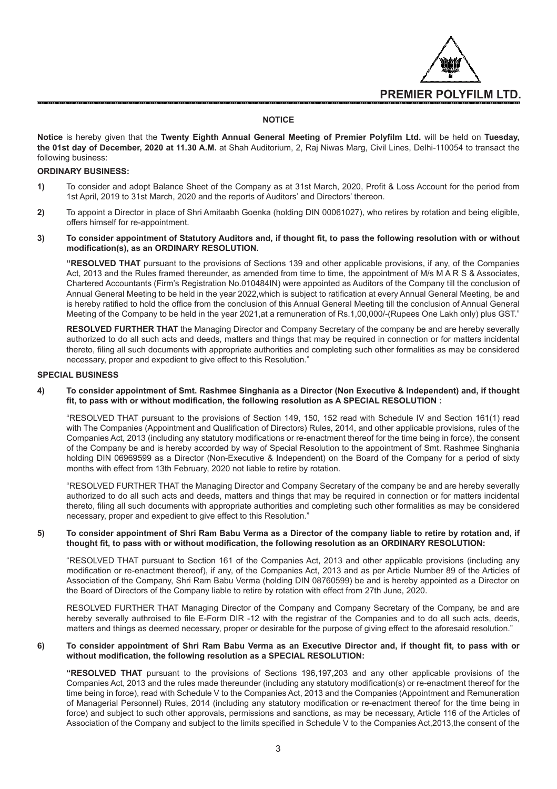

#### **NOTICE**

**Notice** is hereby given that the **Twenty Eighth Annual General Meeting of Premier Polyfilm Ltd.** will be held on **Tuesday, the 01st day of December, 2020 at 11.30 A.M.** at Shah Auditorium, 2, Raj Niwas Marg, Civil Lines, Delhi-110054 to transact the following business:

#### **ORDINARY BUSINESS:**

- **1)** To consider and adopt Balance Sheet of the Company as at 31st March, 2020, Profit & Loss Account for the period from 1st April, 2019 to 31st March, 2020 and the reports of Auditors' and Directors' thereon.
- **2)** To appoint a Director in place of Shri Amitaabh Goenka (holding DIN 00061027), who retires by rotation and being eligible, offers himself for re-appointment.
- **3) To consider appointment of Statutory Auditors and, if thought fit, to pass the following resolution with or without modification(s), as an ORDINARY RESOLUTION.**

**"RESOLVED THAT** pursuant to the provisions of Sections 139 and other applicable provisions, if any, of the Companies Act, 2013 and the Rules framed thereunder, as amended from time to time, the appointment of M/s M A R S & Associates, Chartered Accountants (Firm's Registration No.010484IN) were appointed as Auditors of the Company till the conclusion of Annual General Meeting to be held in the year 2022,which is subject to ratification at every Annual General Meeting, be and is hereby ratified to hold the office from the conclusion of this Annual General Meeting till the conclusion of Annual General Meeting of the Company to be held in the year 2021,at a remuneration of Rs.1,00,000/-(Rupees One Lakh only) plus GST."

**RESOLVED FURTHER THAT** the Managing Director and Company Secretary of the company be and are hereby severally authorized to do all such acts and deeds, matters and things that may be required in connection or for matters incidental thereto, filing all such documents with appropriate authorities and completing such other formalities as may be considered necessary, proper and expedient to give effect to this Resolution."

#### **SPECIAL BUSINESS**

**4) To consider appointment of Smt. Rashmee Singhania as a Director (Non Executive & Independent) and, if thought fit, to pass with or without modification, the following resolution as A SPECIAL RESOLUTION :**

"RESOLVED THAT pursuant to the provisions of Section 149, 150, 152 read with Schedule IV and Section 161(1) read with The Companies (Appointment and Qualification of Directors) Rules, 2014, and other applicable provisions, rules of the Companies Act, 2013 (including any statutory modifications or re-enactment thereof for the time being in force), the consent of the Company be and is hereby accorded by way of Special Resolution to the appointment of Smt. Rashmee Singhania holding DIN 06969599 as a Director (Non-Executive & Independent) on the Board of the Company for a period of sixty months with effect from 13th February, 2020 not liable to retire by rotation.

"RESOLVED FURTHER THAT the Managing Director and Company Secretary of the company be and are hereby severally authorized to do all such acts and deeds, matters and things that may be required in connection or for matters incidental thereto, filing all such documents with appropriate authorities and completing such other formalities as may be considered necessary, proper and expedient to give effect to this Resolution."

#### **5) To consider appointment of Shri Ram Babu Verma as a Director of the company liable to retire by rotation and, if thought fit, to pass with or without modification, the following resolution as an ORDINARY RESOLUTION:**

"RESOLVED THAT pursuant to Section 161 of the Companies Act, 2013 and other applicable provisions (including any modification or re-enactment thereof), if any, of the Companies Act, 2013 and as per Article Number 89 of the Articles of Association of the Company, Shri Ram Babu Verma (holding DIN 08760599) be and is hereby appointed as a Director on the Board of Directors of the Company liable to retire by rotation with effect from 27th June, 2020.

RESOLVED FURTHER THAT Managing Director of the Company and Company Secretary of the Company, be and are hereby severally authroised to file E-Form DIR -12 with the registrar of the Companies and to do all such acts, deeds, matters and things as deemed necessary, proper or desirable for the purpose of giving effect to the aforesaid resolution."

#### **6) To consider appointment of Shri Ram Babu Verma as an Executive Director and, if thought fit, to pass with or without modification, the following resolution as a SPECIAL RESOLUTION:**

**"RESOLVED THAT** pursuant to the provisions of Sections 196,197,203 and any other applicable provisions of the Companies Act, 2013 and the rules made thereunder (including any statutory modification(s) or re-enactment thereof for the time being in force), read with Schedule V to the Companies Act, 2013 and the Companies (Appointment and Remuneration of Managerial Personnel) Rules, 2014 (including any statutory modification or re-enactment thereof for the time being in force) and subject to such other approvals, permissions and sanctions, as may be necessary, Article 116 of the Articles of Association of the Company and subject to the limits specified in Schedule V to the Companies Act,2013,the consent of the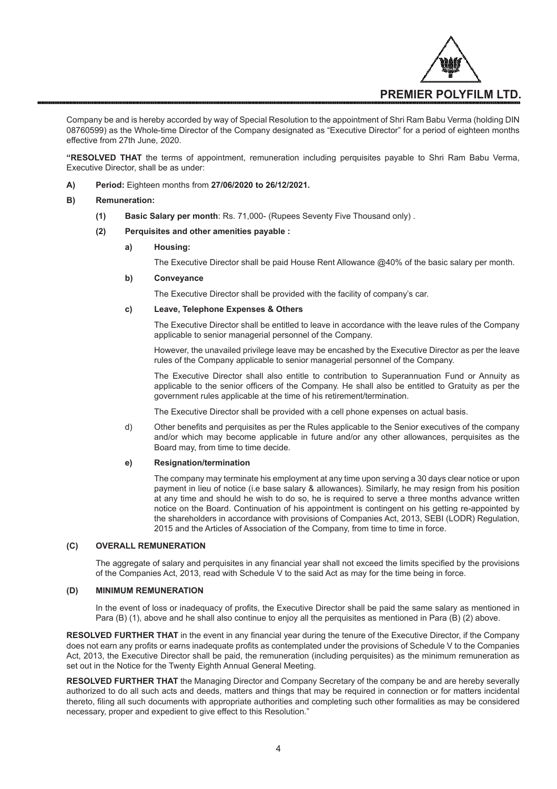

Company be and is hereby accorded by way of Special Resolution to the appointment of Shri Ram Babu Verma (holding DIN 08760599) as the Whole-time Director of the Company designated as "Executive Director" for a period of eighteen months effective from 27th June, 2020.

**"RESOLVED THAT** the terms of appointment, remuneration including perquisites payable to Shri Ram Babu Verma, Executive Director, shall be as under:

- **A) Period:** Eighteen months from **27/06/2020 to 26/12/2021.**
- **B) Remuneration:**
	- **(1) Basic Salary per month**: Rs. 71,000- (Rupees Seventy Five Thousand only) .
	- **(2) Perquisites and other amenities payable :**
		- **a) Housing:**

The Executive Director shall be paid House Rent Allowance @40% of the basic salary per month.

- **b) Conveyance**
	- The Executive Director shall be provided with the facility of company's car.
- **c) Leave, Telephone Expenses & Others**

 The Executive Director shall be entitled to leave in accordance with the leave rules of the Company applicable to senior managerial personnel of the Company.

 However, the unavailed privilege leave may be encashed by the Executive Director as per the leave rules of the Company applicable to senior managerial personnel of the Company.

 The Executive Director shall also entitle to contribution to Superannuation Fund or Annuity as applicable to the senior officers of the Company. He shall also be entitled to Gratuity as per the government rules applicable at the time of his retirement/termination.

The Executive Director shall be provided with a cell phone expenses on actual basis.

d) Other benefits and perquisites as per the Rules applicable to the Senior executives of the company and/or which may become applicable in future and/or any other allowances, perquisites as the Board may, from time to time decide.

#### **e) Resignation/termination**

 The company may terminate his employment at any time upon serving a 30 days clear notice or upon payment in lieu of notice (i.e base salary & allowances). Similarly, he may resign from his position at any time and should he wish to do so, he is required to serve a three months advance written notice on the Board. Continuation of his appointment is contingent on his getting re-appointed by the shareholders in accordance with provisions of Companies Act, 2013, SEBI (LODR) Regulation, 2015 and the Articles of Association of the Company, from time to time in force.

# **(C) OVERALL REMUNERATION**

The aggregate of salary and perquisites in any financial year shall not exceed the limits specified by the provisions of the Companies Act, 2013, read with Schedule V to the said Act as may for the time being in force.

#### **(D) MINIMUM REMUNERATION**

In the event of loss or inadequacy of profits, the Executive Director shall be paid the same salary as mentioned in Para (B) (1), above and he shall also continue to enjoy all the perquisites as mentioned in Para (B) (2) above.

**RESOLVED FURTHER THAT** in the event in any financial year during the tenure of the Executive Director, if the Company does not earn any profits or earns inadequate profits as contemplated under the provisions of Schedule V to the Companies Act, 2013, the Executive Director shall be paid, the remuneration (including perquisites) as the minimum remuneration as set out in the Notice for the Twenty Eighth Annual General Meeting.

**RESOLVED FURTHER THAT** the Managing Director and Company Secretary of the company be and are hereby severally authorized to do all such acts and deeds, matters and things that may be required in connection or for matters incidental thereto, filing all such documents with appropriate authorities and completing such other formalities as may be considered necessary, proper and expedient to give effect to this Resolution."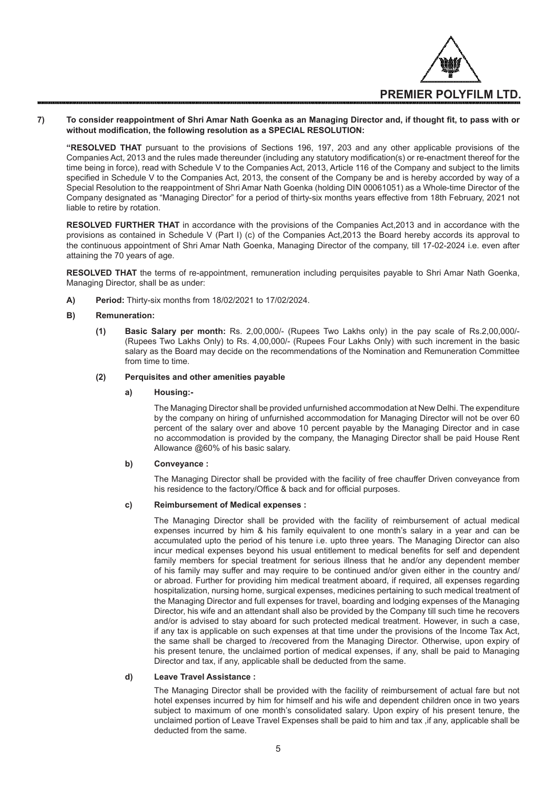

#### **7) To consider reappointment of Shri Amar Nath Goenka as an Managing Director and, if thought fit, to pass with or without modification, the following resolution as a SPECIAL RESOLUTION:**

**"RESOLVED THAT** pursuant to the provisions of Sections 196, 197, 203 and any other applicable provisions of the Companies Act, 2013 and the rules made thereunder (including any statutory modification(s) or re-enactment thereof for the time being in force), read with Schedule V to the Companies Act, 2013, Article 116 of the Company and subject to the limits specified in Schedule V to the Companies Act, 2013, the consent of the Company be and is hereby accorded by way of a Special Resolution to the reappointment of Shri Amar Nath Goenka (holding DIN 00061051) as a Whole-time Director of the Company designated as "Managing Director" for a period of thirty-six months years effective from 18th February, 2021 not liable to retire by rotation.

**RESOLVED FURTHER THAT** in accordance with the provisions of the Companies Act,2013 and in accordance with the provisions as contained in Schedule V (Part I) (c) of the Companies Act,2013 the Board hereby accords its approval to the continuous appointment of Shri Amar Nath Goenka, Managing Director of the company, till 17-02-2024 i.e. even after attaining the 70 years of age.

**RESOLVED THAT** the terms of re-appointment, remuneration including perquisites payable to Shri Amar Nath Goenka, Managing Director, shall be as under:

**A) Period:** Thirty-six months from 18/02/2021 to 17/02/2024.

#### **B) Remuneration:**

 **(1) Basic Salary per month:** Rs. 2,00,000/- (Rupees Two Lakhs only) in the pay scale of Rs.2,00,000/- (Rupees Two Lakhs Only) to Rs. 4,00,000/- (Rupees Four Lakhs Only) with such increment in the basic salary as the Board may decide on the recommendations of the Nomination and Remuneration Committee from time to time.

#### **(2) Perquisites and other amenities payable**

#### **a) Housing:-**

 The Managing Director shall be provided unfurnished accommodation at New Delhi. The expenditure by the company on hiring of unfurnished accommodation for Managing Director will not be over 60 percent of the salary over and above 10 percent payable by the Managing Director and in case no accommodation is provided by the company, the Managing Director shall be paid House Rent Allowance @60% of his basic salary.

#### **b) Conveyance :**

 The Managing Director shall be provided with the facility of free chauffer Driven conveyance from his residence to the factory/Office & back and for official purposes.

#### **c) Reimbursement of Medical expenses :**

 The Managing Director shall be provided with the facility of reimbursement of actual medical expenses incurred by him & his family equivalent to one month's salary in a year and can be accumulated upto the period of his tenure i.e. upto three years. The Managing Director can also incur medical expenses beyond his usual entitlement to medical benefits for self and dependent family members for special treatment for serious illness that he and/or any dependent member of his family may suffer and may require to be continued and/or given either in the country and/ or abroad. Further for providing him medical treatment aboard, if required, all expenses regarding hospitalization, nursing home, surgical expenses, medicines pertaining to such medical treatment of the Managing Director and full expenses for travel, boarding and lodging expenses of the Managing Director, his wife and an attendant shall also be provided by the Company till such time he recovers and/or is advised to stay aboard for such protected medical treatment. However, in such a case, if any tax is applicable on such expenses at that time under the provisions of the Income Tax Act, the same shall be charged to /recovered from the Managing Director. Otherwise, upon expiry of his present tenure, the unclaimed portion of medical expenses, if any, shall be paid to Managing Director and tax, if any, applicable shall be deducted from the same.

#### **d) Leave Travel Assistance :**

 The Managing Director shall be provided with the facility of reimbursement of actual fare but not hotel expenses incurred by him for himself and his wife and dependent children once in two years subject to maximum of one month's consolidated salary. Upon expiry of his present tenure, the unclaimed portion of Leave Travel Expenses shall be paid to him and tax ,if any, applicable shall be deducted from the same.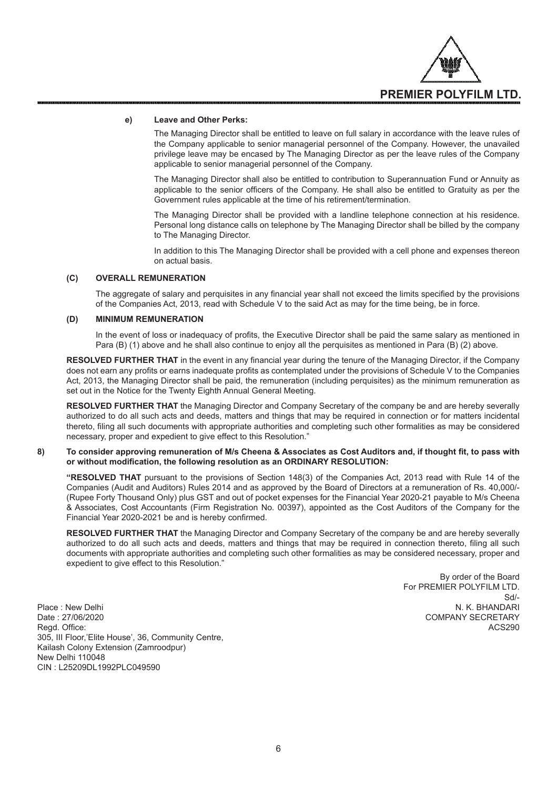

#### **e) Leave and Other Perks:**

 The Managing Director shall be entitled to leave on full salary in accordance with the leave rules of the Company applicable to senior managerial personnel of the Company. However, the unavailed privilege leave may be encased by The Managing Director as per the leave rules of the Company applicable to senior managerial personnel of the Company.

 The Managing Director shall also be entitled to contribution to Superannuation Fund or Annuity as applicable to the senior officers of the Company. He shall also be entitled to Gratuity as per the Government rules applicable at the time of his retirement/termination.

 The Managing Director shall be provided with a landline telephone connection at his residence. Personal long distance calls on telephone by The Managing Director shall be billed by the company to The Managing Director.

 In addition to this The Managing Director shall be provided with a cell phone and expenses thereon on actual basis.

#### **(C) OVERALL REMUNERATION**

The aggregate of salary and perquisites in any financial year shall not exceed the limits specified by the provisions of the Companies Act, 2013, read with Schedule V to the said Act as may for the time being, be in force.

#### **(D) MINIMUM REMUNERATION**

In the event of loss or inadequacy of profits, the Executive Director shall be paid the same salary as mentioned in Para (B) (1) above and he shall also continue to enjoy all the perquisites as mentioned in Para (B) (2) above.

**RESOLVED FURTHER THAT** in the event in any financial year during the tenure of the Managing Director, if the Company does not earn any profits or earns inadequate profits as contemplated under the provisions of Schedule V to the Companies Act, 2013, the Managing Director shall be paid, the remuneration (including perquisites) as the minimum remuneration as set out in the Notice for the Twenty Eighth Annual General Meeting.

**RESOLVED FURTHER THAT** the Managing Director and Company Secretary of the company be and are hereby severally authorized to do all such acts and deeds, matters and things that may be required in connection or for matters incidental thereto, filing all such documents with appropriate authorities and completing such other formalities as may be considered necessary, proper and expedient to give effect to this Resolution."

#### **8) To consider approving remuneration of M/s Cheena & Associates as Cost Auditors and, if thought fit, to pass with or without modification, the following resolution as an ORDINARY RESOLUTION:**

**"RESOLVED THAT** pursuant to the provisions of Section 148(3) of the Companies Act, 2013 read with Rule 14 of the Companies (Audit and Auditors) Rules 2014 and as approved by the Board of Directors at a remuneration of Rs. 40,000/- (Rupee Forty Thousand Only) plus GST and out of pocket expenses for the Financial Year 2020-21 payable to M/s Cheena & Associates, Cost Accountants (Firm Registration No. 00397), appointed as the Cost Auditors of the Company for the Financial Year 2020-2021 be and is hereby confirmed.

**RESOLVED FURTHER THAT** the Managing Director and Company Secretary of the company be and are hereby severally authorized to do all such acts and deeds, matters and things that may be required in connection thereto, filing all such documents with appropriate authorities and completing such other formalities as may be considered necessary, proper and expedient to give effect to this Resolution."

> By order of the Board For PREMIER POLYFILM LTD. Sd/-<br>N. K. BHANDARI

Place : New Delhi Date : 27/06/2020 COMPANY SECRETARY Regd. Office: ACS290 305, III Floor,'Elite House', 36, Community Centre, Kailash Colony Extension (Zamroodpur) New Delhi 110048 CIN : L25209DL1992PLC049590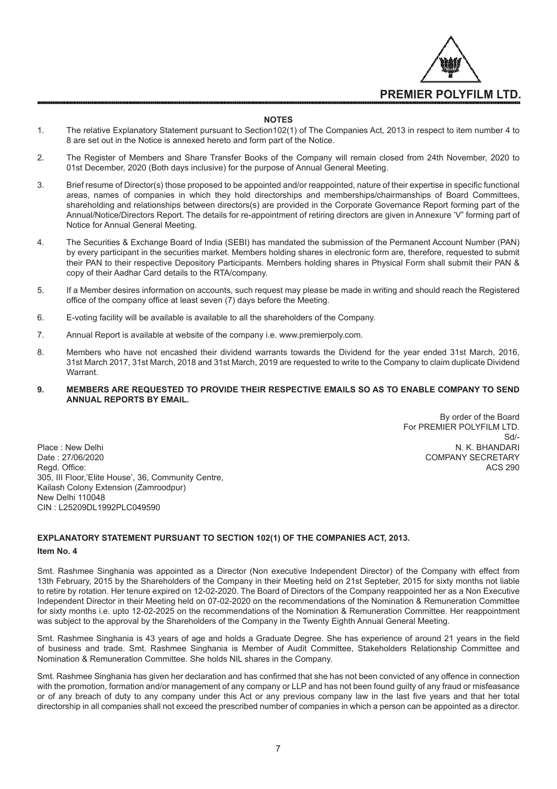

#### **NOTES**

- 1. The relative Explanatory Statement pursuant to Section102(1) of The Companies Act, 2013 in respect to item number 4 to 8 are set out in the Notice is annexed hereto and form part of the Notice.
- 2. The Register of Members and Share Transfer Books of the Company will remain closed from 24th November, 2020 to 01st December, 2020 (Both days inclusive) for the purpose of Annual General Meeting.
- 3. Brief resume of Director(s) those proposed to be appointed and/or reappointed, nature of their expertise in specific functional areas, names of companies in which they hold directorships and memberships/chairmanships of Board Committees, shareholding and relationships between directors(s) are provided in the Corporate Governance Report forming part of the Annual/Notice/Directors Report. The details for re-appointment of retiring directors are given in Annexure 'V" forming part of Notice for Annual General Meeting.
- 4. The Securities & Exchange Board of India (SEBI) has mandated the submission of the Permanent Account Number (PAN) by every participant in the securities market. Members holding shares in electronic form are, therefore, requested to submit their PAN to their respective Depository Participants. Members holding shares in Physical Form shall submit their PAN & copy of their Aadhar Card details to the RTA/company.
- 5. If a Member desires information on accounts, such request may please be made in writing and should reach the Registered office of the company office at least seven (7) days before the Meeting.
- 6. E-voting facility will be available is available to all the shareholders of the Company.
- 7. Annual Report is available at website of the company i.e. www.premierpoly.com.
- 8. Members who have not encashed their dividend warrants towards the Dividend for the year ended 31st March, 2016, 31st March 2017, 31st March, 2018 and 31st March, 2019 are requested to write to the Company to claim duplicate Dividend Warrant.
- **9. MEMBERS ARE REQUESTED TO PROVIDE THEIR RESPECTIVE EMAILS SO AS TO ENABLE COMPANY TO SEND ANNUAL REPORTS BY EMAIL.**

By order of the Board For PREMIER POLYFILM LTD. Sd/-

Place : New Delhi N. K. BHANDARI N. K. BHANDARI N. K. BHANDARI N. K. BHANDARI N. K. BHANDARI N. K. BHANDARI N.<br>Pate : 27/06/2020 Date : 27/06/2020 COMPANY SECRETARY Regd. Office: ACS 290 305, III Floor,'Elite House', 36, Community Centre, Kailash Colony Extension (Zamroodpur) New Delhi 110048 CIN : L25209DL1992PLC049590

#### **EXPLANATORY STATEMENT PURSUANT TO SECTION 102(1) OF THE COMPANIES ACT, 2013.**

#### **Item No. 4**

Smt. Rashmee Singhania was appointed as a Director (Non executive Independent Director) of the Company with effect from 13th February, 2015 by the Shareholders of the Company in their Meeting held on 21st Septeber, 2015 for sixty months not liable to retire by rotation. Her tenure expired on 12-02-2020. The Board of Directors of the Company reappointed her as a Non Executive Independent Director in their Meeting held on 07-02-2020 on the recommendations of the Nomination & Remuneration Committee for sixty months i.e. upto 12-02-2025 on the recommendations of the Nomination & Remuneration Committee. Her reappointment was subject to the approval by the Shareholders of the Company in the Twenty Eighth Annual General Meeting.

Smt. Rashmee Singhania is 43 years of age and holds a Graduate Degree. She has experience of around 21 years in the field of business and trade. Smt. Rashmee Singhania is Member of Audit Committee, Stakeholders Relationship Committee and Nomination & Remuneration Committee. She holds NIL shares in the Company.

Smt. Rashmee Singhania has given her declaration and has confirmed that she has not been convicted of any offence in connection with the promotion, formation and/or management of any company or LLP and has not been found guilty of any fraud or misfeasance or of any breach of duty to any company under this Act or any previous company law in the last five years and that her total directorship in all companies shall not exceed the prescribed number of companies in which a person can be appointed as a director.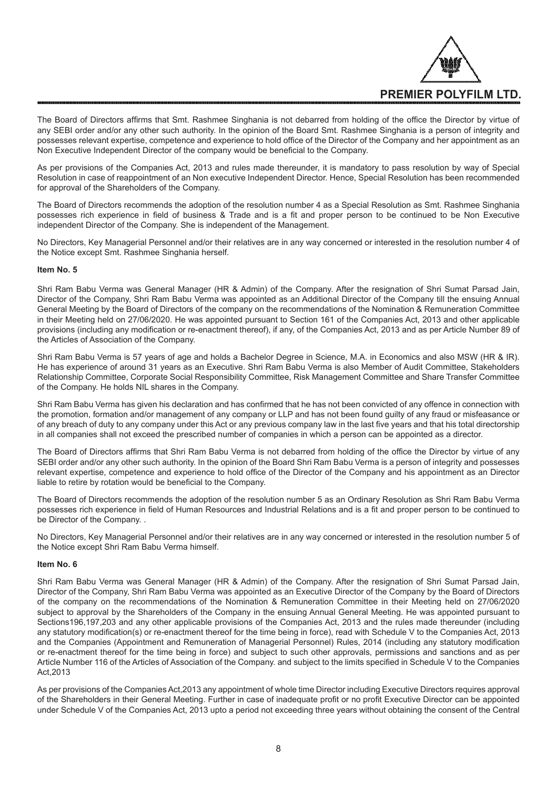

The Board of Directors affirms that Smt. Rashmee Singhania is not debarred from holding of the office the Director by virtue of any SEBI order and/or any other such authority. In the opinion of the Board Smt. Rashmee Singhania is a person of integrity and possesses relevant expertise, competence and experience to hold office of the Director of the Company and her appointment as an Non Executive Independent Director of the company would be beneficial to the Company.

As per provisions of the Companies Act, 2013 and rules made thereunder, it is mandatory to pass resolution by way of Special Resolution in case of reappointment of an Non executive Independent Director. Hence, Special Resolution has been recommended for approval of the Shareholders of the Company.

The Board of Directors recommends the adoption of the resolution number 4 as a Special Resolution as Smt. Rashmee Singhania possesses rich experience in field of business & Trade and is a fit and proper person to be continued to be Non Executive independent Director of the Company. She is independent of the Management.

No Directors, Key Managerial Personnel and/or their relatives are in any way concerned or interested in the resolution number 4 of the Notice except Smt. Rashmee Singhania herself.

#### **Item No. 5**

Shri Ram Babu Verma was General Manager (HR & Admin) of the Company. After the resignation of Shri Sumat Parsad Jain, Director of the Company, Shri Ram Babu Verma was appointed as an Additional Director of the Company till the ensuing Annual General Meeting by the Board of Directors of the company on the recommendations of the Nomination & Remuneration Committee in their Meeting held on 27/06/2020. He was appointed pursuant to Section 161 of the Companies Act, 2013 and other applicable provisions (including any modification or re-enactment thereof), if any, of the Companies Act, 2013 and as per Article Number 89 of the Articles of Association of the Company.

Shri Ram Babu Verma is 57 years of age and holds a Bachelor Degree in Science, M.A. in Economics and also MSW (HR & IR). He has experience of around 31 years as an Executive. Shri Ram Babu Verma is also Member of Audit Committee, Stakeholders Relationship Committee, Corporate Social Responsibility Committee, Risk Management Committee and Share Transfer Committee of the Company. He holds NIL shares in the Company.

Shri Ram Babu Verma has given his declaration and has confirmed that he has not been convicted of any offence in connection with the promotion, formation and/or management of any company or LLP and has not been found guilty of any fraud or misfeasance or of any breach of duty to any company under this Act or any previous company law in the last five years and that his total directorship in all companies shall not exceed the prescribed number of companies in which a person can be appointed as a director.

The Board of Directors affirms that Shri Ram Babu Verma is not debarred from holding of the office the Director by virtue of any SEBI order and/or any other such authority. In the opinion of the Board Shri Ram Babu Verma is a person of integrity and possesses relevant expertise, competence and experience to hold office of the Director of the Company and his appointment as an Director liable to retire by rotation would be beneficial to the Company.

The Board of Directors recommends the adoption of the resolution number 5 as an Ordinary Resolution as Shri Ram Babu Verma possesses rich experience in field of Human Resources and Industrial Relations and is a fit and proper person to be continued to be Director of the Company. .

No Directors, Key Managerial Personnel and/or their relatives are in any way concerned or interested in the resolution number 5 of the Notice except Shri Ram Babu Verma himself.

#### **Item No. 6**

Shri Ram Babu Verma was General Manager (HR & Admin) of the Company. After the resignation of Shri Sumat Parsad Jain, Director of the Company, Shri Ram Babu Verma was appointed as an Executive Director of the Company by the Board of Directors of the company on the recommendations of the Nomination & Remuneration Committee in their Meeting held on 27/06/2020 subject to approval by the Shareholders of the Company in the ensuing Annual General Meeting. He was appointed pursuant to Sections196,197,203 and any other applicable provisions of the Companies Act, 2013 and the rules made thereunder (including any statutory modification(s) or re-enactment thereof for the time being in force), read with Schedule V to the Companies Act, 2013 and the Companies (Appointment and Remuneration of Managerial Personnel) Rules, 2014 (including any statutory modification or re-enactment thereof for the time being in force) and subject to such other approvals, permissions and sanctions and as per Article Number 116 of the Articles of Association of the Company. and subject to the limits specified in Schedule V to the Companies Act,2013

As per provisions of the Companies Act,2013 any appointment of whole time Director including Executive Directors requires approval of the Shareholders in their General Meeting. Further in case of inadequate profit or no profit Executive Director can be appointed under Schedule V of the Companies Act, 2013 upto a period not exceeding three years without obtaining the consent of the Central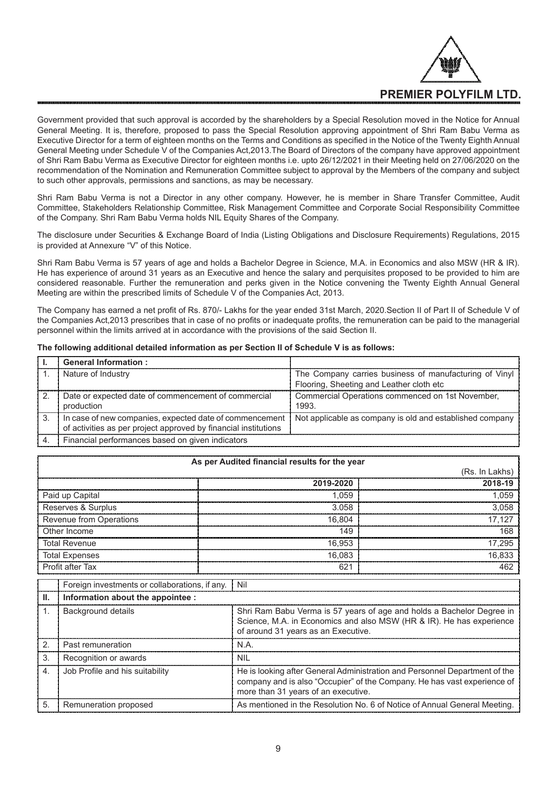

Government provided that such approval is accorded by the shareholders by a Special Resolution moved in the Notice for Annual General Meeting. It is, therefore, proposed to pass the Special Resolution approving appointment of Shri Ram Babu Verma as Executive Director for a term of eighteen months on the Terms and Conditions as specified in the Notice of the Twenty Eighth Annual General Meeting under Schedule V of the Companies Act,2013.The Board of Directors of the company have approved appointment of Shri Ram Babu Verma as Executive Director for eighteen months i.e. upto 26/12/2021 in their Meeting held on 27/06/2020 on the recommendation of the Nomination and Remuneration Committee subject to approval by the Members of the company and subject to such other approvals, permissions and sanctions, as may be necessary.

Shri Ram Babu Verma is not a Director in any other company. However, he is member in Share Transfer Committee, Audit Committee, Stakeholders Relationship Committee, Risk Management Committee and Corporate Social Responsibility Committee of the Company. Shri Ram Babu Verma holds NIL Equity Shares of the Company.

The disclosure under Securities & Exchange Board of India (Listing Obligations and Disclosure Requirements) Regulations, 2015 is provided at Annexure "V" of this Notice.

Shri Ram Babu Verma is 57 years of age and holds a Bachelor Degree in Science, M.A. in Economics and also MSW (HR & IR). He has experience of around 31 years as an Executive and hence the salary and perquisites proposed to be provided to him are considered reasonable. Further the remuneration and perks given in the Notice convening the Twenty Eighth Annual General Meeting are within the prescribed limits of Schedule V of the Companies Act, 2013.

The Company has earned a net profit of Rs. 870/- Lakhs for the year ended 31st March, 2020.Section II of Part II of Schedule V of the Companies Act,2013 prescribes that in case of no profits or inadequate profits, the remuneration can be paid to the managerial personnel within the limits arrived at in accordance with the provisions of the said Section II.

#### **The following additional detailed information as per Section II of Schedule V is as follows:**

|    | <b>General Information:</b>                                                                                                                                                           |                                                                                                    |
|----|---------------------------------------------------------------------------------------------------------------------------------------------------------------------------------------|----------------------------------------------------------------------------------------------------|
|    | Nature of Industry                                                                                                                                                                    | The Company carries business of manufacturing of Vinyl<br>Flooring, Sheeting and Leather cloth etc |
|    | Date or expected date of commencement of commercial<br>production                                                                                                                     | Commercial Operations commenced on 1st November,<br>1993.                                          |
| 3. | In case of new companies, expected date of commencement   Not applicable as company is old and established company<br>of activities as per project approved by financial institutions |                                                                                                    |
|    | Financial performances based on given indicators                                                                                                                                      |                                                                                                    |

|                         | As per Audited financial results for the year                            |                                                                            |                                     |                |  |  |  |
|-------------------------|--------------------------------------------------------------------------|----------------------------------------------------------------------------|-------------------------------------|----------------|--|--|--|
|                         |                                                                          |                                                                            |                                     | (Rs. In Lakhs) |  |  |  |
|                         |                                                                          |                                                                            | 2019-2020                           | 2018-19        |  |  |  |
|                         | Paid up Capital                                                          |                                                                            | 1.059                               | 1.059          |  |  |  |
|                         | Reserves & Surplus                                                       |                                                                            | 3.058                               | 3.058          |  |  |  |
|                         | Revenue from Operations                                                  |                                                                            | 16.804                              | 17,127         |  |  |  |
|                         | Other Income                                                             |                                                                            | 149                                 | 168            |  |  |  |
|                         | <b>Total Revenue</b>                                                     |                                                                            | 16.953                              | 17,295         |  |  |  |
|                         | <b>Total Expenses</b>                                                    |                                                                            | 16.083                              | 16.833         |  |  |  |
|                         | Profit after Tax                                                         |                                                                            | 621                                 | 462            |  |  |  |
|                         |                                                                          |                                                                            | Nil                                 |                |  |  |  |
|                         | Foreign investments or collaborations, if any.                           |                                                                            |                                     |                |  |  |  |
| Ш.                      | Information about the appointee :                                        |                                                                            |                                     |                |  |  |  |
| 1.                      | <b>Background details</b>                                                | Shri Ram Babu Verma is 57 years of age and holds a Bachelor Degree in      |                                     |                |  |  |  |
|                         | Science, M.A. in Economics and also MSW (HR & IR). He has experience     |                                                                            |                                     |                |  |  |  |
|                         |                                                                          |                                                                            | of around 31 years as an Executive. |                |  |  |  |
| 2.<br>Past remuneration |                                                                          |                                                                            | N.A.                                |                |  |  |  |
| 3.                      | Recognition or awards                                                    |                                                                            | <b>NIL</b>                          |                |  |  |  |
| 4.                      | Job Profile and his suitability                                          | He is looking after General Administration and Personnel Department of the |                                     |                |  |  |  |
|                         | company and is also "Occupier" of the Company. He has vast experience of |                                                                            |                                     |                |  |  |  |
|                         | more than 31 years of an executive.                                      |                                                                            |                                     |                |  |  |  |

5. Remuneration proposed **As mentioned in the Resolution No. 6 of Notice of Annual General Meeting.**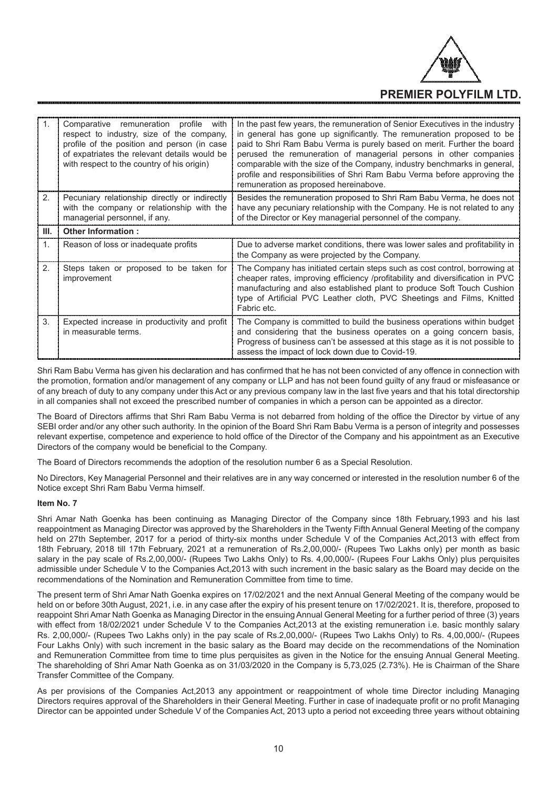

| 1 <sub>1</sub> | Comparative remuneration profile with<br>respect to industry, size of the company,<br>profile of the position and person (in case<br>of expatriates the relevant details would be<br>with respect to the country of his origin) | In the past few years, the remuneration of Senior Executives in the industry<br>in general has gone up significantly. The remuneration proposed to be<br>paid to Shri Ram Babu Verma is purely based on merit. Further the board<br>perused the remuneration of managerial persons in other companies<br>comparable with the size of the Company, industry benchmarks in general,<br>profile and responsibilities of Shri Ram Babu Verma before approving the<br>remuneration as proposed hereinabove. |  |  |
|----------------|---------------------------------------------------------------------------------------------------------------------------------------------------------------------------------------------------------------------------------|--------------------------------------------------------------------------------------------------------------------------------------------------------------------------------------------------------------------------------------------------------------------------------------------------------------------------------------------------------------------------------------------------------------------------------------------------------------------------------------------------------|--|--|
| 2.             | Pecuniary relationship directly or indirectly<br>with the company or relationship with the<br>managerial personnel, if any.                                                                                                     | Besides the remuneration proposed to Shri Ram Babu Verma, he does not<br>have any pecuniary relationship with the Company. He is not related to any<br>of the Director or Key managerial personnel of the company.                                                                                                                                                                                                                                                                                     |  |  |
| Ш.             | Other Information:                                                                                                                                                                                                              |                                                                                                                                                                                                                                                                                                                                                                                                                                                                                                        |  |  |
| 1.             | Reason of loss or inadequate profits                                                                                                                                                                                            | Due to adverse market conditions, there was lower sales and profitability in<br>the Company as were projected by the Company.                                                                                                                                                                                                                                                                                                                                                                          |  |  |
| 2.             | Steps taken or proposed to be taken for<br>improvement                                                                                                                                                                          | The Company has initiated certain steps such as cost control, borrowing at<br>cheaper rates, improving efficiency /profitability and diversification in PVC<br>manufacturing and also established plant to produce Soft Touch Cushion<br>type of Artificial PVC Leather cloth, PVC Sheetings and Films, Knitted<br>Fabric etc.                                                                                                                                                                         |  |  |
| 3.             | Expected increase in productivity and profit<br>in measurable terms.                                                                                                                                                            | The Company is committed to build the business operations within budget<br>and considering that the business operates on a going concern basis,<br>Progress of business can't be assessed at this stage as it is not possible to<br>assess the impact of lock down due to Covid-19.                                                                                                                                                                                                                    |  |  |

Shri Ram Babu Verma has given his declaration and has confirmed that he has not been convicted of any offence in connection with the promotion, formation and/or management of any company or LLP and has not been found guilty of any fraud or misfeasance or of any breach of duty to any company under this Act or any previous company law in the last five years and that his total directorship in all companies shall not exceed the prescribed number of companies in which a person can be appointed as a director.

The Board of Directors affirms that Shri Ram Babu Verma is not debarred from holding of the office the Director by virtue of any SEBI order and/or any other such authority. In the opinion of the Board Shri Ram Babu Verma is a person of integrity and possesses relevant expertise, competence and experience to hold office of the Director of the Company and his appointment as an Executive Directors of the company would be beneficial to the Company.

The Board of Directors recommends the adoption of the resolution number 6 as a Special Resolution.

No Directors, Key Managerial Personnel and their relatives are in any way concerned or interested in the resolution number 6 of the Notice except Shri Ram Babu Verma himself.

#### **Item No. 7**

Shri Amar Nath Goenka has been continuing as Managing Director of the Company since 18th February,1993 and his last reappointment as Managing Director was approved by the Shareholders in the Twenty Fifth Annual General Meeting of the company held on 27th September, 2017 for a period of thirty-six months under Schedule V of the Companies Act,2013 with effect from 18th February, 2018 till 17th February, 2021 at a remuneration of Rs.2,00,000/- (Rupees Two Lakhs only) per month as basic salary in the pay scale of Rs.2,00,000/- (Rupees Two Lakhs Only) to Rs. 4,00,000/- (Rupees Four Lakhs Only) plus perquisites admissible under Schedule V to the Companies Act,2013 with such increment in the basic salary as the Board may decide on the recommendations of the Nomination and Remuneration Committee from time to time.

The present term of Shri Amar Nath Goenka expires on 17/02/2021 and the next Annual General Meeting of the company would be held on or before 30th August, 2021, i.e. in any case after the expiry of his present tenure on 17/02/2021. It is, therefore, proposed to reappoint Shri Amar Nath Goenka as Managing Director in the ensuing Annual General Meeting for a further period of three (3) years with effect from 18/02/2021 under Schedule V to the Companies Act,2013 at the existing remuneration i.e. basic monthly salary Rs. 2,00,000/- (Rupees Two Lakhs only) in the pay scale of Rs.2,00,000/- (Rupees Two Lakhs Only) to Rs. 4,00,000/- (Rupees Four Lakhs Only) with such increment in the basic salary as the Board may decide on the recommendations of the Nomination and Remuneration Committee from time to time plus perquisites as given in the Notice for the ensuing Annual General Meeting. The shareholding of Shri Amar Nath Goenka as on 31/03/2020 in the Company is 5,73,025 (2.73%). He is Chairman of the Share Transfer Committee of the Company.

As per provisions of the Companies Act,2013 any appointment or reappointment of whole time Director including Managing Directors requires approval of the Shareholders in their General Meeting. Further in case of inadequate profit or no profit Managing Director can be appointed under Schedule V of the Companies Act, 2013 upto a period not exceeding three years without obtaining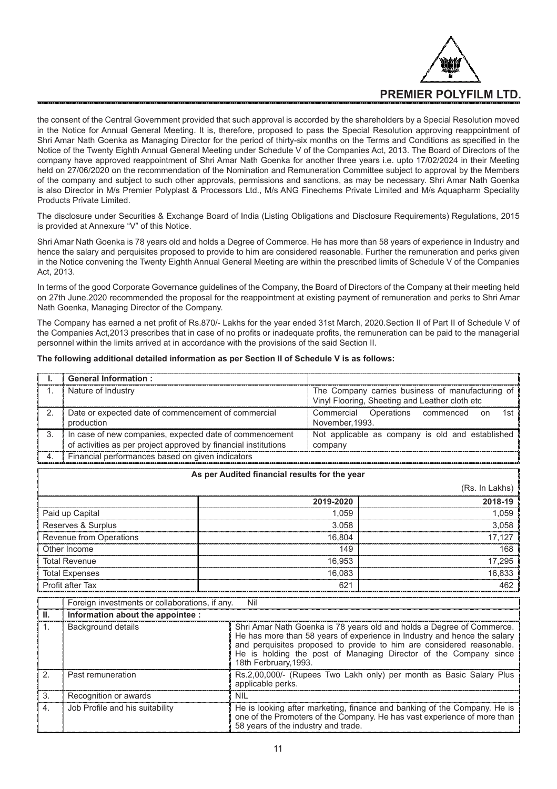

the consent of the Central Government provided that such approval is accorded by the shareholders by a Special Resolution moved in the Notice for Annual General Meeting. It is, therefore, proposed to pass the Special Resolution approving reappointment of Shri Amar Nath Goenka as Managing Director for the period of thirty-six months on the Terms and Conditions as specified in the Notice of the Twenty Eighth Annual General Meeting under Schedule V of the Companies Act, 2013. The Board of Directors of the company have approved reappointment of Shri Amar Nath Goenka for another three years i.e. upto 17/02/2024 in their Meeting held on 27/06/2020 on the recommendation of the Nomination and Remuneration Committee subject to approval by the Members of the company and subject to such other approvals, permissions and sanctions, as may be necessary. Shri Amar Nath Goenka is also Director in M/s Premier Polyplast & Processors Ltd., M/s ANG Finechems Private Limited and M/s Aquapharm Speciality Products Private Limited.

The disclosure under Securities & Exchange Board of India (Listing Obligations and Disclosure Requirements) Regulations, 2015 is provided at Annexure "V" of this Notice.

Shri Amar Nath Goenka is 78 years old and holds a Degree of Commerce. He has more than 58 years of experience in Industry and hence the salary and perquisites proposed to provide to him are considered reasonable. Further the remuneration and perks given in the Notice convening the Twenty Eighth Annual General Meeting are within the prescribed limits of Schedule V of the Companies Act, 2013.

In terms of the good Corporate Governance guidelines of the Company, the Board of Directors of the Company at their meeting held on 27th June.2020 recommended the proposal for the reappointment at existing payment of remuneration and perks to Shri Amar Nath Goenka, Managing Director of the Company.

The Company has earned a net profit of Rs.870/- Lakhs for the year ended 31st March, 2020.Section II of Part II of Schedule V of the Companies Act,2013 prescribes that in case of no profits or inadequate profits, the remuneration can be paid to the managerial personnel within the limits arrived at in accordance with the provisions of the said Section II.

**The following additional detailed information as per Section II of Schedule V is as follows:**

|    | <b>General Information:</b>                                                                                                |                                                                                                    |
|----|----------------------------------------------------------------------------------------------------------------------------|----------------------------------------------------------------------------------------------------|
|    | Nature of Industry                                                                                                         | The Company carries business of manufacturing of<br>Vinyl Flooring, Sheeting and Leather cloth etc |
|    | Date or expected date of commencement of commercial<br>production                                                          | Commercial Operations commenced on<br>1st<br>November.1993.                                        |
| 3. | In case of new companies, expected date of commencement<br>of activities as per project approved by financial institutions | Not applicable as company is old and established<br>company                                        |
| 4. | Financial performances based on given indicators                                                                           |                                                                                                    |

| As per Audited financial results for the year |           |                |  |  |
|-----------------------------------------------|-----------|----------------|--|--|
|                                               |           | (Rs. In Lakhs) |  |  |
|                                               | 2019-2020 | 2018-19        |  |  |
| Paid up Capital                               | 1.059     | .059           |  |  |
| Reserves & Surplus                            | 3 058     |                |  |  |
| Revenue from Operations                       | 16804     |                |  |  |
| Other Income                                  | 149       | 168            |  |  |
| <b>Total Revenue</b>                          | 16.953    | 17 295         |  |  |
| <b>Total Expenses</b>                         | 16 083    | 16.83?         |  |  |
| Profit after Tax                              | 621       | 462            |  |  |

|                  | Foreign investments or collaborations, if any.<br>Nil |                                                                                                                                                                                                                                                                                                                         |  |  |  |
|------------------|-------------------------------------------------------|-------------------------------------------------------------------------------------------------------------------------------------------------------------------------------------------------------------------------------------------------------------------------------------------------------------------------|--|--|--|
| Ш.               | Information about the appointee :                     |                                                                                                                                                                                                                                                                                                                         |  |  |  |
|                  | Background details                                    | Shri Amar Nath Goenka is 78 years old and holds a Degree of Commerce.<br>He has more than 58 years of experience in Industry and hence the salary<br>and perquisites proposed to provide to him are considered reasonable.<br>He is holding the post of Managing Director of the Company since<br>18th Ferbruary, 1993. |  |  |  |
| 2.               | Past remuneration                                     | Rs.2,00,000/- (Rupees Two Lakh only) per month as Basic Salary Plus<br>applicable perks.                                                                                                                                                                                                                                |  |  |  |
| 3.               | Recognition or awards                                 | <b>NIL</b>                                                                                                                                                                                                                                                                                                              |  |  |  |
| $\overline{4}$ . | Job Profile and his suitability                       | He is looking after marketing, finance and banking of the Company. He is<br>one of the Promoters of the Company. He has vast experience of more than<br>58 years of the industry and trade.                                                                                                                             |  |  |  |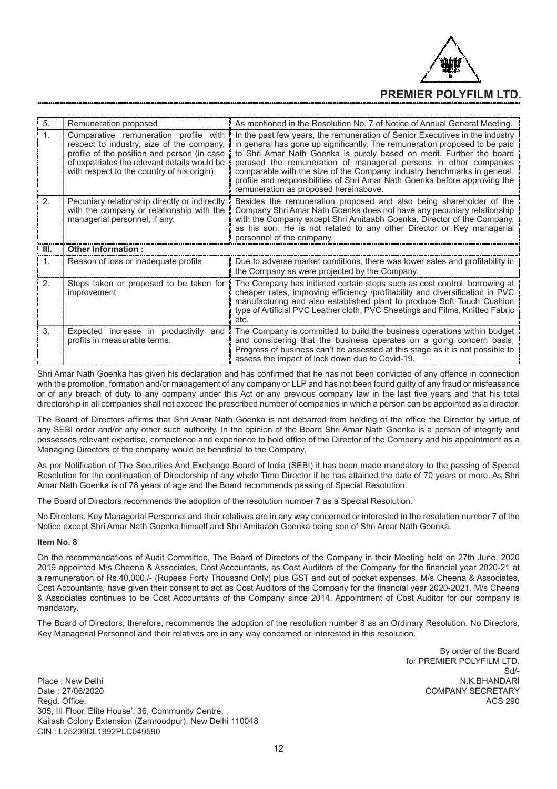

| 5.   | Remuneration proposed                                                                                                                                                                                                           | As mentioned in the Resolution No. 7 of Notice of Annual General Meeting.                                                                                                                                                                                                                                                                                                                                                                                                                                  |
|------|---------------------------------------------------------------------------------------------------------------------------------------------------------------------------------------------------------------------------------|------------------------------------------------------------------------------------------------------------------------------------------------------------------------------------------------------------------------------------------------------------------------------------------------------------------------------------------------------------------------------------------------------------------------------------------------------------------------------------------------------------|
| 1.   | Comparative remuneration profile with<br>respect to industry, size of the company,<br>profile of the position and person (in case<br>of expatriates the relevant details would be<br>with respect to the country of his origin) | In the past few years, the remuneration of Senior Executives in the industry<br>in general has gone up significantly. The remuneration proposed to be paid<br>to Shri Amar Nath Goenka is purely based on merit. Further the board<br>perused the remuneration of managerial persons in other companies<br>comparable with the size of the Company, industry benchmarks in general,<br>profile and responsibilities of Shri Amar Nath Goenka before approving the<br>remuneration as proposed hereinabove. |
| 2.   | Pecuniary relationship directly or indirectly<br>with the company or relationship with the<br>managerial personnel, if any.                                                                                                     | Besides the remuneration proposed and also being shareholder of the<br>Company Shri Amar Nath Goenka does not have any pecuniary relationship<br>with the Company except Shri Amitaabh Goenka, Director of the Company,<br>as his son. He is not related to any other Director or Key managerial<br>personnel of the company.                                                                                                                                                                              |
| III. | Other Information:                                                                                                                                                                                                              |                                                                                                                                                                                                                                                                                                                                                                                                                                                                                                            |
| 1.   | Reason of loss or inadequate profits                                                                                                                                                                                            | Due to adverse market conditions, there was lower sales and profitability in<br>the Company as were projected by the Company.                                                                                                                                                                                                                                                                                                                                                                              |
| 2.   | Steps taken or proposed to be taken for<br>improvement                                                                                                                                                                          | The Company has initiated certain steps such as cost control, borrowing at<br>cheaper rates, improving efficiency /profitability and diversification in PVC<br>manufacturing and also established plant to produce Soft Touch Cushion<br>type of Artificial PVC Leather cloth, PVC Sheetings and Films, Knitted Fabric<br>etc.                                                                                                                                                                             |
| 3.   | Expected increase in productivity<br>and<br>profits in measurable terms.                                                                                                                                                        | The Company is committed to build the business operations within budget<br>and considering that the business operates on a going concern basis,<br>Progress of business can't be assessed at this stage as it is not possible to<br>assess the impact of lock down due to Covid-19.                                                                                                                                                                                                                        |

Shri Amar Nath Goenka has given his declaration and has confirmed that he has not been convicted of any offence in connection with the promotion, formation and/or management of any company or LLP and has not been found guilty of any fraud or misfeasance or of any breach of duty to any company under this Act or any previous company law in the last five years and that his total directorship in all companies shall not exceed the prescribed number of companies in which a person can be appointed as a director.

The Board of Directors affirms that Shri Amar Nath Goenka is not debarred from holding of the office the Director by virtue of any SEBI order and/or any other such authority. In the opinion of the Board Shri Amar Nath Goenka is a person of integrity and possesses relevant expertise, competence and experience to hold office of the Director of the Company and his appointment as a Managing Directors of the company would be beneficial to the Company.

As per Notification of The Securities And Exchange Board of India (SEBI) it has been made mandatory to the passing of Special Resolution for the continuation of Directorship of any whole Time Director if he has attained the date of 70 years or more. As Shri Amar Nath Goenka is of 78 years of age and the Board recommends passing of Special Resolution.

The Board of Directors recommends the adoption of the resolution number 7 as a Special Resolution.

No Directors, Key Managerial Personnel and their relatives are in any way concerned or interested in the resolution number 7 of the Notice except Shri Amar Nath Goenka himself and Shri Amitaabh Goenka being son of Shri Amar Nath Goenka.

#### **Item No. 8**

On the recommendations of Audit Committee, The Board of Directors of the Company in their Meeting held on 27th June, 2020 2019 appointed M/s Cheena & Associates, Cost Accountants, as Cost Auditors of the Company for the financial year 2020-21 at a remuneration of Rs.40,000./- (Rupees Forty Thousand Only) plus GST and out of pocket expenses. M/s Cheena & Associates, Cost Accountants, have given their consent to act as Cost Auditors of the Company for the financial year 2020-2021. M/s Cheena & Associates continues to be Cost Accountants of the Company since 2014. Appointment of Cost Auditor for our company is mandatory.

The Board of Directors, therefore, recommends the adoption of the resolution number 8 as an Ordinary Resolution. No Directors, Key Managerial Personnel and their relatives are in any way concerned or interested in this resolution.

By order of the Board for PREMIER POLYFILM LTD. Sd/-

Place : New Delhi N.K.BHANDARI N.K.BHANDARI N.K.BHANDARI N.K.BHANDARI N.K.BHANDARI N.K.BHANDARI N.K.BHANDARI N Date : 27/06/2020 COMPANY SECRETARY Regd. Office: ACS 290 305, III Floor,'Elite House', 36, Community Centre, Kailash Colony Extension (Zamroodpur), New Delhi 110048 CIN : L25209DL1992PLC049590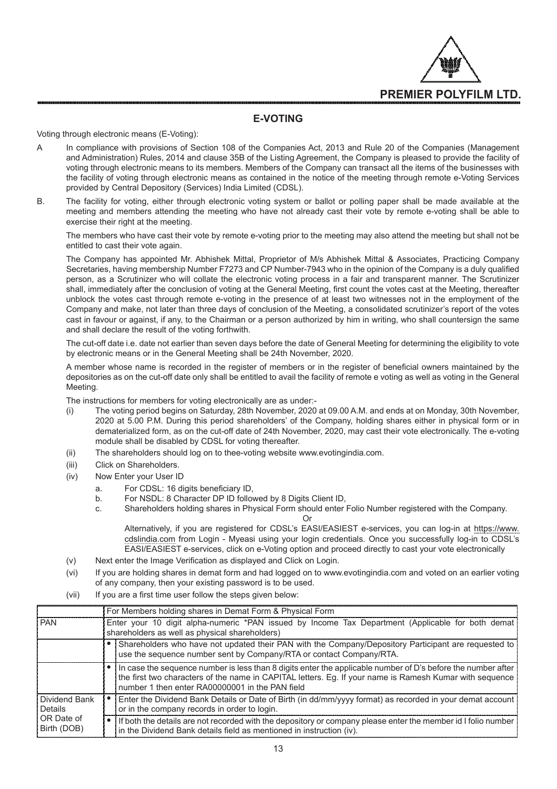**PREMIER POLYFILM LTD.**

# **E-VOTING**

Voting through electronic means (E-Voting):

- A In compliance with provisions of Section 108 of the Companies Act, 2013 and Rule 20 of the Companies (Management and Administration) Rules, 2014 and clause 35B of the Listing Agreement, the Company is pleased to provide the facility of voting through electronic means to its members. Members of the Company can transact all the items of the businesses with the facility of voting through electronic means as contained in the notice of the meeting through remote e-Voting Services provided by Central Depository (Services) India Limited (CDSL).
- B. The facility for voting, either through electronic voting system or ballot or polling paper shall be made available at the meeting and members attending the meeting who have not already cast their vote by remote e-voting shall be able to exercise their right at the meeting.

The members who have cast their vote by remote e-voting prior to the meeting may also attend the meeting but shall not be entitled to cast their vote again.

The Company has appointed Mr. Abhishek Mittal, Proprietor of M/s Abhishek Mittal & Associates, Practicing Company Secretaries, having membership Number F7273 and CP Number-7943 who in the opinion of the Company is a duly qualified person, as a Scrutinizer who will collate the electronic voting process in a fair and transparent manner. The Scrutinizer shall, immediately after the conclusion of voting at the General Meeting, first count the votes cast at the Meeting, thereafter unblock the votes cast through remote e-voting in the presence of at least two witnesses not in the employment of the Company and make, not later than three days of conclusion of the Meeting, a consolidated scrutinizer's report of the votes cast in favour or against, if any, to the Chairman or a person authorized by him in writing, who shall countersign the same and shall declare the result of the voting forthwith.

The cut-off date i.e. date not earlier than seven days before the date of General Meeting for determining the eligibility to vote by electronic means or in the General Meeting shall be 24th November, 2020.

A member whose name is recorded in the register of members or in the register of beneficial owners maintained by the depositories as on the cut-off date only shall be entitled to avail the facility of remote e voting as well as voting in the General Meeting.

The instructions for members for voting electronically are as under:-

- (i) The voting period begins on Saturday, 28th November, 2020 at 09.00 A.M. and ends at on Monday, 30th November, 2020 at 5.00 P.M. During this period shareholders' of the Company, holding shares either in physical form or in dematerialized form, as on the cut-off date of 24th November, 2020, may cast their vote electronically. The e-voting module shall be disabled by CDSL for voting thereafter.
- (ii) The shareholders should log on to thee-voting website www.evotingindia.com.
- (iii) Click on Shareholders.
- (iv) Now Enter your User ID
	- a. For CDSL: 16 digits beneficiary ID,
	- b. For NSDL: 8 Character DP ID followed by 8 Digits Client ID,
	- c. Shareholders holding shares in Physical Form should enter Folio Number registered with the Company.

 Or Alternatively, if you are registered for CDSL's EASI/EASIEST e-services, you can log-in at https://www. cdslindia.com from Login - Myeasi using your login credentials. Once you successfully log-in to CDSL's EASI/EASIEST e-services, click on e-Voting option and proceed directly to cast your vote electronically

- (v) Next enter the Image Verification as displayed and Click on Login.
- (vi) If you are holding shares in demat form and had logged on to www.evotingindia.com and voted on an earlier voting of any company, then your existing password is to be used.
- (vii) If you are a first time user follow the steps given below:

|                           | For Members holding shares in Demat Form & Physical Form                                                                                                                    |                                                                                                                                                                                                                                                                            |  |  |  |  |
|---------------------------|-----------------------------------------------------------------------------------------------------------------------------------------------------------------------------|----------------------------------------------------------------------------------------------------------------------------------------------------------------------------------------------------------------------------------------------------------------------------|--|--|--|--|
| <b>PAN</b>                | Enter your 10 digit alpha-numeric *PAN issued by Income Tax Department (Applicable for both demat<br>shareholders as well as physical shareholders)                         |                                                                                                                                                                                                                                                                            |  |  |  |  |
|                           | Shareholders who have not updated their PAN with the Company/Depository Participant are requested to<br>use the sequence number sent by Company/RTA or contact Company/RTA. |                                                                                                                                                                                                                                                                            |  |  |  |  |
|                           |                                                                                                                                                                             | In case the sequence number is less than 8 digits enter the applicable number of D's before the number after<br>the first two characters of the name in CAPITAL letters. Eg. If your name is Ramesh Kumar with sequence<br>number 1 then enter RA00000001 in the PAN field |  |  |  |  |
| Dividend Bank<br>Details  |                                                                                                                                                                             | Enter the Dividend Bank Details or Date of Birth (in dd/mm/yyyy format) as recorded in your demat account<br>or in the company records in order to login.                                                                                                                  |  |  |  |  |
| OR Date of<br>Birth (DOB) |                                                                                                                                                                             | If both the details are not recorded with the depository or company please enter the member id I folio number<br>in the Dividend Bank details field as mentioned in instruction (iv).                                                                                      |  |  |  |  |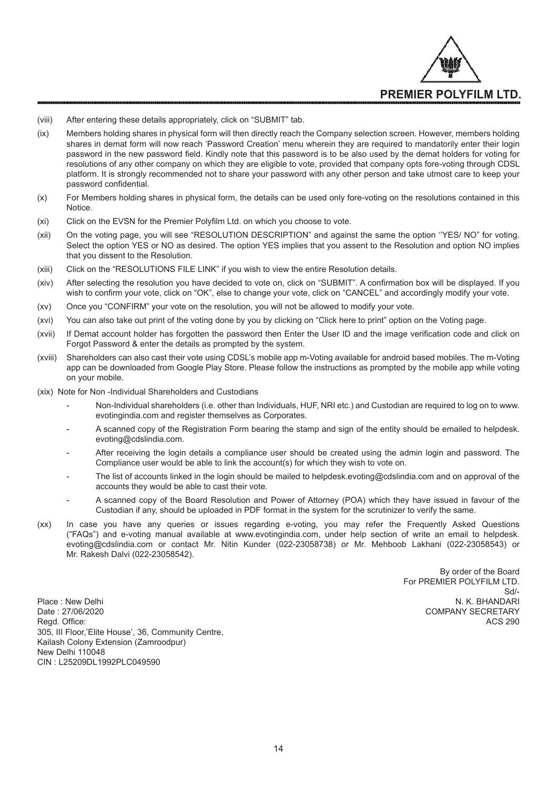

- (viii) After entering these details appropriately, click on "SUBMIT" tab.
- (ix) Members holding shares in physical form will then directly reach the Company selection screen. However, members holding shares in demat form will now reach 'Password Creation' menu wherein they are required to mandatorily enter their login password in the new password field. Kindly note that this password is to be also used by the demat holders for voting for resolutions of any other company on which they are eligible to vote, provided that company opts fore-voting through CDSL platform. It is strongly recommended not to share your password with any other person and take utmost care to keep your password confidential.
- (x) For Members holding shares in physical form, the details can be used only fore-voting on the resolutions contained in this Notice.
- (xi) Click on the EVSN for the Premier Polyfilm Ltd. on which you choose to vote.
- (xii) On the voting page, you will see "RESOLUTION DESCRIPTION" and against the same the option ''YES/ NO" for voting. Select the option YES or NO as desired. The option YES implies that you assent to the Resolution and option NO implies that you dissent to the Resolution.
- (xiii) Click on the "RESOLUTIONS FILE LINK" if you wish to view the entire Resolution details.
- (xiv) After selecting the resolution you have decided to vote on, click on "SUBMIT". A confirmation box will be displayed. If you wish to confirm your vote, click on "OK", else to change your vote, click on "CANCEL" and accordingly modify your vote.
- (xv) Once you "CONFIRM" your vote on the resolution, you will not be allowed to modify your vote.
- (xvi) You can also take out print of the voting done by you by clicking on "Click here to print" option on the Voting page.
- (xvii) If Demat account holder has forgotten the password then Enter the User ID and the image verification code and click on Forgot Password & enter the details as prompted by the system.
- (xviii) Shareholders can also cast their vote using CDSL's mobile app m-Voting available for android based mobiles. The m-Voting app can be downloaded from Google Play Store. Please follow the instructions as prompted by the mobile app while voting on your mobile.
- (xix) Note for Non -Individual Shareholders and Custodians
	- Non-Individual shareholders (i.e. other than Individuals, HUF, NRI etc.) and Custodian are required to log on to www. evotingindia.com and register themselves as Corporates.
	- A scanned copy of the Registration Form bearing the stamp and sign of the entity should be emailed to helpdesk. evoting@cdslindia.com.
	- After receiving the login details a compliance user should be created using the admin login and password. The Compliance user would be able to link the account(s) for which they wish to vote on.
	- The list of accounts linked in the login should be mailed to helpdesk.evoting@cdslindia.com and on approval of the accounts they would be able to cast their vote.
	- A scanned copy of the Board Resolution and Power of Attorney (POA) which they have issued in favour of the Custodian if any, should be uploaded in PDF format in the system for the scrutinizer to verify the same.
- (xx) In case you have any queries or issues regarding e-voting, you may refer the Frequently Asked Questions ("FAQs") and e-voting manual available at www.evotingindia.com, under help section of write an email to helpdesk. evoting@cdslindia.com or contact Mr. Nitin Kunder (022-23058738) or Mr. Mehboob Lakhani (022-23058543) or Mr. Rakesh Dalvi (022-23058542).

 By order of the Board For PREMIER POLYFILM LTD. Sd/-<br>N K RHANDARI

Place : New Delhi N. K. BHANDARI N. S. Shekara and the state of the state of the state of the state of the state of the state of the state of the state of the state of the state of the state of the state of the state of th Date : 27/06/2020 COMPANY SECRETARY Regd. Office: ACS 290 305, III Floor,'Elite House', 36, Community Centre, Kailash Colony Extension (Zamroodpur) New Delhi 110048 CIN : L25209DL1992PLC049590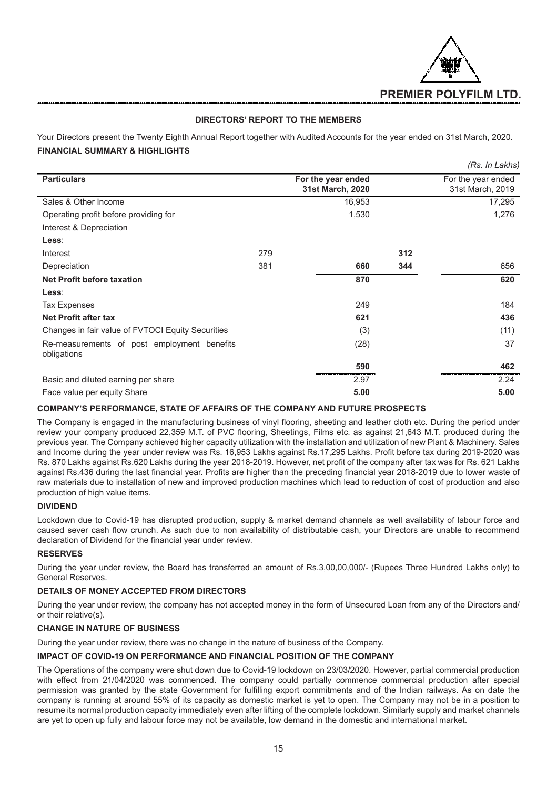

#### **DIRECTORS' REPORT TO THE MEMBERS**

Your Directors present the Twenty Eighth Annual Report together with Audited Accounts for the year ended on 31st March, 2020. **FINANCIAL SUMMARY & HIGHLIGHTS**

|                                                            |     |                                        |     | (Rs. In Lakhs)                         |
|------------------------------------------------------------|-----|----------------------------------------|-----|----------------------------------------|
| <b>Particulars</b>                                         |     | For the year ended<br>31st March, 2020 |     | For the year ended<br>31st March, 2019 |
| Sales & Other Income                                       |     | 16.953                                 |     | 17,295                                 |
| Operating profit before providing for                      |     | 1.530                                  |     | 1.276                                  |
| Interest & Depreciation                                    |     |                                        |     |                                        |
| Less:                                                      |     |                                        |     |                                        |
| Interest                                                   | 279 |                                        | 312 |                                        |
| Depreciation                                               | 381 | 660                                    | 344 | 656                                    |
| Net Profit before taxation                                 |     | 870                                    |     | 620                                    |
| Less:                                                      |     |                                        |     |                                        |
| <b>Tax Expenses</b>                                        |     | 249                                    |     | 184                                    |
| <b>Net Profit after tax</b>                                |     | 621                                    |     | 436                                    |
| Changes in fair value of FVTOCI Equity Securities          |     | (3)                                    |     | (11)                                   |
| Re-measurements of post employment benefits<br>obligations |     | (28)                                   |     | 37                                     |
|                                                            |     | 590                                    |     | 462                                    |
| Basic and diluted earning per share                        |     | ----------------<br>2.97               |     | -----------------------<br>2.24        |
| Face value per equity Share                                |     | 5.00                                   |     | 5.00                                   |

#### **COMPANY'S PERFORMANCE, STATE OF AFFAIRS OF THE COMPANY AND FUTURE PROSPECTS**

The Company is engaged in the manufacturing business of vinyl flooring, sheeting and leather cloth etc. During the period under review your company produced 22,359 M.T. of PVC flooring, Sheetings, Films etc. as against 21,643 M.T. produced during the previous year. The Company achieved higher capacity utilization with the installation and utilization of new Plant & Machinery. Sales and Income during the year under review was Rs. 16,953 Lakhs against Rs.17,295 Lakhs. Profit before tax during 2019-2020 was Rs. 870 Lakhs against Rs.620 Lakhs during the year 2018-2019. However, net profit of the company after tax was for Rs. 621 Lakhs against Rs.436 during the last financial year. Profits are higher than the preceding financial year 2018-2019 due to lower waste of raw materials due to installation of new and improved production machines which lead to reduction of cost of production and also production of high value items.

#### **DIVIDEND**

Lockdown due to Covid-19 has disrupted production, supply & market demand channels as well availability of labour force and caused sever cash flow crunch. As such due to non availability of distributable cash, your Directors are unable to recommend declaration of Dividend for the financial year under review.

### **RESERVES**

During the year under review, the Board has transferred an amount of Rs.3,00,00,000/- (Rupees Three Hundred Lakhs only) to General Reserves.

#### **DETAILS OF MONEY ACCEPTED FROM DIRECTORS**

During the year under review, the company has not accepted money in the form of Unsecured Loan from any of the Directors and/ or their relative(s).

#### **CHANGE IN NATURE OF BUSINESS**

During the year under review, there was no change in the nature of business of the Company.

#### **IMPACT OF COVID-19 ON PERFORMANCE AND FINANCIAL POSITION OF THE COMPANY**

The Operations of the company were shut down due to Covid-19 lockdown on 23/03/2020. However, partial commercial production with effect from 21/04/2020 was commenced. The company could partially commence commercial production after special permission was granted by the state Government for fulfilling export commitments and of the Indian railways. As on date the company is running at around 55% of its capacity as domestic market is yet to open. The Company may not be in a position to resume its normal production capacity immediately even after lifting of the complete lockdown. Similarly supply and market channels are yet to open up fully and labour force may not be available, low demand in the domestic and international market.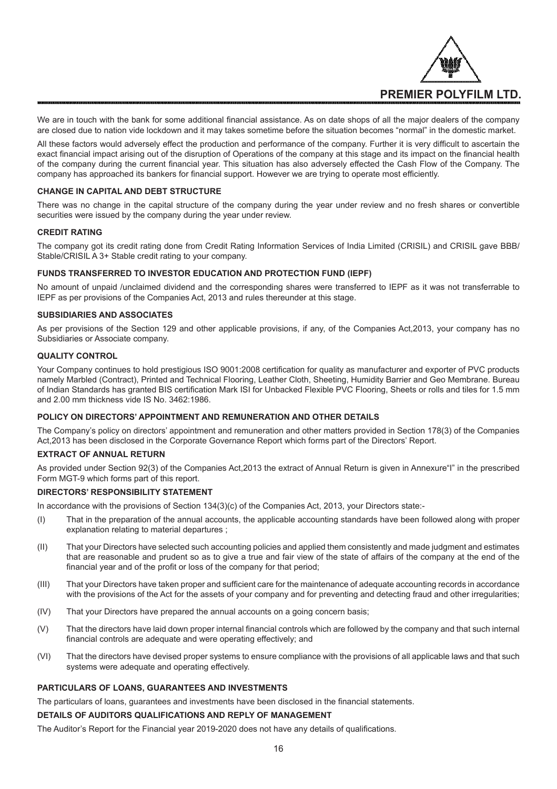

We are in touch with the bank for some additional financial assistance. As on date shops of all the major dealers of the company are closed due to nation vide lockdown and it may takes sometime before the situation becomes "normal" in the domestic market.

All these factors would adversely effect the production and performance of the company. Further it is very difficult to ascertain the exact financial impact arising out of the disruption of Operations of the company at this stage and its impact on the financial health of the company during the current financial year. This situation has also adversely effected the Cash Flow of the Company. The company has approached its bankers for financial support. However we are trying to operate most efficiently.

#### **CHANGE IN CAPITAL AND DEBT STRUCTURE**

There was no change in the capital structure of the company during the year under review and no fresh shares or convertible securities were issued by the company during the year under review.

#### **CREDIT RATING**

The company got its credit rating done from Credit Rating Information Services of India Limited (CRISIL) and CRISIL gave BBB/ Stable/CRISIL A 3+ Stable credit rating to your company.

#### **FUNDS TRANSFERRED TO INVESTOR EDUCATION AND PROTECTION FUND (IEPF)**

No amount of unpaid /unclaimed dividend and the corresponding shares were transferred to IEPF as it was not transferrable to IEPF as per provisions of the Companies Act, 2013 and rules thereunder at this stage.

#### **SUBSIDIARIES AND ASSOCIATES**

As per provisions of the Section 129 and other applicable provisions, if any, of the Companies Act,2013, your company has no Subsidiaries or Associate company.

#### **QUALITY CONTROL**

Your Company continues to hold prestigious ISO 9001:2008 certification for quality as manufacturer and exporter of PVC products namely Marbled (Contract), Printed and Technical Flooring, Leather Cloth, Sheeting, Humidity Barrier and Geo Membrane. Bureau of Indian Standards has granted BIS certification Mark ISI for Unbacked Flexible PVC Flooring, Sheets or rolls and tiles for 1.5 mm and 2.00 mm thickness vide IS No. 3462:1986.

#### **POLICY ON DIRECTORS' APPOINTMENT AND REMUNERATION AND OTHER DETAILS**

The Company's policy on directors' appointment and remuneration and other matters provided in Section 178(3) of the Companies Act,2013 has been disclosed in the Corporate Governance Report which forms part of the Directors' Report.

#### **EXTRACT OF ANNUAL RETURN**

As provided under Section 92(3) of the Companies Act,2013 the extract of Annual Return is given in Annexure"I" in the prescribed Form MGT-9 which forms part of this report.

#### **DIRECTORS' RESPONSIBILITY STATEMENT**

In accordance with the provisions of Section 134(3)(c) of the Companies Act, 2013, your Directors state:-

- (I) That in the preparation of the annual accounts, the applicable accounting standards have been followed along with proper explanation relating to material departures ;
- (II) That your Directors have selected such accounting policies and applied them consistently and made judgment and estimates that are reasonable and prudent so as to give a true and fair view of the state of affairs of the company at the end of the financial year and of the profit or loss of the company for that period;
- (III) That your Directors have taken proper and sufficient care for the maintenance of adequate accounting records in accordance with the provisions of the Act for the assets of your company and for preventing and detecting fraud and other irregularities;
- (IV) That your Directors have prepared the annual accounts on a going concern basis;
- (V) That the directors have laid down proper internal financial controls which are followed by the company and that such internal financial controls are adequate and were operating effectively; and
- (VI) That the directors have devised proper systems to ensure compliance with the provisions of all applicable laws and that such systems were adequate and operating effectively.

#### **PARTICULARS OF LOANS, GUARANTEES AND INVESTMENTS**

The particulars of loans, guarantees and investments have been disclosed in the financial statements.

#### **DETAILS OF AUDITORS QUALIFICATIONS AND REPLY OF MANAGEMENT**

The Auditor's Report for the Financial year 2019-2020 does not have any details of qualifications.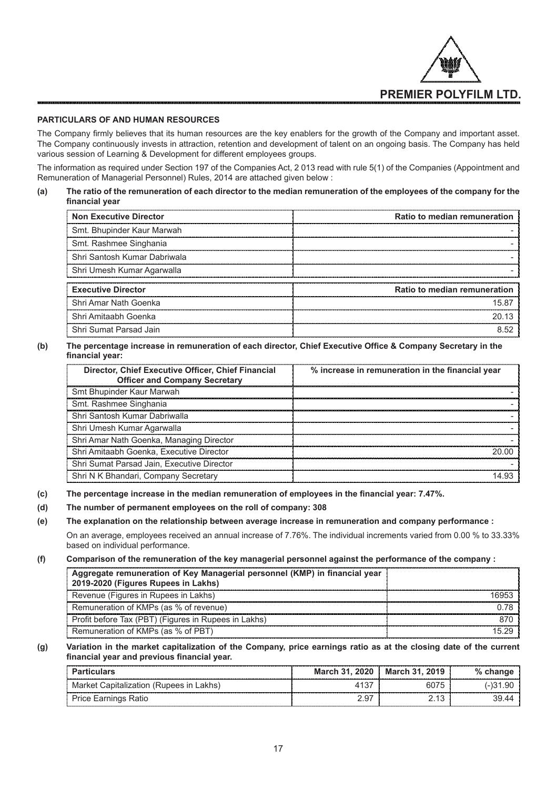**PREMIER POLYFILM LTD.**

#### **PARTICULARS OF AND HUMAN RESOURCES**

The Company firmly believes that its human resources are the key enablers for the growth of the Company and important asset. The Company continuously invests in attraction, retention and development of talent on an ongoing basis. The Company has held various session of Learning & Development for different employees groups.

The information as required under Section 197 of the Companies Act, 2 013 read with rule 5(1) of the Companies (Appointment and Remuneration of Managerial Personnel) Rules, 2014 are attached given below :

#### **(a) The ratio of the remuneration of each director to the median remuneration of the employees of the company for the financial year**

| <b>Non Executive Director</b> | Ratio to median remuneration |
|-------------------------------|------------------------------|
| Smt. Bhupinder Kaur Marwah    |                              |
| Smt. Rashmee Singhania        |                              |
| Shri Santosh Kumar Dabriwala  |                              |
| Shri Umesh Kumar Agarwalla    |                              |
| <b>Executive Director</b>     | Ratio to median remuneration |
| Shri Amar Nath Goenka         | 1587                         |
| Shri Amitaabh Goenka          | 2013                         |
| Shri Sumat Parsad Jain        |                              |

#### **(b) The percentage increase in remuneration of each director, Chief Executive Office & Company Secretary in the financial year:**

| Director, Chief Executive Officer, Chief Financial<br><b>Officer and Company Secretary</b> | % increase in remuneration in the financial year |
|--------------------------------------------------------------------------------------------|--------------------------------------------------|
| Smt Bhupinder Kaur Marwah                                                                  |                                                  |
| Smt. Rashmee Singhania                                                                     |                                                  |
| Shri Santosh Kumar Dabriwalla                                                              |                                                  |
| Shri Umesh Kumar Agarwalla                                                                 |                                                  |
| Shri Amar Nath Goenka, Managing Director                                                   |                                                  |
| Shri Amitaabh Goenka, Executive Director                                                   |                                                  |
| Shri Sumat Parsad Jain, Executive Director                                                 |                                                  |
| Shri N K Bhandari, Company Secretary                                                       |                                                  |

#### **(c) The percentage increase in the median remuneration of employees in the financial year: 7.47%.**

#### **(d) The number of permanent employees on the roll of company: 308**

#### **(e) The explanation on the relationship between average increase in remuneration and company performance :**

On an average, employees received an annual increase of 7.76%. The individual increments varied from 0.00 % to 33.33% based on individual performance.

#### **(f) Comparison of the remuneration of the key managerial personnel against the performance of the company :**

| Aggregate remuneration of Key Managerial personnel (KMP) in financial year<br>2019-2020 (Figures Rupees in Lakhs) |  |
|-------------------------------------------------------------------------------------------------------------------|--|
| Revenue (Figures in Rupees in Lakhs)                                                                              |  |
| Remuneration of KMPs (as % of revenue)                                                                            |  |
| Profit before Tax (PBT) (Figures in Rupees in Lakhs)                                                              |  |
| Remuneration of KMPs (as % of PBT)                                                                                |  |

#### **(g) Variation in the market capitalization of the Company, price earnings ratio as at the closing date of the current financial year and previous financial year.**

| Particulars                          | 2020<br>March 31. | March 31. |       |
|--------------------------------------|-------------------|-----------|-------|
| Lakhs'<br>∵anitalization ∟<br>Market | د. ا              |           |       |
| Price Earnings Ratio                 | 2.97              |           | 19 44 |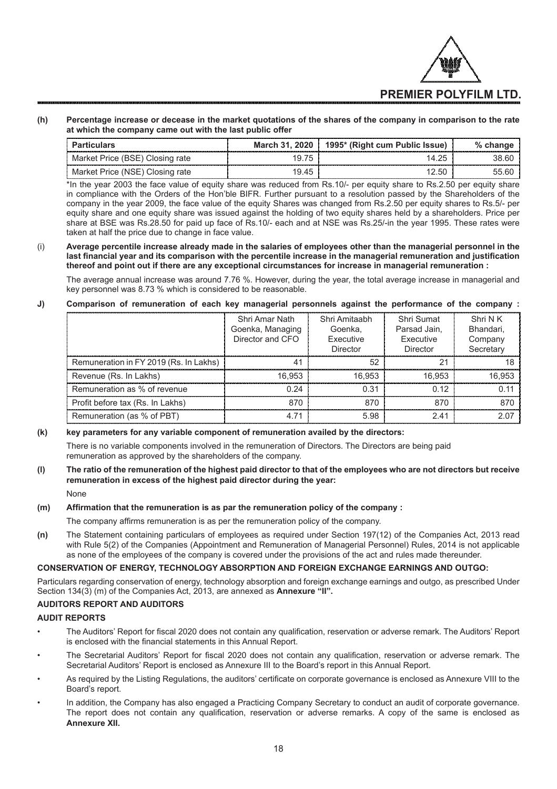

#### **(h) Percentage increase or decease in the market quotations of the shares of the company in comparison to the rate at which the company came out with the last public offer**

|           | 2020<br>$^{\circ}$ | C11D<br> |     |
|-----------|--------------------|----------|-----|
| ale       |                    | $\sim$   | .61 |
| .ate<br>┉ |                    | .50      |     |

\*In the year 2003 the face value of equity share was reduced from Rs.10/- per equity share to Rs.2.50 per equity share in compliance with the Orders of the Hon'ble BIFR. Further pursuant to a resolution passed by the Shareholders of the company in the year 2009, the face value of the equity Shares was changed from Rs.2.50 per equity shares to Rs.5/- per equity share and one equity share was issued against the holding of two equity shares held by a shareholders. Price per share at BSE was Rs.28.50 for paid up face of Rs.10/- each and at NSE was Rs.25/-in the year 1995. These rates were taken at half the price due to change in face value.

#### (i) **Average percentile increase already made in the salaries of employees other than the managerial personnel in the last financial year and its comparison with the percentile increase in the managerial remuneration and justification thereof and point out if there are any exceptional circumstances for increase in managerial remuneration :**

The average annual increase was around 7.76 %. However, during the year, the total average increase in managerial and key personnel was 8.73 % which is considered to be reasonable.

#### **J) Comparison of remuneration of each key managerial personnels against the performance of the company :**

|                                        | Shri Amar Nath<br>Goenka, Managing<br>Director and CFO | Shri Amitaabh<br>Goenka.<br>Executive<br>Director | Shri Sumat<br>Parsad Jain.<br><b>Executive</b><br>Director | Shri N K<br>Bhandari.<br>Company<br>Secretary |
|----------------------------------------|--------------------------------------------------------|---------------------------------------------------|------------------------------------------------------------|-----------------------------------------------|
| Remuneration in FY 2019 (Rs. In Lakhs) |                                                        | 52                                                | 21                                                         |                                               |
| Revenue (Rs. In Lakhs)                 | 16.953                                                 | 16.953                                            | 16.953                                                     | 16.953                                        |
| Remuneration as % of revenue           | 0.24                                                   | 0.31                                              | 0.12                                                       |                                               |
| Profit before tax (Rs. In Lakhs)       | 870                                                    | 870                                               | 870                                                        | 870                                           |
| Remuneration (as % of PBT)             | 4.71                                                   | 5.98                                              | 2.41                                                       |                                               |

#### **(k) key parameters for any variable component of remuneration availed by the directors:**

There is no variable components involved in the remuneration of Directors. The Directors are being paid remuneration as approved by the shareholders of the company.

# **(l) The ratio of the remuneration of the highest paid director to that of the employees who are not directors but receive remuneration in excess of the highest paid director during the year:**

None

#### **(m) Affirmation that the remuneration is as par the remuneration policy of the company :**

The company affirms remuneration is as per the remuneration policy of the company.

**(n)** The Statement containing particulars of employees as required under Section 197(12) of the Companies Act, 2013 read with Rule 5(2) of the Companies (Appointment and Remuneration of Managerial Personnel) Rules, 2014 is not applicable as none of the employees of the company is covered under the provisions of the act and rules made thereunder.

#### **CONSERVATION OF ENERGY, TECHNOLOGY ABSORPTION AND FOREIGN EXCHANGE EARNINGS AND OUTGO:**

Particulars regarding conservation of energy, technology absorption and foreign exchange earnings and outgo, as prescribed Under Section 134(3) (m) of the Companies Act, 2013, are annexed as **Annexure "II".** 

#### **AUDITORS REPORT AND AUDITORS**

#### **AUDIT REPORTS**

- The Auditors' Report for fiscal 2020 does not contain any qualification, reservation or adverse remark. The Auditors' Report is enclosed with the financial statements in this Annual Report.
- The Secretarial Auditors' Report for fiscal 2020 does not contain any qualification, reservation or adverse remark. The Secretarial Auditors' Report is enclosed as Annexure III to the Board's report in this Annual Report.
- As required by the Listing Regulations, the auditors' certificate on corporate governance is enclosed as Annexure VIII to the Board's report.
- In addition, the Company has also engaged a Practicing Company Secretary to conduct an audit of corporate governance. The report does not contain any qualification, reservation or adverse remarks. A copy of the same is enclosed as **Annexure XII.**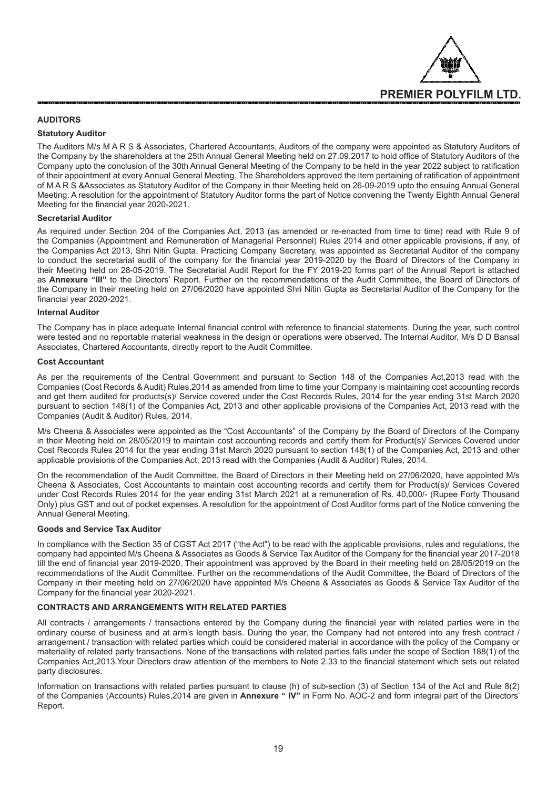

#### **AUDITORS**

#### **Statutory Auditor**

The Auditors M/s M A R S & Associates, Chartered Accountants, Auditors of the company were appointed as Statutory Auditors of the Company by the shareholders at the 25th Annual General Meeting held on 27.09.2017 to hold office of Statutory Auditors of the Company upto the conclusion of the 30th Annual General Meeting of the Company to be held in the year 2022 subject to ratification of their appointment at every Annual General Meeting. The Shareholders approved the item pertaining of ratification of appointment of M A R S &Associates as Statutory Auditor of the Company in their Meeting held on 26-09-2019 upto the ensuing Annual General Meeting. A resolution for the appointment of Statutory Auditor forms the part of Notice convening the Twenty Eighth Annual General Meeting for the financial year 2020-2021.

#### **Secretarial Auditor**

As required under Section 204 of the Companies Act, 2013 (as amended or re-enacted from time to time) read with Rule 9 of the Companies (Appointment and Remuneration of Managerial Personnel) Rules 2014 and other applicable provisions, if any, of the Companies Act 2013, Shri Nitin Gupta, Practicing Company Secretary, was appointed as Secretarial Auditor of the company to conduct the secretarial audit of the company for the financial year 2019-2020 by the Board of Directors of the Company in their Meeting held on 28-05-2019. The Secretarial Audit Report for the FY 2019-20 forms part of the Annual Report is attached as **Annexure "III"** to the Directors' Report. Further on the recommendations of the Audit Committee, the Board of Directors of the Company in their meeting held on 27/06/2020 have appointed Shri Nitin Gupta as Secretarial Auditor of the Company for the financial year 2020-2021.

#### **Internal Auditor**

The Company has in place adequate Internal financial control with reference to financial statements. During the year, such control were tested and no reportable material weakness in the design or operations were observed. The Internal Auditor, M/s D D Bansal Associates, Chartered Accountants, directly report to the Audit Committee.

#### **Cost Accountant**

As per the requirements of the Central Government and pursuant to Section 148 of the Companies Act,2013 read with the Companies (Cost Records & Audit) Rules,2014 as amended from time to time your Company is maintaining cost accounting records and get them audited for products(s)/ Service covered under the Cost Records Rules, 2014 for the year ending 31st March 2020 pursuant to section 148(1) of the Companies Act, 2013 and other applicable provisions of the Companies Act, 2013 read with the Companies (Audit & Auditor) Rules, 2014.

M/s Cheena & Associates were appointed as the "Cost Accountants" of the Company by the Board of Directors of the Company in their Meeting held on 28/05/2019 to maintain cost accounting records and certify them for Product(s)/ Services Covered under Cost Records Rules 2014 for the year ending 31st March 2020 pursuant to section 148(1) of the Companies Act, 2013 and other applicable provisions of the Companies Act, 2013 read with the Companies (Audit & Auditor) Rules, 2014.

On the recommendation of the Audit Committee, the Board of Directors in their Meeting held on 27/06/2020, have appointed M/s Cheena & Associates, Cost Accountants to maintain cost accounting records and certify them for Product(s)/ Services Covered under Cost Records Rules 2014 for the year ending 31st March 2021 at a remuneration of Rs. 40,000/- (Rupee Forty Thousand Only) plus GST and out of pocket expenses. A resolution for the appointment of Cost Auditor forms part of the Notice convening the Annual General Meeting.

#### **Goods and Service Tax Auditor**

In compliance with the Section 35 of CGST Act 2017 ("the Act") to be read with the applicable provisions, rules and regulations, the company had appointed M/s Cheena & Associates as Goods & Service Tax Auditor of the Company for the financial year 2017-2018 till the end of financial year 2019-2020. Their appointment was approved by the Board in their meeting held on 28/05/2019 on the recommendations of the Audit Committee. Further on the recommendations of the Audit Committee, the Board of Directors of the Company in their meeting held on 27/06/2020 have appointed M/s Cheena & Associates as Goods & Service Tax Auditor of the Company for the financial year 2020-2021.

#### **CONTRACTS AND ARRANGEMENTS WITH RELATED PARTIES**

All contracts / arrangements / transactions entered by the Company during the financial year with related parties were in the ordinary course of business and at arm's length basis. During the year, the Company had not entered into any fresh contract / arrangement / transaction with related parties which could be considered material in accordance with the policy of the Company or materiality of related party transactions. None of the transactions with related parties falls under the scope of Section 188(1) of the Companies Act,2013.Your Directors draw attention of the members to Note 2.33 to the financial statement which sets out related party disclosures.

Information on transactions with related parties pursuant to clause (h) of sub-section (3) of Section 134 of the Act and Rule 8(2) of the Companies (Accounts) Rules,2014 are given in **Annexure " IV"** in Form No. AOC-2 and form integral part of the Directors' Report.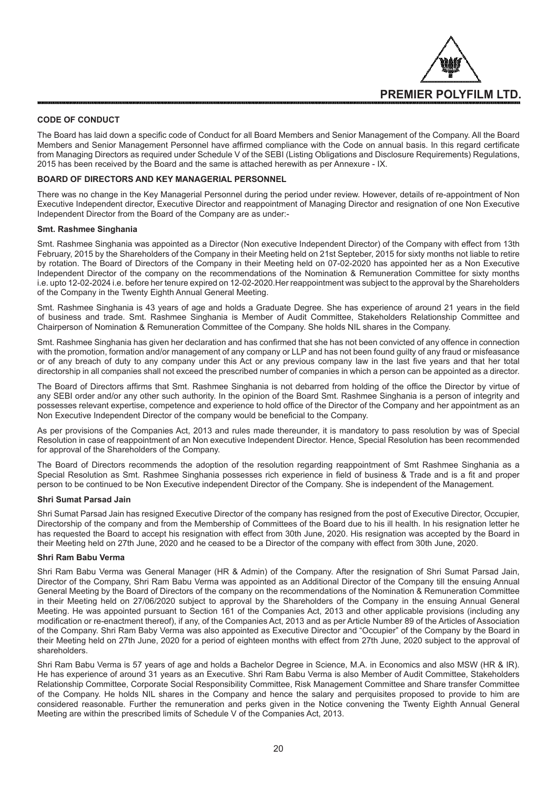

#### **CODE OF CONDUCT**

The Board has laid down a specific code of Conduct for all Board Members and Senior Management of the Company. All the Board Members and Senior Management Personnel have affirmed compliance with the Code on annual basis. In this regard certificate from Managing Directors as required under Schedule V of the SEBI (Listing Obligations and Disclosure Requirements) Regulations, 2015 has been received by the Board and the same is attached herewith as per Annexure - IX.

#### **BOARD OF DIRECTORS AND KEY MANAGERIAL PERSONNEL**

There was no change in the Key Managerial Personnel during the period under review. However, details of re-appointment of Non Executive Independent director, Executive Director and reappointment of Managing Director and resignation of one Non Executive Independent Director from the Board of the Company are as under:-

#### **Smt. Rashmee Singhania**

Smt. Rashmee Singhania was appointed as a Director (Non executive Independent Director) of the Company with effect from 13th February, 2015 by the Shareholders of the Company in their Meeting held on 21st Septeber, 2015 for sixty months not liable to retire by rotation. The Board of Directors of the Company in their Meeting held on 07-02-2020 has appointed her as a Non Executive Independent Director of the company on the recommendations of the Nomination & Remuneration Committee for sixty months i.e. upto 12-02-2024 i.e. before her tenure expired on 12-02-2020.Her reappointment was subject to the approval by the Shareholders of the Company in the Twenty Eighth Annual General Meeting.

Smt. Rashmee Singhania is 43 years of age and holds a Graduate Degree. She has experience of around 21 years in the field of business and trade. Smt. Rashmee Singhania is Member of Audit Committee, Stakeholders Relationship Committee and Chairperson of Nomination & Remuneration Committee of the Company. She holds NIL shares in the Company.

Smt. Rashmee Singhania has given her declaration and has confirmed that she has not been convicted of any offence in connection with the promotion, formation and/or management of any company or LLP and has not been found guilty of any fraud or misfeasance or of any breach of duty to any company under this Act or any previous company law in the last five years and that her total directorship in all companies shall not exceed the prescribed number of companies in which a person can be appointed as a director.

The Board of Directors affirms that Smt. Rashmee Singhania is not debarred from holding of the office the Director by virtue of any SEBI order and/or any other such authority. In the opinion of the Board Smt. Rashmee Singhania is a person of integrity and possesses relevant expertise, competence and experience to hold office of the Director of the Company and her appointment as an Non Executive Independent Director of the company would be beneficial to the Company.

As per provisions of the Companies Act, 2013 and rules made thereunder, it is mandatory to pass resolution by was of Special Resolution in case of reappointment of an Non executive Independent Director. Hence, Special Resolution has been recommended for approval of the Shareholders of the Company.

The Board of Directors recommends the adoption of the resolution regarding reappointment of Smt Rashmee Singhania as a Special Resolution as Smt. Rashmee Singhania possesses rich experience in field of business & Trade and is a fit and proper person to be continued to be Non Executive independent Director of the Company. She is independent of the Management.

#### **Shri Sumat Parsad Jain**

Shri Sumat Parsad Jain has resigned Executive Director of the company has resigned from the post of Executive Director, Occupier, Directorship of the company and from the Membership of Committees of the Board due to his ill health. In his resignation letter he has requested the Board to accept his resignation with effect from 30th June, 2020. His resignation was accepted by the Board in their Meeting held on 27th June, 2020 and he ceased to be a Director of the company with effect from 30th June, 2020.

#### **Shri Ram Babu Verma**

Shri Ram Babu Verma was General Manager (HR & Admin) of the Company. After the resignation of Shri Sumat Parsad Jain, Director of the Company, Shri Ram Babu Verma was appointed as an Additional Director of the Company till the ensuing Annual General Meeting by the Board of Directors of the company on the recommendations of the Nomination & Remuneration Committee in their Meeting held on 27/06/2020 subject to approval by the Shareholders of the Company in the ensuing Annual General Meeting. He was appointed pursuant to Section 161 of the Companies Act, 2013 and other applicable provisions (including any modification or re-enactment thereof), if any, of the Companies Act, 2013 and as per Article Number 89 of the Articles of Association of the Company. Shri Ram Baby Verma was also appointed as Executive Director and "Occupier" of the Company by the Board in their Meeting held on 27th June, 2020 for a period of eighteen months with effect from 27th June, 2020 subject to the approval of shareholders.

Shri Ram Babu Verma is 57 years of age and holds a Bachelor Degree in Science, M.A. in Economics and also MSW (HR & IR). He has experience of around 31 years as an Executive. Shri Ram Babu Verma is also Member of Audit Committee, Stakeholders Relationship Committee, Corporate Social Responsibility Committee, Risk Management Committee and Share transfer Committee of the Company. He holds NIL shares in the Company and hence the salary and perquisites proposed to provide to him are considered reasonable. Further the remuneration and perks given in the Notice convening the Twenty Eighth Annual General Meeting are within the prescribed limits of Schedule V of the Companies Act, 2013.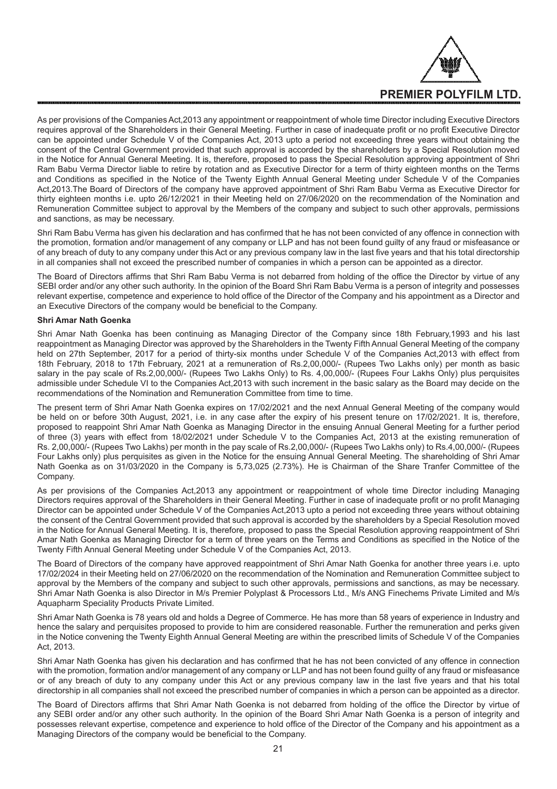

As per provisions of the Companies Act,2013 any appointment or reappointment of whole time Director including Executive Directors requires approval of the Shareholders in their General Meeting. Further in case of inadequate profit or no profit Executive Director can be appointed under Schedule V of the Companies Act, 2013 upto a period not exceeding three years without obtaining the consent of the Central Government provided that such approval is accorded by the shareholders by a Special Resolution moved in the Notice for Annual General Meeting. It is, therefore, proposed to pass the Special Resolution approving appointment of Shri Ram Babu Verma Director liable to retire by rotation and as Executive Director for a term of thirty eighteen months on the Terms and Conditions as specified in the Notice of the Twenty Eighth Annual General Meeting under Schedule V of the Companies Act,2013.The Board of Directors of the company have approved appointment of Shri Ram Babu Verma as Executive Director for thirty eighteen months i.e. upto 26/12/2021 in their Meeting held on 27/06/2020 on the recommendation of the Nomination and Remuneration Committee subject to approval by the Members of the company and subject to such other approvals, permissions and sanctions, as may be necessary.

Shri Ram Babu Verma has given his declaration and has confirmed that he has not been convicted of any offence in connection with the promotion, formation and/or management of any company or LLP and has not been found guilty of any fraud or misfeasance or of any breach of duty to any company under this Act or any previous company law in the last five years and that his total directorship in all companies shall not exceed the prescribed number of companies in which a person can be appointed as a director.

The Board of Directors affirms that Shri Ram Babu Verma is not debarred from holding of the office the Director by virtue of any SEBI order and/or any other such authority. In the opinion of the Board Shri Ram Babu Verma is a person of integrity and possesses relevant expertise, competence and experience to hold office of the Director of the Company and his appointment as a Director and an Executive Directors of the company would be beneficial to the Company.

#### **Shri Amar Nath Goenka**

Shri Amar Nath Goenka has been continuing as Managing Director of the Company since 18th February,1993 and his last reappointment as Managing Director was approved by the Shareholders in the Twenty Fifth Annual General Meeting of the company held on 27th September, 2017 for a period of thirty-six months under Schedule V of the Companies Act,2013 with effect from 18th February, 2018 to 17th February, 2021 at a remuneration of Rs.2,00,000/- (Rupees Two Lakhs only) per month as basic salary in the pay scale of Rs.2,00,000/- (Rupees Two Lakhs Only) to Rs. 4,00,000/- (Rupees Four Lakhs Only) plus perquisites admissible under Schedule VI to the Companies Act,2013 with such increment in the basic salary as the Board may decide on the recommendations of the Nomination and Remuneration Committee from time to time.

The present term of Shri Amar Nath Goenka expires on 17/02/2021 and the next Annual General Meeting of the company would be held on or before 30th August, 2021, i.e. in any case after the expiry of his present tenure on 17/02/2021. It is, therefore, proposed to reappoint Shri Amar Nath Goenka as Managing Director in the ensuing Annual General Meeting for a further period of three (3) years with effect from 18/02/2021 under Schedule V to the Companies Act, 2013 at the existing remuneration of Rs. 2,00,000/- (Rupees Two Lakhs) per month in the pay scale of Rs.2,00,000/- (Rupees Two Lakhs only) to Rs.4,00,000/- (Rupees Four Lakhs only) plus perquisites as given in the Notice for the ensuing Annual General Meeting. The shareholding of Shri Amar Nath Goenka as on 31/03/2020 in the Company is 5,73,025 (2.73%). He is Chairman of the Share Tranfer Committee of the Company

As per provisions of the Companies Act,2013 any appointment or reappointment of whole time Director including Managing Directors requires approval of the Shareholders in their General Meeting. Further in case of inadequate profit or no profit Managing Director can be appointed under Schedule V of the Companies Act,2013 upto a period not exceeding three years without obtaining the consent of the Central Government provided that such approval is accorded by the shareholders by a Special Resolution moved in the Notice for Annual General Meeting. It is, therefore, proposed to pass the Special Resolution approving reappointment of Shri Amar Nath Goenka as Managing Director for a term of three years on the Terms and Conditions as specified in the Notice of the Twenty Fifth Annual General Meeting under Schedule V of the Companies Act, 2013.

The Board of Directors of the company have approved reappointment of Shri Amar Nath Goenka for another three years i.e. upto 17/02/2024 in their Meeting held on 27/06/2020 on the recommendation of the Nomination and Remuneration Committee subject to approval by the Members of the company and subject to such other approvals, permissions and sanctions, as may be necessary. Shri Amar Nath Goenka is also Director in M/s Premier Polyplast & Processors Ltd., M/s ANG Finechems Private Limited and M/s Aquapharm Speciality Products Private Limited.

Shri Amar Nath Goenka is 78 years old and holds a Degree of Commerce. He has more than 58 years of experience in Industry and hence the salary and perquisites proposed to provide to him are considered reasonable. Further the remuneration and perks given in the Notice convening the Twenty Eighth Annual General Meeting are within the prescribed limits of Schedule V of the Companies Act, 2013.

Shri Amar Nath Goenka has given his declaration and has confirmed that he has not been convicted of any offence in connection with the promotion, formation and/or management of any company or LLP and has not been found guilty of any fraud or misfeasance or of any breach of duty to any company under this Act or any previous company law in the last five years and that his total directorship in all companies shall not exceed the prescribed number of companies in which a person can be appointed as a director.

The Board of Directors affirms that Shri Amar Nath Goenka is not debarred from holding of the office the Director by virtue of any SEBI order and/or any other such authority. In the opinion of the Board Shri Amar Nath Goenka is a person of integrity and possesses relevant expertise, competence and experience to hold office of the Director of the Company and his appointment as a Managing Directors of the company would be beneficial to the Company.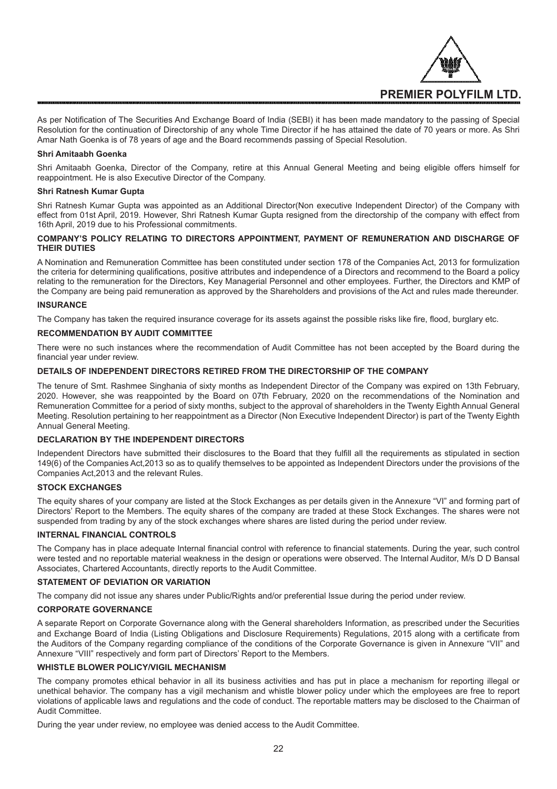

As per Notification of The Securities And Exchange Board of India (SEBI) it has been made mandatory to the passing of Special Resolution for the continuation of Directorship of any whole Time Director if he has attained the date of 70 years or more. As Shri Amar Nath Goenka is of 78 years of age and the Board recommends passing of Special Resolution.

#### **Shri Amitaabh Goenka**

Shri Amitaabh Goenka, Director of the Company, retire at this Annual General Meeting and being eligible offers himself for reappointment. He is also Executive Director of the Company.

#### **Shri Ratnesh Kumar Gupta**

Shri Ratnesh Kumar Gupta was appointed as an Additional Director(Non executive Independent Director) of the Company with effect from 01st April, 2019. However, Shri Ratnesh Kumar Gupta resigned from the directorship of the company with effect from 16th April, 2019 due to his Professional commitments.

#### **COMPANY'S POLICY RELATING TO DIRECTORS APPOINTMENT, PAYMENT OF REMUNERATION AND DISCHARGE OF THEIR DUTIES**

A Nomination and Remuneration Committee has been constituted under section 178 of the Companies Act, 2013 for formulization the criteria for determining qualifications, positive attributes and independence of a Directors and recommend to the Board a policy relating to the remuneration for the Directors, Key Managerial Personnel and other employees. Further, the Directors and KMP of the Company are being paid remuneration as approved by the Shareholders and provisions of the Act and rules made thereunder.

#### **INSURANCE**

The Company has taken the required insurance coverage for its assets against the possible risks like fire, flood, burglary etc.

#### **RECOMMENDATION BY AUDIT COMMITTEE**

There were no such instances where the recommendation of Audit Committee has not been accepted by the Board during the financial year under review.

#### **DETAILS OF INDEPENDENT DIRECTORS RETIRED FROM THE DIRECTORSHIP OF THE COMPANY**

The tenure of Smt. Rashmee Singhania of sixty months as Independent Director of the Company was expired on 13th February, 2020. However, she was reappointed by the Board on 07th February, 2020 on the recommendations of the Nomination and Remuneration Committee for a period of sixty months, subject to the approval of shareholders in the Twenty Eighth Annual General Meeting. Resolution pertaining to her reappointment as a Director (Non Executive Independent Director) is part of the Twenty Eighth Annual General Meeting.

#### **DECLARATION BY THE INDEPENDENT DIRECTORS**

Independent Directors have submitted their disclosures to the Board that they fulfill all the requirements as stipulated in section 149(6) of the Companies Act,2013 so as to qualify themselves to be appointed as Independent Directors under the provisions of the Companies Act,2013 and the relevant Rules.

#### **STOCK EXCHANGES**

The equity shares of your company are listed at the Stock Exchanges as per details given in the Annexure "VI" and forming part of Directors' Report to the Members. The equity shares of the company are traded at these Stock Exchanges. The shares were not suspended from trading by any of the stock exchanges where shares are listed during the period under review.

#### **INTERNAL FINANCIAL CONTROLS**

The Company has in place adequate Internal financial control with reference to financial statements. During the year, such control were tested and no reportable material weakness in the design or operations were observed. The Internal Auditor, M/s D D Bansal Associates, Chartered Accountants, directly reports to the Audit Committee.

#### **STATEMENT OF DEVIATION OR VARIATION**

The company did not issue any shares under Public/Rights and/or preferential Issue during the period under review.

#### **CORPORATE GOVERNANCE**

A separate Report on Corporate Governance along with the General shareholders Information, as prescribed under the Securities and Exchange Board of India (Listing Obligations and Disclosure Requirements) Regulations, 2015 along with a certificate from the Auditors of the Company regarding compliance of the conditions of the Corporate Governance is given in Annexure "VII" and Annexure "VIII" respectively and form part of Directors' Report to the Members.

#### **WHISTLE BLOWER POLICY/VIGIL MECHANISM**

The company promotes ethical behavior in all its business activities and has put in place a mechanism for reporting illegal or unethical behavior. The company has a vigil mechanism and whistle blower policy under which the employees are free to report violations of applicable laws and regulations and the code of conduct. The reportable matters may be disclosed to the Chairman of Audit Committee.

During the year under review, no employee was denied access to the Audit Committee.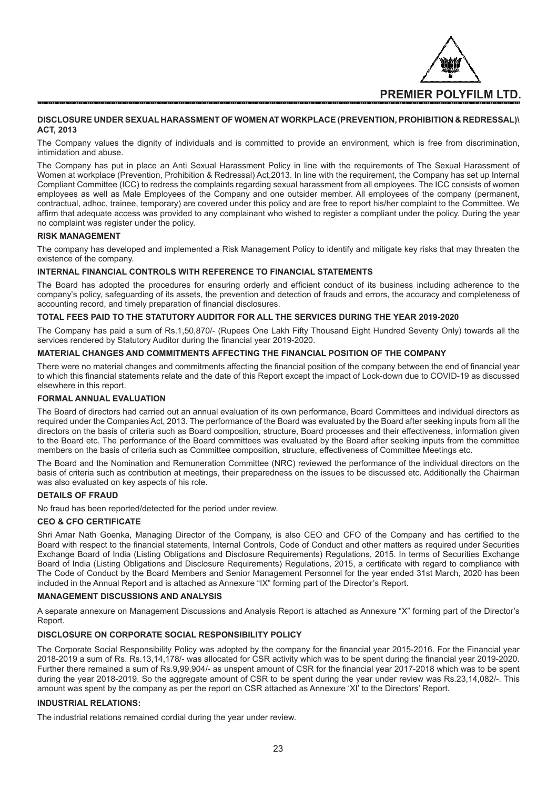

#### **DISCLOSURE UNDER SEXUAL HARASSMENT OF WOMEN AT WORKPLACE (PREVENTION, PROHIBITION & REDRESSAL)\ ACT, 2013**

The Company values the dignity of individuals and is committed to provide an environment, which is free from discrimination, intimidation and abuse.

The Company has put in place an Anti Sexual Harassment Policy in line with the requirements of The Sexual Harassment of Women at workplace (Prevention, Prohibition & Redressal) Act,2013. In line with the requirement, the Company has set up Internal Compliant Committee (ICC) to redress the complaints regarding sexual harassment from all employees. The ICC consists of women employees as well as Male Employees of the Company and one outsider member. All employees of the company (permanent, contractual, adhoc, trainee, temporary) are covered under this policy and are free to report his/her complaint to the Committee. We affirm that adequate access was provided to any complainant who wished to register a compliant under the policy. During the year no complaint was register under the policy.

#### **RISK MANAGEMENT**

The company has developed and implemented a Risk Management Policy to identify and mitigate key risks that may threaten the existence of the company.

#### **INTERNAL FINANCIAL CONTROLS WITH REFERENCE TO FINANCIAL STATEMENTS**

The Board has adopted the procedures for ensuring orderly and efficient conduct of its business including adherence to the company's policy, safeguarding of its assets, the prevention and detection of frauds and errors, the accuracy and completeness of accounting record, and timely preparation of financial disclosures.

#### **TOTAL FEES PAID TO THE STATUTORY AUDITOR FOR ALL THE SERVICES DURING THE YEAR 2019-2020**

The Company has paid a sum of Rs.1,50,870/- (Rupees One Lakh Fifty Thousand Eight Hundred Seventy Only) towards all the services rendered by Statutory Auditor during the financial year 2019-2020.

#### **MATERIAL CHANGES AND COMMITMENTS AFFECTING THE FINANCIAL POSITION OF THE COMPANY**

There were no material changes and commitments affecting the financial position of the company between the end of financial year to which this financial statements relate and the date of this Report except the impact of Lock-down due to COVID-19 as discussed elsewhere in this report.

#### **FORMAL ANNUAL EVALUATION**

The Board of directors had carried out an annual evaluation of its own performance, Board Committees and individual directors as required under the Companies Act, 2013. The performance of the Board was evaluated by the Board after seeking inputs from all the directors on the basis of criteria such as Board composition, structure, Board processes and their effectiveness, information given to the Board etc. The performance of the Board committees was evaluated by the Board after seeking inputs from the committee members on the basis of criteria such as Committee composition, structure, effectiveness of Committee Meetings etc.

The Board and the Nomination and Remuneration Committee (NRC) reviewed the performance of the individual directors on the basis of criteria such as contribution at meetings, their preparedness on the issues to be discussed etc. Additionally the Chairman was also evaluated on key aspects of his role.

### **DETAILS OF FRAUD**

No fraud has been reported/detected for the period under review.

#### **CEO & CFO CERTIFICATE**

Shri Amar Nath Goenka, Managing Director of the Company, is also CEO and CFO of the Company and has certified to the Board with respect to the financial statements, Internal Controls, Code of Conduct and other matters as required under Securities Exchange Board of India (Listing Obligations and Disclosure Requirements) Regulations, 2015. In terms of Securities Exchange Board of India (Listing Obligations and Disclosure Requirements) Regulations, 2015, a certificate with regard to compliance with The Code of Conduct by the Board Members and Senior Management Personnel for the year ended 31st March, 2020 has been included in the Annual Report and is attached as Annexure "IX" forming part of the Director's Report.

#### **MANAGEMENT DISCUSSIONS AND ANALYSIS**

A separate annexure on Management Discussions and Analysis Report is attached as Annexure "X" forming part of the Director's Report.

#### **DISCLOSURE ON CORPORATE SOCIAL RESPONSIBILITY POLICY**

The Corporate Social Responsibility Policy was adopted by the company for the financial year 2015-2016. For the Financial year 2018-2019 a sum of Rs. Rs.13,14,178/- was allocated for CSR activity which was to be spent during the financial year 2019-2020. Further there remained a sum of Rs.9,99,904/- as unspent amount of CSR for the financial year 2017-2018 which was to be spent during the year 2018-2019. So the aggregate amount of CSR to be spent during the year under review was Rs.23.14,082/-. This amount was spent by the company as per the report on CSR attached as Annexure 'XI' to the Directors' Report.

#### **INDUSTRIAL RELATIONS:**

The industrial relations remained cordial during the year under review.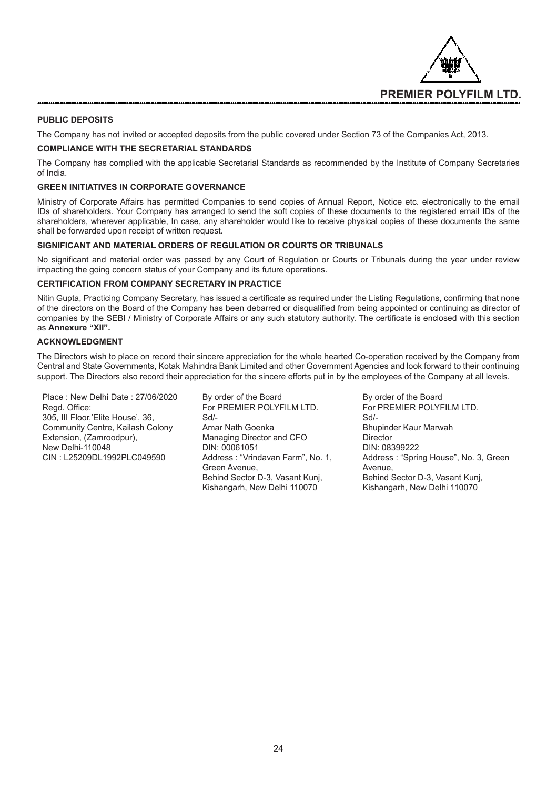

#### **PUBLIC DEPOSITS**

The Company has not invited or accepted deposits from the public covered under Section 73 of the Companies Act, 2013.

# **COMPLIANCE WITH THE SECRETARIAL STANDARDS**

The Company has complied with the applicable Secretarial Standards as recommended by the Institute of Company Secretaries of India.

#### **GREEN INITIATIVES IN CORPORATE GOVERNANCE**

Ministry of Corporate Affairs has permitted Companies to send copies of Annual Report, Notice etc. electronically to the email IDs of shareholders. Your Company has arranged to send the soft copies of these documents to the registered email IDs of the shareholders, wherever applicable, In case, any shareholder would like to receive physical copies of these documents the same shall be forwarded upon receipt of written request.

#### **SIGNIFICANT AND MATERIAL ORDERS OF REGULATION OR COURTS OR TRIBUNALS**

No significant and material order was passed by any Court of Regulation or Courts or Tribunals during the year under review impacting the going concern status of your Company and its future operations.

#### **CERTIFICATION FROM COMPANY SECRETARY IN PRACTICE**

Nitin Gupta, Practicing Company Secretary, has issued a certificate as required under the Listing Regulations, confirming that none of the directors on the Board of the Company has been debarred or disqualified from being appointed or continuing as director of companies by the SEBI / Ministry of Corporate Affairs or any such statutory authority. The certificate is enclosed with this section as **Annexure "XII".** 

#### **ACKNOWLEDGMENT**

The Directors wish to place on record their sincere appreciation for the whole hearted Co-operation received by the Company from Central and State Governments, Kotak Mahindra Bank Limited and other Government Agencies and look forward to their continuing support. The Directors also record their appreciation for the sincere efforts put in by the employees of the Company at all levels.

Place : New Delhi Date : 27/06/2020 Regd. Office: 305, III Floor,'Elite House', 36, Community Centre, Kailash Colony Extension, (Zamroodpur), New Delhi-110048 CIN : L25209DL1992PLC049590

By order of the Board For PREMIER POLYFILM LTD. Sd/- Amar Nath Goenka Managing Director and CFO DIN: 00061051 Address : "Vrindavan Farm", No. 1, Green Avenue, Behind Sector D-3, Vasant Kunj, Kishangarh, New Delhi 110070

By order of the Board For PREMIER POLYFILM LTD. Sd/- Bhupinder Kaur Marwah Director DIN: 08399222 Address : "Spring House", No. 3, Green Avenue, Behind Sector D-3, Vasant Kunj, Kishangarh, New Delhi 110070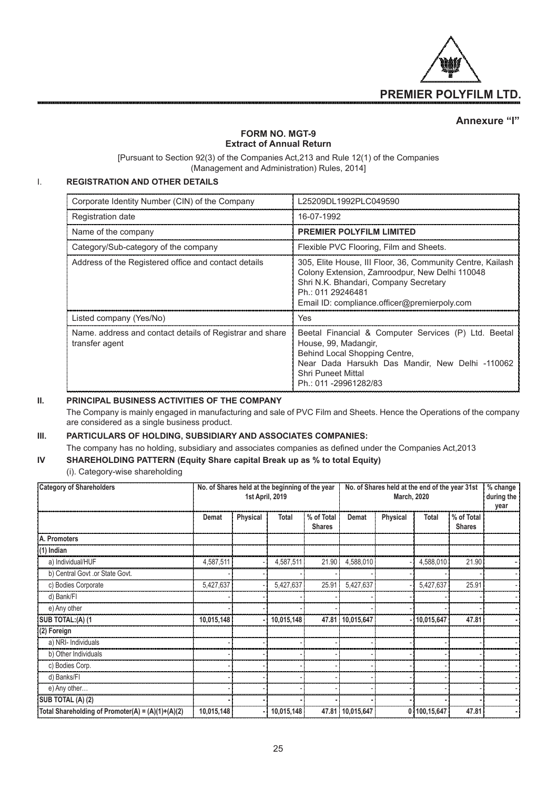

**Annexure "I"**

#### **FORM NO. MGT-9 Extract of Annual Return**

[Pursuant to Section 92(3) of the Companies Act,213 and Rule 12(1) of the Companies (Management and Administration) Rules, 2014]

# I. **REGISTRATION AND OTHER DETAILS**

| Corporate Identity Number (CIN) of the Company                             | L25209DL1992PLC049590                                                                                                                                                                                                     |
|----------------------------------------------------------------------------|---------------------------------------------------------------------------------------------------------------------------------------------------------------------------------------------------------------------------|
| Registration date                                                          | 16-07-1992                                                                                                                                                                                                                |
| Name of the company                                                        | <b>PREMIER POLYFILM LIMITED</b>                                                                                                                                                                                           |
| Category/Sub-category of the company                                       | Flexible PVC Flooring, Film and Sheets.                                                                                                                                                                                   |
| Address of the Registered office and contact details                       | 305, Elite House, III Floor, 36, Community Centre, Kailash<br>Colony Extension, Zamroodpur, New Delhi 110048<br>Shri N.K. Bhandari, Company Secretary<br>Ph: 011 29246481<br>Email ID: compliance.officer@premierpoly.com |
| Listed company (Yes/No)                                                    | Yes                                                                                                                                                                                                                       |
| Name, address and contact details of Registrar and share<br>transfer agent | Beetal Financial & Computer Services (P) Ltd. Beetal<br>House, 99. Madangir.<br>Behind Local Shopping Centre,<br>Near Dada Harsukh Das Mandir. New Delhi -110062<br>Shri Puneet Mittal<br>Ph.: 011 -29961282/83           |

# **II. PRINCIPAL BUSINESS ACTIVITIES OF THE COMPANY**

The Company is mainly engaged in manufacturing and sale of PVC Film and Sheets. Hence the Operations of the company are considered as a single business product.

#### **III. PARTICULARS OF HOLDING, SUBSIDIARY AND ASSOCIATES COMPANIES:**

The company has no holding, subsidiary and associates companies as defined under the Companies Act,2013

#### **IV SHAREHOLDING PATTERN (Equity Share capital Break up as % to total Equity)**

#### (i). Category-wise shareholding

| <b>Category of Shareholders</b>                   |            | 1st April, 2019 | No. of Shares held at the beginning of the year |                             | No. of Shares held at the end of the year 31st<br><b>March, 2020</b> |          |              |                             | % change<br>during the<br>vear |
|---------------------------------------------------|------------|-----------------|-------------------------------------------------|-----------------------------|----------------------------------------------------------------------|----------|--------------|-----------------------------|--------------------------------|
|                                                   | Demat      | Physical        | Total                                           | % of Total<br><b>Shares</b> | Demat                                                                | Physical | <b>Total</b> | % of Total<br><b>Shares</b> |                                |
| A. Promoters                                      |            |                 |                                                 |                             |                                                                      |          |              |                             |                                |
| (1) Indian                                        |            |                 |                                                 |                             |                                                                      |          |              |                             |                                |
| a) Individual/HUF                                 | 4,587,511  |                 | 4,587,511                                       | 21.90                       | 4,588,010                                                            |          | 4.588.010    | 21.90                       |                                |
| b) Central Govt .or State Govt.                   |            |                 |                                                 |                             |                                                                      |          |              |                             |                                |
| c) Bodies Corporate                               | 5,427,637  |                 | 5,427,637                                       | 25.91                       | 5,427,637                                                            |          | 5,427,637    | 25.91                       |                                |
| d) Bank/FI                                        |            |                 |                                                 |                             |                                                                      |          |              |                             |                                |
| e) Any other                                      |            |                 |                                                 |                             |                                                                      |          |              |                             |                                |
| SUB TOTAL:(A) (1                                  | 10,015,148 |                 | 10,015,148                                      |                             | 47.81 10,015,647                                                     |          | 10,015,647   | 47.81                       |                                |
| (2) Foreign                                       |            |                 |                                                 |                             |                                                                      |          |              |                             |                                |
| a) NRI- Individuals                               |            |                 |                                                 |                             |                                                                      |          |              |                             |                                |
| b) Other Individuals                              |            |                 |                                                 |                             |                                                                      |          |              |                             |                                |
| c) Bodies Corp.                                   |            |                 |                                                 |                             |                                                                      |          |              |                             |                                |
| d) Banks/FI                                       |            |                 |                                                 |                             |                                                                      |          |              |                             |                                |
| e) Any other                                      |            |                 |                                                 |                             |                                                                      |          |              |                             |                                |
| SUB TOTAL (A) (2)                                 |            |                 |                                                 |                             |                                                                      |          |              |                             |                                |
| Total Shareholding of Promoter(A) = (A)(1)+(A)(2) | 10,015,148 |                 | 10,015,148                                      |                             | 47.81 10,015,647                                                     |          | 01100,15,647 | 47.81                       |                                |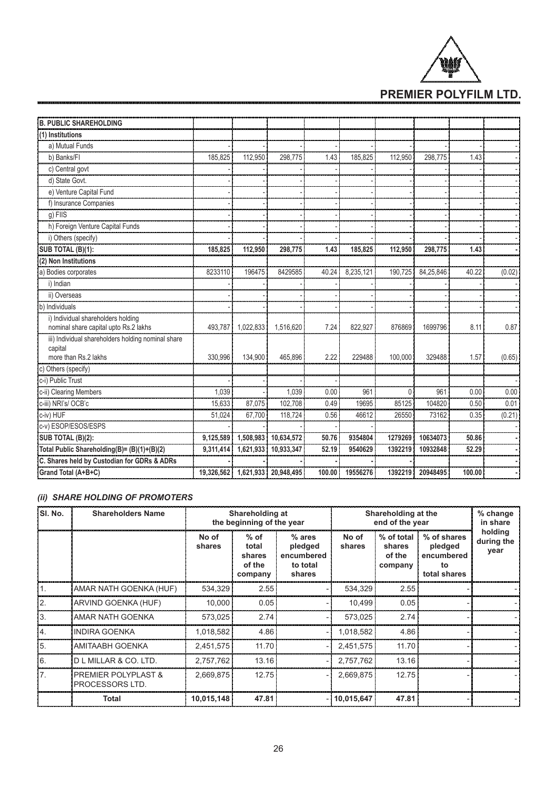

|  |  | <b>PREMIER POLYFILM LTD.</b> |  |  |  |  |
|--|--|------------------------------|--|--|--|--|
|  |  |                              |  |  |  |  |

| <b>B. PUBLIC SHAREHOLDING</b>                                                         |           |           |                                 |        |           |         |           |        |        |
|---------------------------------------------------------------------------------------|-----------|-----------|---------------------------------|--------|-----------|---------|-----------|--------|--------|
| (1) Institutions                                                                      |           |           |                                 |        |           |         |           |        |        |
| a) Mutual Funds                                                                       |           |           |                                 |        |           |         |           |        |        |
| b) Banks/FI                                                                           | 185,825   | 112,950   | 298,775                         | 1.43   | 185,825   | 112,950 | 298,775   | 1.43   |        |
| c) Central govt                                                                       |           |           |                                 |        |           |         |           |        |        |
| d) State Govt.                                                                        |           |           |                                 |        |           |         |           |        |        |
| e) Venture Capital Fund                                                               |           |           |                                 |        |           |         |           |        |        |
| f) Insurance Companies                                                                |           |           |                                 |        |           |         |           |        |        |
| g) FIIS                                                                               |           |           |                                 |        |           |         |           |        |        |
| h) Foreign Venture Capital Funds                                                      |           |           |                                 |        |           |         |           |        |        |
| i) Others (specify)                                                                   |           |           |                                 |        |           |         |           |        |        |
| SUB TOTAL (B)(1):                                                                     | 185,825   | 112.950   | 298,775                         | 1.43   | 185,825   | 112,950 | 298,775   | 1.43   |        |
| (2) Non Institutions                                                                  |           |           |                                 |        |           |         |           |        |        |
| a) Bodies corporates                                                                  | 8233110   | 196475    | 8429585                         | 40.24  | 8,235,121 | 190.725 | 84,25,846 | 40.22  | (0.02) |
| i) Indian                                                                             |           |           |                                 |        |           |         |           |        |        |
| ii) Overseas                                                                          |           |           |                                 |        |           |         |           |        |        |
| b) Individuals                                                                        |           |           |                                 |        |           |         |           |        |        |
| i) Individual shareholders holding<br>nominal share capital upto Rs.2 lakhs           | 493.787   | 1.022.833 | 1.516.620                       | 7.24   | 822.927   | 876869  | 1699796   | 8.11   | 0.87   |
| iii) Individual shareholders holding nominal share<br>capital<br>more than Rs.2 lakhs | 330.996   | 134.900   | 465.896                         | 2.22   | 229488    | 100.000 | 329488    | 1.57   | (0.65) |
| c) Others (specify)                                                                   |           |           |                                 |        |           |         |           |        |        |
| c-i) Public Trust                                                                     |           |           |                                 |        |           |         |           |        |        |
| c-ii) Clearing Members                                                                | 1.039     |           | 1,039                           | 0.00   | 961       | O       | 961       | 0.00   | 0.00   |
| c-iii) NRI's/OCB'c                                                                    | 15.633    | 87.075    | 102.708                         | 0.49   | 19695     | 85125   | 104820    | 0.50   | 0.01   |
| c-iv) HUF                                                                             | 51.024    | 67.700    | 118.724                         | 0.56   | 46612     | 26550   | 73162     | 0.35   | (0.21) |
| c-v) ESOP/ESOS/ESPS                                                                   |           |           |                                 |        |           |         |           |        |        |
| SUB TOTAL (B)(2):                                                                     | 9.125.589 | 1.508.983 | 10.634.572                      | 50.76  | 9354804   | 1279269 | 10634073  | 50.86  |        |
| Total Public Shareholding(B)= (B)(1)+(B)(2)                                           | 9,311,414 | 1,621,933 | 10,933,347                      | 52.19  | 9540629   | 1392219 | 10932848  | 52.29  |        |
| C. Shares held by Custodian for GDRs & ADRs                                           |           |           |                                 |        |           |         |           |        |        |
| Grand Total (A+B+C)                                                                   |           |           | 19,326,562 1,621,933 20,948,495 | 100.00 | 19556276  | 1392219 | 20948495  | 100.00 |        |

# *(ii) SHARE HOLDING OF PROMOTERS*

| SI. No. | <b>Shareholders Name</b>                          | Shareholding at<br>the beginning of the year |                                                |                                                         | Shareholding at the<br>end of the year | % change<br>in share                      |                                                            |                               |
|---------|---------------------------------------------------|----------------------------------------------|------------------------------------------------|---------------------------------------------------------|----------------------------------------|-------------------------------------------|------------------------------------------------------------|-------------------------------|
|         |                                                   | No of<br>shares                              | $%$ of<br>total<br>shares<br>of the<br>company | $%$ ares<br>pledged<br>encumbered<br>to total<br>shares | No of<br>shares                        | % of total<br>shares<br>of the<br>company | % of shares<br>pledged<br>encumbered<br>to<br>total shares | holding<br>during the<br>year |
|         | AMAR NATH GOENKA (HUF)                            | 534.329                                      | 2.55                                           |                                                         | 534.329                                | 2.55                                      |                                                            |                               |
| 12.     | ARVIND GOENKA (HUF)                               | 10.000                                       | 0.05                                           |                                                         | 10.499                                 | 0.05                                      |                                                            |                               |
| l3.     | AMAR NATH GOENKA                                  | 573.025                                      | 2.74                                           |                                                         | 573.025                                | 2.74                                      |                                                            |                               |
| 14.     | <b>INDIRA GOENKA</b>                              | 1,018,582                                    | 4.86                                           |                                                         | 1,018,582                              | 4.86                                      |                                                            |                               |
| 15.     | <b>AMITAABH GOENKA</b>                            | 2.451.575                                    | 11.70                                          |                                                         | 2.451.575                              | 11.70                                     |                                                            |                               |
| l6.     | D L MILLAR & CO. LTD.                             | 2.757.762                                    | 13.16                                          |                                                         | 2.757.762                              | 13.16                                     |                                                            |                               |
| 17.     | <b>PREMIER POLYPLAST &amp;</b><br>PROCESSORS LTD. | 2.669.875                                    | 12.75                                          |                                                         | 2.669.875                              | 12.75                                     |                                                            |                               |
|         | Total                                             | 10,015,148                                   | 47.81                                          |                                                         | $-110,015,647$                         | 47.81                                     |                                                            |                               |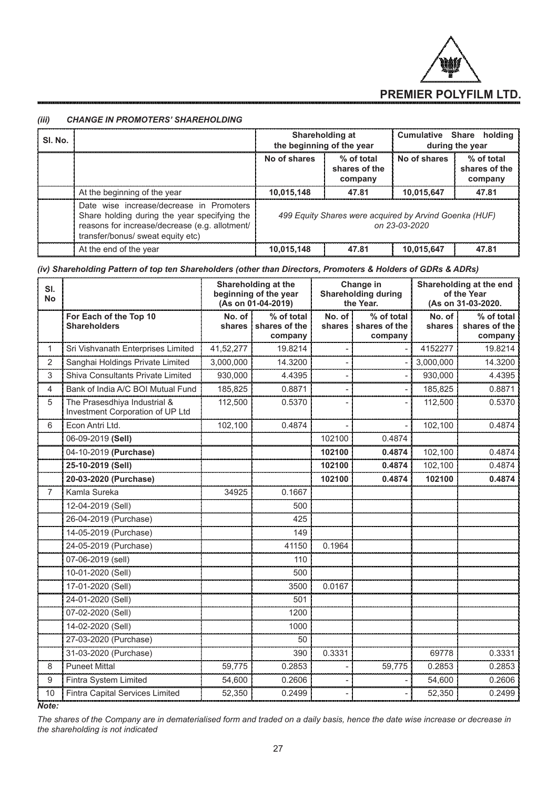

# *(iii) CHANGE IN PROMOTERS' SHAREHOLDING*

| SI. No. |                                                                                                                                                                                 | Shareholding at<br>the beginning of the year                              |                                        | Cumulative Share holding<br>during the year |                                        |  |
|---------|---------------------------------------------------------------------------------------------------------------------------------------------------------------------------------|---------------------------------------------------------------------------|----------------------------------------|---------------------------------------------|----------------------------------------|--|
|         |                                                                                                                                                                                 | No of shares                                                              | % of total<br>shares of the<br>company | No of shares                                | % of total<br>shares of the<br>company |  |
|         | At the beginning of the year                                                                                                                                                    | 10.015.148                                                                | 47.81                                  | 10.015.647                                  | 47.81                                  |  |
|         | Date wise increase/decrease in Promoters<br>Share holding during the year specifying the<br>reasons for increase/decrease (e.g. allotment/<br>transfer/bonus/ sweat equity etc) | 499 Equity Shares were acquired by Arvind Goenka (HUF)<br>$0n$ 23-03-2020 |                                        |                                             |                                        |  |
|         | At the end of the year                                                                                                                                                          | 10,015,148                                                                | 47.81                                  | 10,015,647                                  | 47.81                                  |  |

*(iv) Shareholding Pattern of top ten Shareholders (other than Directors, Promoters & Holders of GDRs & ADRs)*

| SI.<br>No      |                                                                  | Shareholding at the<br>beginning of the year<br>(As on 01-04-2019) |                                        | Change in<br>Shareholding during<br>the Year. |                                        | Shareholding at the end<br>of the Year<br>(As on 31-03-2020. |                                        |
|----------------|------------------------------------------------------------------|--------------------------------------------------------------------|----------------------------------------|-----------------------------------------------|----------------------------------------|--------------------------------------------------------------|----------------------------------------|
|                | For Each of the Top 10<br><b>Shareholders</b>                    | No. of<br>shares                                                   | % of total<br>shares of the<br>company | No. of<br>shares                              | % of total<br>shares of the<br>company | No. of<br>shares                                             | % of total<br>shares of the<br>company |
| 1              | Sri Vishvanath Enterprises Limited                               | 41,52,277                                                          | 19.8214                                |                                               |                                        | 4152277                                                      | 19.8214                                |
| $\overline{2}$ | Sanghai Holdings Private Limited                                 | 3,000,000                                                          | 14.3200                                |                                               |                                        | 3.000.000                                                    | 14.3200                                |
| 3              | Shiva Consultants Private Limited                                | 930,000                                                            | 4.4395                                 |                                               |                                        | 930,000                                                      | 4.4395                                 |
| 4              | Bank of India A/C BOI Mutual Fund                                | 185,825                                                            | 0.8871                                 |                                               |                                        | 185,825                                                      | 0.8871                                 |
| 5              | The Prasesdhiya Industrial &<br>Investment Corporation of UP Ltd | 112,500                                                            | 0.5370                                 |                                               |                                        | 112,500                                                      | 0.5370                                 |
| 6              | Econ Antri Ltd.                                                  | 102,100                                                            | 0.4874                                 |                                               |                                        | 102,100                                                      | 0.4874                                 |
|                | 06-09-2019 (Sell)                                                |                                                                    |                                        | 102100                                        | 0.4874                                 |                                                              |                                        |
|                | 04-10-2019 (Purchase)                                            |                                                                    |                                        | 102100                                        | 0.4874                                 | 102,100                                                      | 0.4874                                 |
|                | 25-10-2019 (Sell)                                                |                                                                    |                                        | 102100                                        | 0.4874                                 | 102,100                                                      | 0.4874                                 |
|                | 20-03-2020 (Purchase)                                            |                                                                    |                                        | 102100                                        | 0.4874                                 | 102100                                                       | 0.4874                                 |
| $\overline{7}$ | Kamla Sureka                                                     | 34925                                                              | 0.1667                                 |                                               |                                        |                                                              |                                        |
|                | 12-04-2019 (Sell)                                                |                                                                    | 500                                    |                                               |                                        |                                                              |                                        |
|                | 26-04-2019 (Purchase)                                            |                                                                    | 425                                    |                                               |                                        |                                                              |                                        |
|                | 14-05-2019 (Purchase)                                            |                                                                    | 149                                    |                                               |                                        |                                                              |                                        |
|                | 24-05-2019 (Purchase)                                            |                                                                    | 41150                                  | 0.1964                                        |                                        |                                                              |                                        |
|                | 07-06-2019 (sell)                                                |                                                                    | 110                                    |                                               |                                        |                                                              |                                        |
|                | 10-01-2020 (Sell)                                                |                                                                    | 500                                    |                                               |                                        |                                                              |                                        |
|                | 17-01-2020 (Sell)                                                |                                                                    | 3500                                   | 0.0167                                        |                                        |                                                              |                                        |
|                | 24-01-2020 (Sell)                                                |                                                                    | 501                                    |                                               |                                        |                                                              |                                        |
|                | 07-02-2020 (Sell)                                                |                                                                    | 1200                                   |                                               |                                        |                                                              |                                        |
|                | 14-02-2020 (Sell)                                                |                                                                    | 1000                                   |                                               |                                        |                                                              |                                        |
|                | 27-03-2020 (Purchase)                                            |                                                                    | 50                                     |                                               |                                        |                                                              |                                        |
|                | 31-03-2020 (Purchase)                                            |                                                                    | 390                                    | 0.3331                                        |                                        | 69778                                                        | 0.3331                                 |
| 8              | <b>Puneet Mittal</b>                                             | 59,775                                                             | 0.2853                                 |                                               | 59,775                                 | 0.2853                                                       | 0.2853                                 |
| 9              | <b>Fintra System Limited</b>                                     | 54,600                                                             | 0.2606                                 |                                               |                                        | 54,600                                                       | 0.2606                                 |
| 10             | <b>Fintra Capital Services Limited</b>                           | 52,350                                                             | 0.2499                                 |                                               |                                        | 52,350                                                       | 0.2499                                 |

*Note:*

*The shares of the Company are in dematerialised form and traded on a daily basis, hence the date wise increase or decrease in the shareholding is not indicated*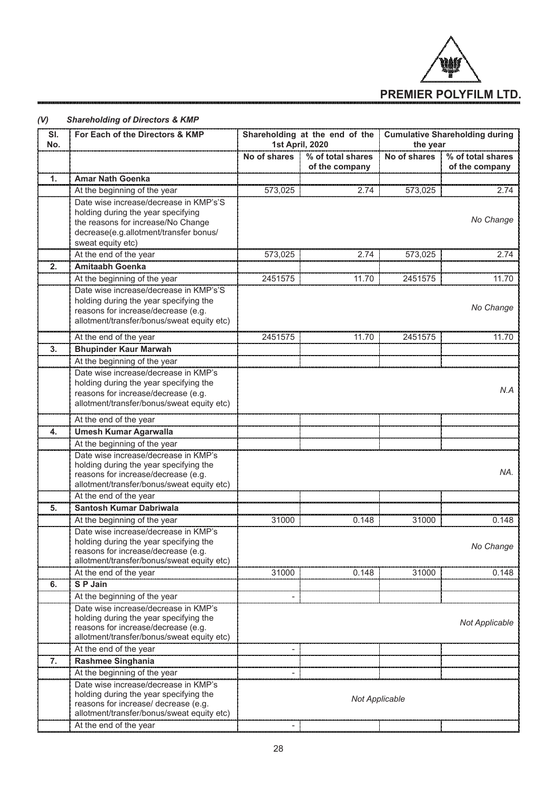

#### *(V) Shareholding of Directors & KMP*  $\overline{\mathsf{S}}$ I. **No. For Each of the Directors & KMP Shareholding at the end of the 1st April, 2020 Cumulative Shareholding during the year No of shares % of total shares of the company No of shares**  $\frac{1}{2}$  % of total shares **of the company 1. Amar Nath Goenka** At the beginning of the year 1973,025 573,025 573,025 573,025 2.74 Date wise increase/decrease in KMP's'S holding during the year specifying the reasons for increase/No Change decrease(e.g.allotment/transfer bonus/ sweat equity etc) *No Change* At the end of the year 573,025 573,025 2.74 573,025 2.74 **2. Amitaabh Goenka** At the beginning of the year 2451575 2451575 11.70 2451575 11.70 Date wise increase/decrease in KMP's'S holding during the year specifying the reasons for increase/decrease (e.g. allotment/transfer/bonus/sweat equity etc) *No Change* At the end of the year 2451575 2451575 11.70 2451575 11.70 **3. Bhupinder Kaur Marwah** At the beginning of the year Date wise increase/decrease in KMP's holding during the year specifying the reasons for increase/decrease (e.g. allotment/transfer/bonus/sweat equity etc) *N.A* At the end of the year **4. Umesh Kumar Agarwalla** At the beginning of the year Date wise increase/decrease in KMP's holding during the year specifying the reasons for increase/decrease (e.g. allotment/transfer/bonus/sweat equity etc) *NA.* At the end of the year **5. Santosh Kumar Dabriwala** At the beginning of the year 31000 0.148 31000 0.148 31000 0.148 Date wise increase/decrease in KMP's holding during the year specifying the reasons for increase/decrease (e.g. allotment/transfer/bonus/sweat equity etc) *No Change* At the end of the year 31000 0.148 31000 0.148 31000 0.148 31000 0.148 31000 0.148 31000 0.148 31000 0.148 31000 0.148 31000 0.148 31000 0.148 31000 0.148 31000 0.148 31000 0.148 31000 0.148 31000 0.148 31000 0.148 31000 0 **6. S P Jain** At the beginning of the year **Fig. 1.1.** Date wise increase/decrease in KMP's holding during the year specifying the reasons for increase/decrease (e.g. allotment/transfer/bonus/sweat equity etc) *Not Applicable* At the end of the year **At the end of the year**  $\qquad -$ **7. Rashmee Singhania** At the beginning of the year Date wise increase/decrease in KMP's holding during the year specifying the reasons for increase/ decrease (e.g. allotment/transfer/bonus/sweat equity etc) *Not Applicable* At the end of the year -l. -l. -l.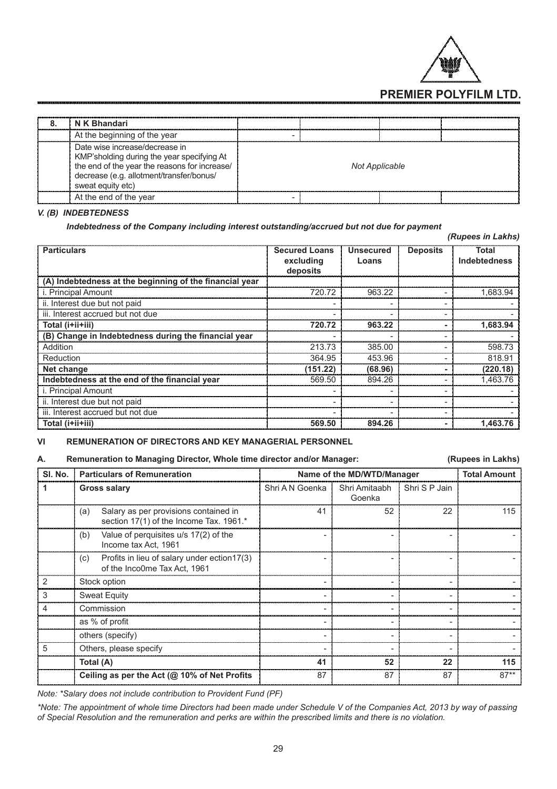

| N K Bhandari                                                                                                                                                                                   |                       |  |
|------------------------------------------------------------------------------------------------------------------------------------------------------------------------------------------------|-----------------------|--|
| At the beginning of the year                                                                                                                                                                   |                       |  |
| Date wise increase/decrease in<br>KMP'sholding during the year specifying At<br>the end of the year the reasons for increase/<br>decrease (e.g. allotment/transfer/bonus/<br>sweat equity etc) | <b>Not Applicable</b> |  |
| At the end of the year                                                                                                                                                                         |                       |  |

#### *V. (B) INDEBTEDNESS*

#### *Indebtedness of the Company including interest outstanding/accrued but not due for payment*

|                                                         |                                               |                    |                 | (Rupees in Lakhs)     |
|---------------------------------------------------------|-----------------------------------------------|--------------------|-----------------|-----------------------|
| <b>Particulars</b>                                      | <b>Secured Loans</b><br>excluding<br>deposits | Unsecured<br>Loans | <b>Deposits</b> | Total<br>Indebtedness |
| (A) Indebtedness at the beginning of the financial year |                                               |                    |                 |                       |
| i. Principal Amount                                     | 720.72                                        | 963.22             |                 | 1.683.94              |
| ii. Interest due but not paid                           |                                               |                    |                 |                       |
| iii. Interest accrued but not due                       |                                               |                    |                 |                       |
| Total (i+ii+iii)                                        | 720.72                                        | 963.22             |                 | 1,683.94              |
| (B) Change in Indebtedness during the financial year    |                                               |                    |                 |                       |
| Addition                                                | 213.73                                        | 385.00             |                 | 598.73                |
| Reduction                                               | 364.95                                        | 453.96             |                 | 818.91                |
| Net change                                              | (151.22)                                      | (68.96)            |                 | (220.18)              |
| Indebtedness at the end of the financial year           | 569.50                                        | 894.26             |                 | 1.463.76              |
| i. Principal Amount                                     |                                               |                    |                 |                       |
| ii. Interest due but not paid                           |                                               |                    |                 |                       |
| iii. Interest accrued but not due                       |                                               |                    |                 |                       |
| Total (i+ii+iii)                                        | 569.50                                        | 894.26             |                 | 1.463.76              |

#### **VI REMUNERATION OF DIRECTORS AND KEY MANAGERIAL PERSONNEL**

# **A. Remuneration to Managing Director, Whole time director and/or Manager: (Rupees in Lakhs)**

| SI. No. | <b>Particulars of Remuneration</b>                                                      |                 | Name of the MD/WTD/Manager |               | <b>Total Amount</b> |
|---------|-----------------------------------------------------------------------------------------|-----------------|----------------------------|---------------|---------------------|
|         | Gross salary                                                                            | Shri A N Goenka | Shri Amitaabh<br>Goenka    | Shri S P Jain |                     |
|         | Salary as per provisions contained in<br>(a)<br>section 17(1) of the Income Tax. 1961.* | 41              | 52                         | 22            | 115                 |
|         | Value of perquisites u/s 17(2) of the<br>(b)<br>Income tax Act, 1961                    |                 |                            |               |                     |
|         | Profits in lieu of salary under ection17(3)<br>(c)<br>of the Inco0me Tax Act. 1961      |                 |                            |               |                     |
|         | Stock option                                                                            |                 |                            |               |                     |
| 3       | <b>Sweat Equity</b>                                                                     |                 |                            |               |                     |
|         | Commission                                                                              |                 |                            |               |                     |
|         | as % of profit                                                                          |                 |                            |               |                     |
|         | others (specify)                                                                        |                 |                            |               |                     |
| 5       | Others, please specify                                                                  |                 |                            |               |                     |
|         | Total (A)                                                                               | 41              | 52                         | 22            | 115                 |
|         | Ceiling as per the Act (@ 10% of Net Profits                                            | 87              | 87                         | 87            | $87**$              |

*Note: \*Salary does not include contribution to Provident Fund (PF)*

*\*Note: The appointment of whole time Directors had been made under Schedule V of the Companies Act, 2013 by way of passing of Special Resolution and the remuneration and perks are within the prescribed limits and there is no violation.*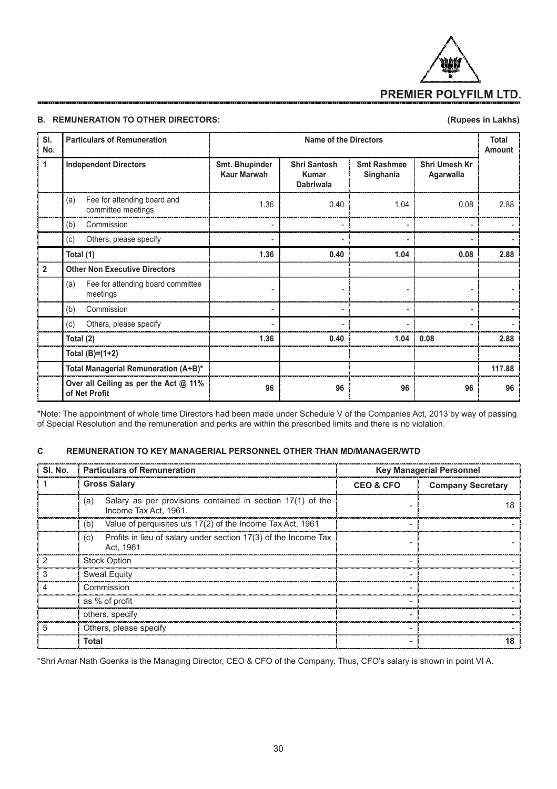

# **B. REMUNERATION TO OTHER DIRECTORS: (Rupees in Lakhs)**

| SI.<br>No.     | <b>Particulars of Remuneration</b>                       | Name of the Directors         |                                    |                                 | Total<br>Amount            |        |
|----------------|----------------------------------------------------------|-------------------------------|------------------------------------|---------------------------------|----------------------------|--------|
| 1              | <b>Independent Directors</b>                             | Smt. Bhupinder<br>Kaur Marwah | Shri Santosh<br>Kumar<br>Dabriwala | <b>Smt Rashmee</b><br>Singhania | Shri Umesh Kr<br>Agarwalla |        |
|                | Fee for attending board and<br>(a)<br>committee meetings | 1.36                          | 0.40                               | 1.04                            | 0.08                       | 2.88   |
|                | (b)<br>Commission                                        | ٠                             |                                    |                                 |                            |        |
|                | Others, please specify<br>(c)                            | ٠                             |                                    |                                 |                            |        |
|                | Total (1)                                                | 1.36                          | 0.40                               | 1.04                            | 0.08                       | 2.88   |
| $\overline{2}$ | <b>Other Non Executive Directors</b>                     |                               |                                    |                                 |                            |        |
|                | Fee for attending board committee<br>(a)<br>meetings     |                               |                                    |                                 |                            |        |
|                | (b)<br>Commission                                        |                               |                                    |                                 |                            |        |
|                | Others, please specify<br>(c)                            |                               |                                    |                                 |                            |        |
|                | Total (2)                                                | 1.36                          | 0.40                               | 1.04                            | 0.08                       | 2.88   |
|                | Total $(B)=(1+2)$                                        |                               |                                    |                                 |                            |        |
|                | Total Managerial Remuneration (A+B)*                     |                               |                                    |                                 |                            | 117.88 |
|                | Over all Ceiling as per the Act @ 11%<br>of Net Profit   | 96                            | 96                                 | 96                              | 96                         | 96     |

\*Note: The appointment of whole time Directors had been made under Schedule V of the Companies Act, 2013 by way of passing of Special Resolution and the remuneration and perks are within the prescribed limits and there is no violation.

# **C REMUNERATION TO KEY MANAGERIAL PERSONNEL OTHER THAN MD/MANAGER/WTD**

| SI. No. | <b>Particulars of Remuneration</b>                                                         |                      | <b>Key Managerial Personnel</b> |
|---------|--------------------------------------------------------------------------------------------|----------------------|---------------------------------|
|         | <b>Gross Salary</b>                                                                        | <b>CEO &amp; CFO</b> | <b>Company Secretary</b>        |
|         | Salary as per provisions contained in section 17(1) of the<br>(a)<br>Income Tax Act. 1961. |                      |                                 |
|         | Value of perquisites u/s 17(2) of the Income Tax Act, 1961<br>(b)                          |                      |                                 |
|         | Profits in lieu of salary under section 17(3) of the Income Tax<br>(c)<br>Act. 1961        |                      |                                 |
|         | <b>Stock Option</b>                                                                        |                      |                                 |
|         | <b>Sweat Equity</b>                                                                        |                      |                                 |
|         | Commission                                                                                 |                      |                                 |
|         | as % of profit                                                                             |                      |                                 |
|         | others, specify                                                                            |                      |                                 |
| 5       | Others, please specify                                                                     |                      |                                 |
|         | Total                                                                                      |                      |                                 |

\*Shri Amar Nath Goenka is the Managing Director, CEO & CFO of the Company. Thus, CFO's salary is shown in point VI A.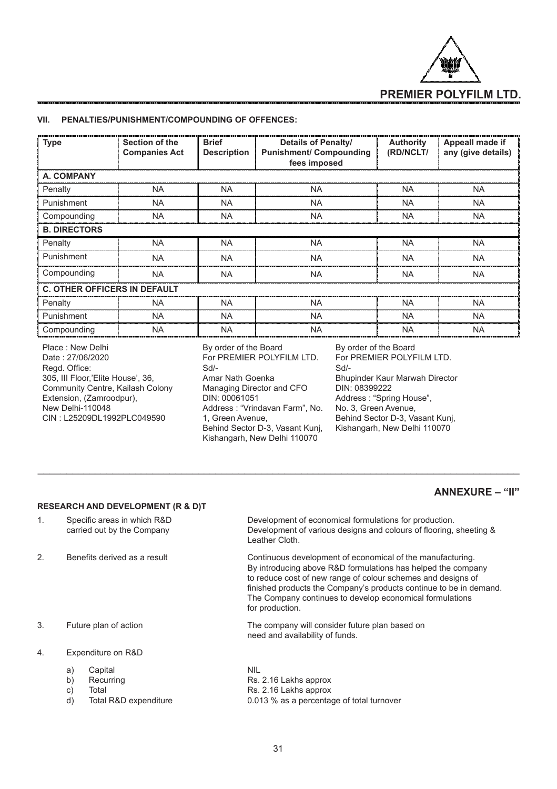

# **VII. PENALTIES/PUNISHMENT/COMPOUNDING OF OFFENCES:**

| Type                | Section of the<br><b>Companies Act</b> | <b>Brief</b><br><b>Description</b> | Details of Penalty/<br><b>Punishment/ Compounding</b><br>fees imposed | <b>Authority</b><br>(RD/NCLT/ | Appeall made if<br>any (give details) |
|---------------------|----------------------------------------|------------------------------------|-----------------------------------------------------------------------|-------------------------------|---------------------------------------|
| A. COMPANY          |                                        |                                    |                                                                       |                               |                                       |
| Penalty             | <b>NA</b>                              | <b>NA</b>                          | <b>NA</b>                                                             | <b>NA</b>                     | <b>NA</b>                             |
| Punishment          | <b>NA</b>                              | <b>NA</b>                          | <b>NA</b>                                                             | <b>NA</b>                     | <b>NA</b>                             |
| Compounding         | NA                                     | <b>NA</b>                          | <b>NA</b>                                                             | <b>NA</b>                     | <b>NA</b>                             |
| <b>B. DIRECTORS</b> |                                        |                                    |                                                                       |                               |                                       |
| Penalty             | <b>NA</b>                              | <b>NA</b>                          | <b>NA</b>                                                             | <b>NA</b>                     | <b>NA</b>                             |
| Punishment          | <b>NA</b>                              | <b>NA</b>                          | <b>NA</b>                                                             | <b>NA</b>                     | <b>NA</b>                             |
| Compounding         | <b>NA</b>                              | <b>NA</b>                          | <b>NA</b>                                                             | <b>NA</b>                     | <b>NA</b>                             |
|                     | <b>C. OTHER OFFICERS IN DEFAULT</b>    |                                    |                                                                       |                               |                                       |
| Penalty             | <b>NA</b>                              | <b>NA</b>                          | <b>NA</b>                                                             | <b>NA</b>                     | <b>NA</b>                             |
| Punishment          | <b>NA</b>                              | <b>NA</b>                          | <b>NA</b>                                                             | <b>NA</b>                     | <b>NA</b>                             |
| Compounding         | <b>NA</b>                              | <b>NA</b>                          | <b>NA</b>                                                             | <b>NA</b>                     | <b>NA</b>                             |

Place : New Delhi Date : 27/06/2020 Regd. Office: 305, III Floor,'Elite House', 36, Community Centre, Kailash Colony Extension, (Zamroodpur), New Delhi-110048 CIN : L25209DL1992PLC049590

**RESEARCH AND DEVELOPMENT (R & D)T**

By order of the Board For PREMIER POLYFILM LTD. Sd/- Amar Nath Goenka Managing Director and CFO DIN: 00061051 Address : "Vrindavan Farm", No. 1, Green Avenue, Behind Sector D-3, Vasant Kunj, Kishangarh, New Delhi 110070

 $\Box$ 

By order of the Board For PREMIER POLYFILM LTD. Sd/- Bhupinder Kaur Marwah Director DIN: 08399222 Address : "Spring House", No. 3, Green Avenue, Behind Sector D-3, Vasant Kunj, Kishangarh, New Delhi 110070

# **ANNEXURE – "II"**

| 1 <sub>1</sub> | Specific areas in which R&D<br>carried out by the Company                      | Development of economical formulations for production.<br>Development of various designs and colours of flooring, sheeting &<br>Leather Cloth.                                                                                                                                                                                                  |
|----------------|--------------------------------------------------------------------------------|-------------------------------------------------------------------------------------------------------------------------------------------------------------------------------------------------------------------------------------------------------------------------------------------------------------------------------------------------|
| 2.             | Benefits derived as a result                                                   | Continuous development of economical of the manufacturing.<br>By introducing above R&D formulations has helped the company<br>to reduce cost of new range of colour schemes and designs of<br>finished products the Company's products continue to be in demand.<br>The Company continues to develop economical formulations<br>for production. |
| 3.             | Future plan of action                                                          | The company will consider future plan based on<br>need and availability of funds.                                                                                                                                                                                                                                                               |
| 4.             | Expenditure on R&D                                                             |                                                                                                                                                                                                                                                                                                                                                 |
|                | Capital<br>a)<br>b)<br>Recurring<br>Total<br>C)<br>Total R&D expenditure<br>d) | <b>NIL</b><br>Rs. 2.16 Lakhs approx<br>Rs. 2.16 Lakhs approx<br>0.013 % as a percentage of total turnover                                                                                                                                                                                                                                       |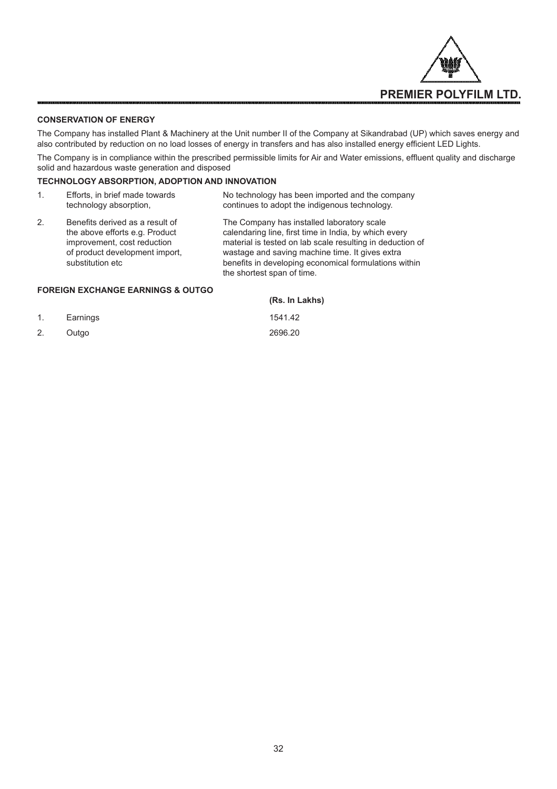

# **CONSERVATION OF ENERGY**

The Company has installed Plant & Machinery at the Unit number II of the Company at Sikandrabad (UP) which saves energy and also contributed by reduction on no load losses of energy in transfers and has also installed energy efficient LED Lights.

The Company is in compliance within the prescribed permissible limits for Air and Water emissions, effluent quality and discharge solid and hazardous waste generation and disposed

 **(Rs. In Lakhs)**

# **TECHNOLOGY ABSORPTION, ADOPTION AND INNOVATION**

| 1. | Efforts, in brief made towards<br>technology absorption,                                                                                               | No technology has been imported and the company<br>continues to adopt the indigenous technology.                                                                                                                                                                                                           |
|----|--------------------------------------------------------------------------------------------------------------------------------------------------------|------------------------------------------------------------------------------------------------------------------------------------------------------------------------------------------------------------------------------------------------------------------------------------------------------------|
| 2. | Benefits derived as a result of<br>the above efforts e.g. Product<br>improvement, cost reduction<br>of product development import,<br>substitution etc | The Company has installed laboratory scale<br>calendaring line, first time in India, by which every<br>material is tested on lab scale resulting in deduction of<br>wastage and saving machine time. It gives extra<br>benefits in developing economical formulations within<br>the shortest span of time. |

#### **FOREIGN EXCHANGE EARNINGS & OUTGO**

| 1. | Earnings | 1541.42 |  |
|----|----------|---------|--|
| 2. | Outgo    | 2696.20 |  |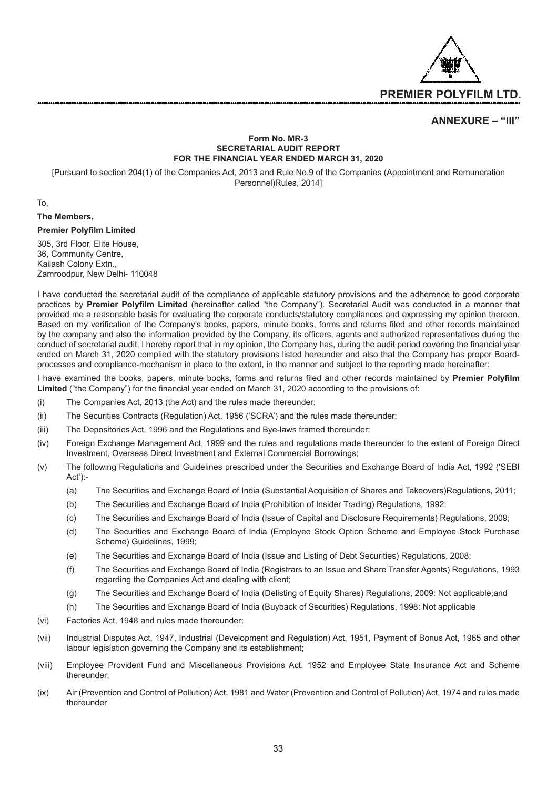

**ANNEXURE – "III"**

#### **Form No. MR-3 SECRETARIAL AUDIT REPORT FOR THE FINANCIAL YEAR ENDED MARCH 31, 2020**

[Pursuant to section 204(1) of the Companies Act, 2013 and Rule No.9 of the Companies (Appointment and Remuneration Personnel)Rules, 2014]

To,

**The Members,** 

**Premier Polyfilm Limited** 

305, 3rd Floor, Elite House, 36, Community Centre, Kailash Colony Extn., Zamroodpur, New Delhi- 110048

I have conducted the secretarial audit of the compliance of applicable statutory provisions and the adherence to good corporate practices by **Premier Polyfilm Limited** (hereinafter called "the Company"). Secretarial Audit was conducted in a manner that provided me a reasonable basis for evaluating the corporate conducts/statutory compliances and expressing my opinion thereon. Based on my verification of the Company's books, papers, minute books, forms and returns filed and other records maintained by the company and also the information provided by the Company, its officers, agents and authorized representatives during the conduct of secretarial audit, I hereby report that in my opinion, the Company has, during the audit period covering the financial year ended on March 31, 2020 complied with the statutory provisions listed hereunder and also that the Company has proper Boardprocesses and compliance-mechanism in place to the extent, in the manner and subject to the reporting made hereinafter:

I have examined the books, papers, minute books, forms and returns filed and other records maintained by **Premier Polyfilm Limited** ("the Company") for the financial year ended on March 31, 2020 according to the provisions of:

- (i) The Companies Act, 2013 (the Act) and the rules made thereunder;
- (ii) The Securities Contracts (Regulation) Act, 1956 ('SCRA') and the rules made thereunder;
- (iii) The Depositories Act, 1996 and the Regulations and Bye-laws framed thereunder;
- (iv) Foreign Exchange Management Act, 1999 and the rules and regulations made thereunder to the extent of Foreign Direct Investment, Overseas Direct Investment and External Commercial Borrowings;
- (v) The following Regulations and Guidelines prescribed under the Securities and Exchange Board of India Act, 1992 ('SEBI  $Ar't'$ ) :
	- (a) The Securities and Exchange Board of India (Substantial Acquisition of Shares and Takeovers)Regulations, 2011;
	- (b) The Securities and Exchange Board of India (Prohibition of Insider Trading) Regulations, 1992;
	- (c) The Securities and Exchange Board of India (Issue of Capital and Disclosure Requirements) Regulations, 2009;
	- (d) The Securities and Exchange Board of India (Employee Stock Option Scheme and Employee Stock Purchase Scheme) Guidelines, 1999;
	- (e) The Securities and Exchange Board of India (Issue and Listing of Debt Securities) Regulations, 2008;
	- (f) The Securities and Exchange Board of India (Registrars to an Issue and Share Transfer Agents) Regulations, 1993 regarding the Companies Act and dealing with client;
	- (g) The Securities and Exchange Board of India (Delisting of Equity Shares) Regulations, 2009: Not applicable;and
	- (h) The Securities and Exchange Board of India (Buyback of Securities) Regulations, 1998: Not applicable
- (vi) Factories Act, 1948 and rules made thereunder;
- (vii) Industrial Disputes Act, 1947, Industrial (Development and Regulation) Act, 1951, Payment of Bonus Act, 1965 and other labour legislation governing the Company and its establishment;
- (viii) Employee Provident Fund and Miscellaneous Provisions Act, 1952 and Employee State Insurance Act and Scheme thereunder;
- (ix) Air (Prevention and Control of Pollution) Act, 1981 and Water (Prevention and Control of Pollution) Act, 1974 and rules made thereunder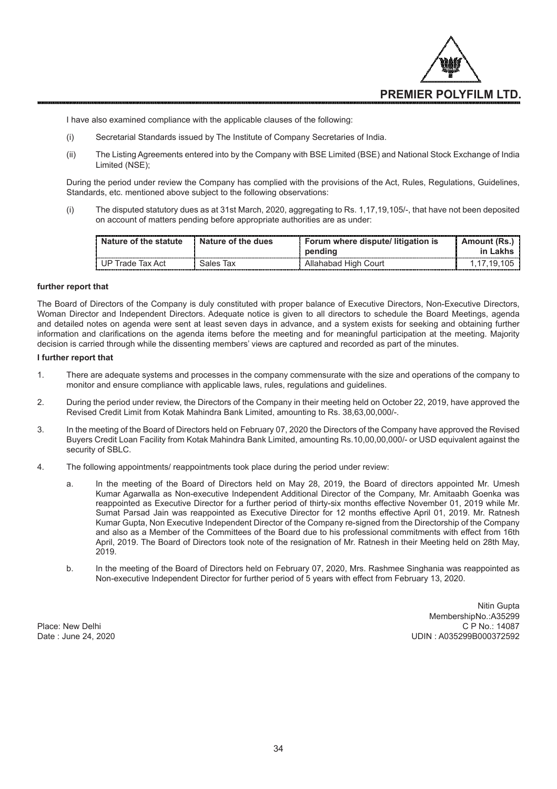

I have also examined compliance with the applicable clauses of the following:

- (i) Secretarial Standards issued by The Institute of Company Secretaries of India.
- (ii) The Listing Agreements entered into by the Company with BSE Limited (BSE) and National Stock Exchange of India Limited (NSE);

During the period under review the Company has complied with the provisions of the Act, Rules, Regulations, Guidelines, Standards, etc. mentioned above subject to the following observations:

(i) The disputed statutory dues as at 31st March, 2020, aggregating to Rs. 1,17,19,105/-, that have not been deposited on account of matters pending before appropriate authorities are as under:

| Nature of the statute | Nature of the dues | Forum where dispute/ litigation is<br>pendina | ' Amount (Rs.)<br>in Lakhs |
|-----------------------|--------------------|-----------------------------------------------|----------------------------|
| UP Trade Tax Act      | Sales Tax          | Allahabad High Court                          | 1.17.19.105                |

#### **further report that**

The Board of Directors of the Company is duly constituted with proper balance of Executive Directors, Non-Executive Directors, Woman Director and Independent Directors. Adequate notice is given to all directors to schedule the Board Meetings, agenda and detailed notes on agenda were sent at least seven days in advance, and a system exists for seeking and obtaining further information and clarifications on the agenda items before the meeting and for meaningful participation at the meeting. Majority decision is carried through while the dissenting members' views are captured and recorded as part of the minutes.

#### **I further report that**

- 1. There are adequate systems and processes in the company commensurate with the size and operations of the company to monitor and ensure compliance with applicable laws, rules, regulations and guidelines.
- 2. During the period under review, the Directors of the Company in their meeting held on October 22, 2019, have approved the Revised Credit Limit from Kotak Mahindra Bank Limited, amounting to Rs. 38,63,00,000/-.
- 3. In the meeting of the Board of Directors held on February 07, 2020 the Directors of the Company have approved the Revised Buyers Credit Loan Facility from Kotak Mahindra Bank Limited, amounting Rs.10,00,00,000/- or USD equivalent against the security of SBLC.
- 4. The following appointments/ reappointments took place during the period under review:
	- a. In the meeting of the Board of Directors held on May 28, 2019, the Board of directors appointed Mr. Umesh Kumar Agarwalla as Non-executive Independent Additional Director of the Company, Mr. Amitaabh Goenka was reappointed as Executive Director for a further period of thirty-six months effective November 01, 2019 while Mr. Sumat Parsad Jain was reappointed as Executive Director for 12 months effective April 01, 2019. Mr. Ratnesh Kumar Gupta, Non Executive Independent Director of the Company re-signed from the Directorship of the Company and also as a Member of the Committees of the Board due to his professional commitments with effect from 16th April, 2019. The Board of Directors took note of the resignation of Mr. Ratnesh in their Meeting held on 28th May, 2019.
	- b. In the meeting of the Board of Directors held on February 07, 2020, Mrs. Rashmee Singhania was reappointed as Non-executive Independent Director for further period of 5 years with effect from February 13, 2020.

Nitin Gupta MembershipNo.:A35299<br>C P No.: 14087 Date : June 24, 2020 UDIN : A035299B000372592

Place: New Delhi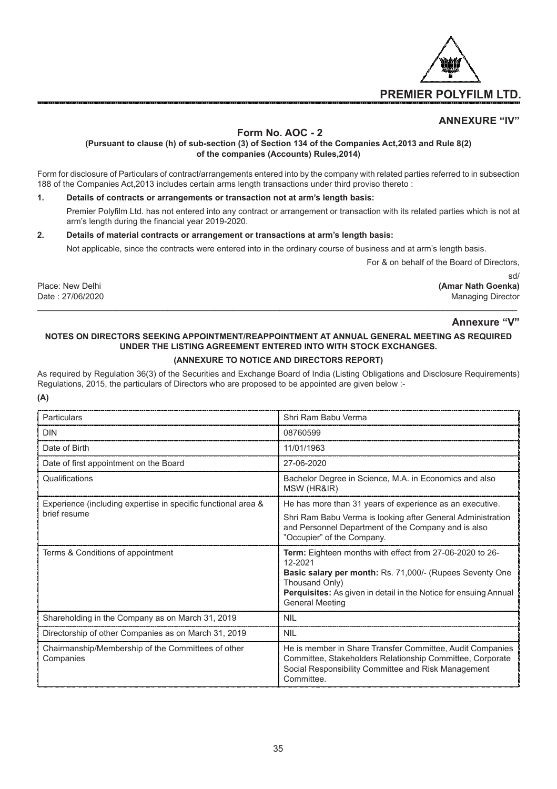

#### **ANNEXURE "IV"**

# **Form No. AOC - 2**

#### **(Pursuant to clause (h) of sub-section (3) of Section 134 of the Companies Act,2013 and Rule 8(2) of the companies (Accounts) Rules,2014)**

Form for disclosure of Particulars of contract/arrangements entered into by the company with related parties referred to in subsection 188 of the Companies Act,2013 includes certain arms length transactions under third proviso thereto :

# **1. Details of contracts or arrangements or transaction not at arm's length basis:**

Premier Polyfilm Ltd. has not entered into any contract or arrangement or transaction with its related parties which is not at arm's length during the financial year 2019-2020.

#### **2. Details of material contracts or arrangement or transactions at arm's length basis:**

Not applicable, since the contracts were entered into in the ordinary course of business and at arm's length basis.

For & on behalf of the Board of Directors,

sd/ Place: New Delhi **(Amar Nath Goenka)** Date : 27/06/2020 Managing Director

# **Annexure "V"**

# **NOTES ON DIRECTORS SEEKING APPOINTMENT/REAPPOINTMENT AT ANNUAL GENERAL MEETING AS REQUIRED UNDER THE LISTING AGREEMENT ENTERED INTO WITH STOCK EXCHANGES.**

\_\_\_\_\_\_\_\_\_\_\_\_\_\_\_\_\_\_\_\_\_\_\_\_\_\_\_\_\_\_\_\_\_\_\_\_\_\_\_\_\_\_\_\_\_\_\_\_\_\_\_\_\_\_\_\_\_\_\_\_\_\_\_\_\_\_\_\_\_\_\_\_\_\_\_\_\_\_\_\_\_\_\_\_\_\_\_\_\_\_\_\_\_\_\_\_\_\_\_\_\_\_\_

#### **(ANNEXURE TO NOTICE AND DIRECTORS REPORT)**

As required by Regulation 36(3) of the Securities and Exchange Board of India (Listing Obligations and Disclosure Requirements) Regulations, 2015, the particulars of Directors who are proposed to be appointed are given below :-

**(A)** 

| Particulars                                                     | Shri Ram Babu Verma                                                                                                                                                                                                                             |
|-----------------------------------------------------------------|-------------------------------------------------------------------------------------------------------------------------------------------------------------------------------------------------------------------------------------------------|
| DIN                                                             | 08760599                                                                                                                                                                                                                                        |
| Date of Birth                                                   | 11/01/1963                                                                                                                                                                                                                                      |
| Date of first appointment on the Board                          | 27-06-2020                                                                                                                                                                                                                                      |
| Qualifications                                                  | Bachelor Degree in Science, M.A. in Economics and also<br>MSW (HR&IR)                                                                                                                                                                           |
| Experience (including expertise in specific functional area &   | He has more than 31 years of experience as an executive.                                                                                                                                                                                        |
| brief resume                                                    | Shri Ram Babu Verma is looking after General Administration<br>and Personnel Department of the Company and is also<br>"Occupier" of the Company.                                                                                                |
| Terms & Conditions of appointment                               | Term: Eighteen months with effect from 27-06-2020 to 26-<br>12-2021<br>Basic salary per month: Rs. 71,000/- (Rupees Seventy One<br>Thousand Only)<br>Perquisites: As given in detail in the Notice for ensuing Annual<br><b>General Meeting</b> |
| Shareholding in the Company as on March 31, 2019                | <b>NIL</b>                                                                                                                                                                                                                                      |
| Directorship of other Companies as on March 31, 2019            | <b>NIL</b>                                                                                                                                                                                                                                      |
| Chairmanship/Membership of the Committees of other<br>Companies | He is member in Share Transfer Committee, Audit Companies<br>Committee, Stakeholders Relationship Committee, Corporate<br>Social Responsibility Committee and Risk Management<br>Committee.                                                     |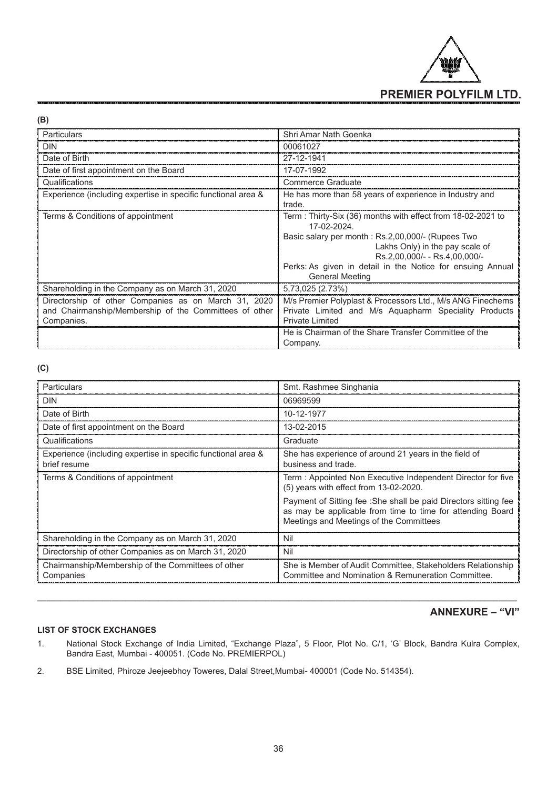

| (B)                                                                                                                          |                                                                                                                                                                                                                                                                                             |
|------------------------------------------------------------------------------------------------------------------------------|---------------------------------------------------------------------------------------------------------------------------------------------------------------------------------------------------------------------------------------------------------------------------------------------|
| <b>Particulars</b>                                                                                                           | Shri Amar Nath Goenka                                                                                                                                                                                                                                                                       |
| <b>DIN</b>                                                                                                                   | 00061027                                                                                                                                                                                                                                                                                    |
| Date of Birth                                                                                                                | 27-12-1941                                                                                                                                                                                                                                                                                  |
| Date of first appointment on the Board                                                                                       | 17-07-1992                                                                                                                                                                                                                                                                                  |
| Qualifications                                                                                                               | <b>Commerce Graduate</b>                                                                                                                                                                                                                                                                    |
| Experience (including expertise in specific functional area &                                                                | He has more than 58 years of experience in Industry and<br>trade.                                                                                                                                                                                                                           |
| Terms & Conditions of appointment                                                                                            | Term: Thirty-Six (36) months with effect from 18-02-2021 to<br>17-02-2024.<br>Basic salary per month: Rs.2,00,000/- (Rupees Two<br>Lakhs Only) in the pay scale of<br>Rs.2.00.000/- - Rs.4.00.000/-<br>Perks: As given in detail in the Notice for ensuing Annual<br><b>General Meeting</b> |
| Shareholding in the Company as on March 31, 2020                                                                             | 5,73,025 (2.73%)                                                                                                                                                                                                                                                                            |
| Directorship of other Companies as on March 31, 2020<br>and Chairmanship/Membership of the Committees of other<br>Companies. | M/s Premier Polyplast & Processors Ltd., M/s ANG Finechems<br>Private Limited and M/s Aquapharm Speciality Products<br><b>Private Limited</b>                                                                                                                                               |
|                                                                                                                              | He is Chairman of the Share Transfer Committee of the<br>Company.                                                                                                                                                                                                                           |

#### **(C)**

| Particulars                                                                   | Smt. Rashmee Singhania                                                                                                                                                    |
|-------------------------------------------------------------------------------|---------------------------------------------------------------------------------------------------------------------------------------------------------------------------|
| <b>DIN</b>                                                                    | 06969599                                                                                                                                                                  |
| Date of Birth                                                                 | 10-12-1977                                                                                                                                                                |
| Date of first appointment on the Board                                        | 13-02-2015                                                                                                                                                                |
| Qualifications                                                                | Graduate                                                                                                                                                                  |
| Experience (including expertise in specific functional area &<br>brief resume | She has experience of around 21 years in the field of<br>business and trade.                                                                                              |
| Terms & Conditions of appointment                                             | Term: Appointed Non Executive Independent Director for five<br>(5) years with effect from 13-02-2020.                                                                     |
|                                                                               | Payment of Sitting fee : She shall be paid Directors sitting fee<br>as may be applicable from time to time for attending Board<br>Meetings and Meetings of the Committees |
| Shareholding in the Company as on March 31, 2020                              | Nil                                                                                                                                                                       |
| Directorship of other Companies as on March 31, 2020                          | Nil                                                                                                                                                                       |
| Chairmanship/Membership of the Committees of other<br>Companies               | She is Member of Audit Committee, Stakeholders Relationship<br>Committee and Nomination & Remuneration Committee.                                                         |

#### **ANNEXURE – "VI"**

#### **LIST OF STOCK EXCHANGES**

1. National Stock Exchange of India Limited, "Exchange Plaza", 5 Floor, Plot No. C/1, 'G' Block, Bandra Kulra Complex, Bandra East, Mumbai - 400051. (Code No. PREMIERPOL)

**\_\_\_\_\_\_\_\_\_\_\_\_\_\_\_\_\_\_\_\_\_\_\_\_\_\_\_\_\_\_\_\_\_\_\_\_\_\_\_\_\_\_\_\_\_\_\_\_\_\_\_\_\_\_\_\_\_\_\_\_\_\_\_\_\_\_\_\_\_\_\_\_\_\_\_\_\_\_\_\_\_\_\_\_\_\_\_\_\_\_\_\_\_\_\_\_\_\_\_\_\_\_\_**

2. BSE Limited, Phiroze Jeejeebhoy Toweres, Dalal Street,Mumbai- 400001 (Code No. 514354).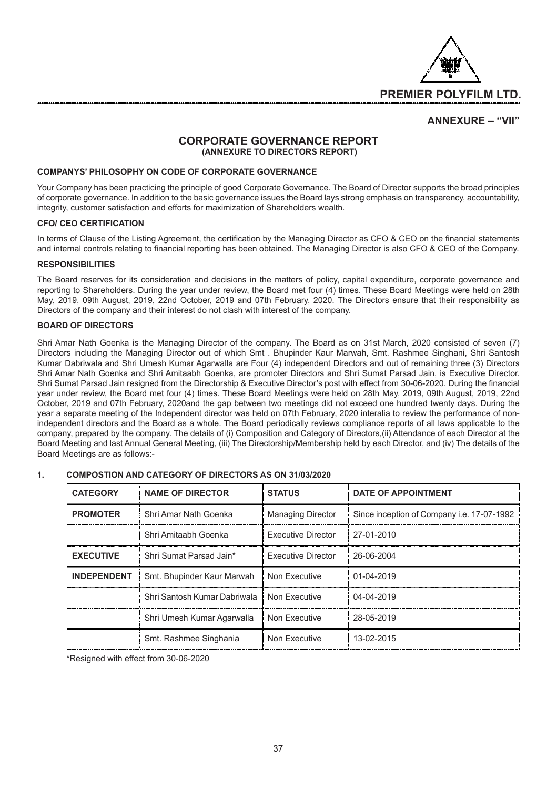

**ANNEXURE – "VII"**

#### **CORPORATE GOVERNANCE REPORT (ANNEXURE TO DIRECTORS REPORT)**

#### **COMPANYS' PHILOSOPHY ON CODE OF CORPORATE GOVERNANCE**

Your Company has been practicing the principle of good Corporate Governance. The Board of Director supports the broad principles of corporate governance. In addition to the basic governance issues the Board lays strong emphasis on transparency, accountability, integrity, customer satisfaction and efforts for maximization of Shareholders wealth.

#### **CFO/ CEO CERTIFICATION**

In terms of Clause of the Listing Agreement, the certification by the Managing Director as CFO & CEO on the financial statements and internal controls relating to financial reporting has been obtained. The Managing Director is also CFO & CEO of the Company.

#### **RESPONSIBILITIES**

The Board reserves for its consideration and decisions in the matters of policy, capital expenditure, corporate governance and reporting to Shareholders. During the year under review, the Board met four (4) times. These Board Meetings were held on 28th May, 2019, 09th August, 2019, 22nd October, 2019 and 07th February, 2020. The Directors ensure that their responsibility as Directors of the company and their interest do not clash with interest of the company.

#### **BOARD OF DIRECTORS**

Shri Amar Nath Goenka is the Managing Director of the company. The Board as on 31st March, 2020 consisted of seven (7) Directors including the Managing Director out of which Smt . Bhupinder Kaur Marwah, Smt. Rashmee Singhani, Shri Santosh Kumar Dabriwala and Shri Umesh Kumar Agarwalla are Four (4) independent Directors and out of remaining three (3) Directors Shri Amar Nath Goenka and Shri Amitaabh Goenka, are promoter Directors and Shri Sumat Parsad Jain, is Executive Director. Shri Sumat Parsad Jain resigned from the Directorship & Executive Director's post with effect from 30-06-2020. During the financial year under review, the Board met four (4) times. These Board Meetings were held on 28th May, 2019, 09th August, 2019, 22nd October, 2019 and 07th February, 2020and the gap between two meetings did not exceed one hundred twenty days. During the year a separate meeting of the Independent director was held on 07th February, 2020 interalia to review the performance of nonindependent directors and the Board as a whole. The Board periodically reviews compliance reports of all laws applicable to the company, prepared by the company. The details of (i) Composition and Category of Directors,(ii) Attendance of each Director at the Board Meeting and last Annual General Meeting, (iii) The Directorship/Membership held by each Director, and (iv) The details of the Board Meetings are as follows:-

| <b>CATEGORY</b>    | <b>NAME OF DIRECTOR</b>                              | <b>STATUS</b>             | <b>DATE OF APPOINTMENT</b>                 |
|--------------------|------------------------------------------------------|---------------------------|--------------------------------------------|
| <b>PROMOTER</b>    | Shri Amar Nath Goenka<br><b>Managing Director</b>    |                           | Since inception of Company i.e. 17-07-1992 |
|                    | Shri Amitaabh Goenka                                 | <b>Executive Director</b> | 27-01-2010                                 |
| <b>EXECUTIVE</b>   | Shri Sumat Parsad Jain*<br><b>Executive Director</b> |                           | 26-06-2004                                 |
| <b>INDEPENDENT</b> | Smt. Bhupinder Kaur Marwah                           | Non Executive             | $01 - 04 - 2019$                           |
|                    | Shri Santosh Kumar Dabriwala                         | Non Executive             | 04-04-2019                                 |
|                    | Shri Umesh Kumar Agarwalla                           | Non Executive             | 28-05-2019                                 |
|                    | Smt. Rashmee Singhania                               | Non Executive             | 13-02-2015                                 |

#### **1. COMPOSTION AND CATEGORY OF DIRECTORS AS ON 31/03/2020**

\*Resigned with effect from 30-06-2020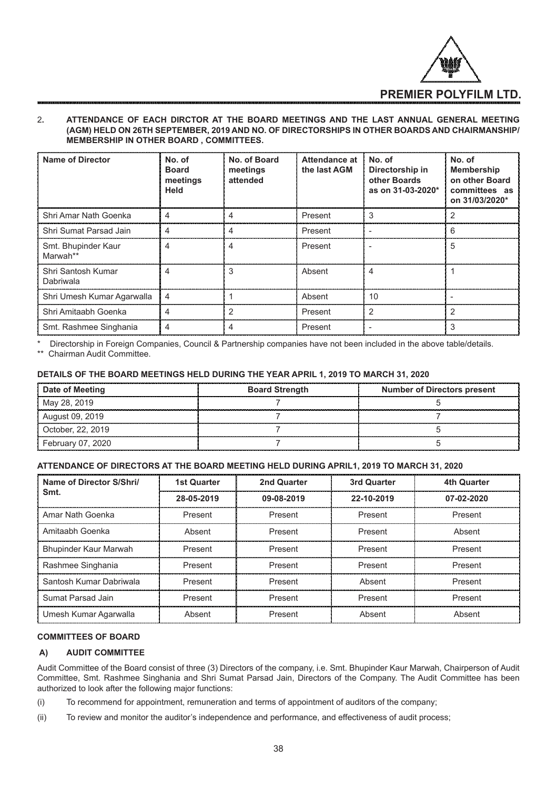

#### 2**. ATTENDANCE OF EACH DIRCTOR AT THE BOARD MEETINGS AND THE LAST ANNUAL GENERAL MEETING (AGM) HELD ON 26TH SEPTEMBER, 2019 AND NO. OF DIRECTORSHIPS IN OTHER BOARDS AND CHAIRMANSHIP/ MEMBERSHIP IN OTHER BOARD , COMMITTEES.**

| Name of Director                | No. of<br>Board<br>meetings<br>Held | No. of Board<br>meetings<br>attended | Attendance at<br>the last AGM | No. of<br>Directorship in<br>other Boards<br>as on 31-03-2020* | No. of<br>Membership<br>on other Board<br>committees as<br>on 31/03/2020* |
|---------------------------------|-------------------------------------|--------------------------------------|-------------------------------|----------------------------------------------------------------|---------------------------------------------------------------------------|
| Shri Amar Nath Goenka           | 4                                   | 4                                    | Present                       | 3                                                              | 2                                                                         |
| Shri Sumat Parsad Jain          | 4                                   | 4                                    | Present                       |                                                                | 6                                                                         |
| Smt. Bhupinder Kaur<br>Marwah** | 4                                   | 4                                    | Present                       |                                                                | 5                                                                         |
| Shri Santosh Kumar<br>Dabriwala | 4                                   | 3                                    | Absent                        | 4                                                              |                                                                           |
| Shri Umesh Kumar Agarwalla      | 4                                   |                                      | Absent                        | 10                                                             |                                                                           |
| Shri Amitaabh Goenka            | 4                                   | $\overline{2}$                       | Present                       | 2                                                              | 2                                                                         |
| Smt. Rashmee Singhania          | 4                                   | 4                                    | Present                       |                                                                | 3                                                                         |

\* Directorship in Foreign Companies, Council & Partnership companies have not been included in the above table/details. \*\* Chairman Audit Committee.

#### **DETAILS OF THE BOARD MEETINGS HELD DURING THE YEAR APRIL 1, 2019 TO MARCH 31, 2020**

| Date of Meeting   | <b>Board Strength</b> | <b>Number of Directors present</b> |
|-------------------|-----------------------|------------------------------------|
| May 28, 2019      |                       |                                    |
| August 09, 2019   |                       |                                    |
| October, 22, 2019 |                       |                                    |
| February 07, 2020 |                       |                                    |

#### **ATTENDANCE OF DIRECTORS AT THE BOARD MEETING HELD DURING APRIL1, 2019 TO MARCH 31, 2020**

| Name of Director S/Shri/ | 1st Quarter              | 2nd Quarter | 3rd Quarter | 4th Quarter |
|--------------------------|--------------------------|-------------|-------------|-------------|
| Smt.                     | 28-05-2019<br>09-08-2019 |             | 22-10-2019  | 07-02-2020  |
| Amar Nath Goenka         | Present                  | Present     | Present     | Present     |
| Amitaabh Goenka          | Ahsent                   | Present     | Present     | Absent      |
| Bhupinder Kaur Marwah    | Present                  | Present     | Present     | Present     |
| Rashmee Singhania        | Present                  | Present     | Present     | Present     |
| Santosh Kumar Dabriwala  | Present                  | Present     | Ahsent      | Present     |
| Sumat Parsad Jain        | Present                  | Present     | Present     | Present     |
| Umesh Kumar Agarwalla    | Absent                   | Present     | Ahsent      | Absent      |

#### **COMMITTEES OF BOARD**

#### **A) AUDIT COMMITTEE**

Audit Committee of the Board consist of three (3) Directors of the company, i.e. Smt. Bhupinder Kaur Marwah, Chairperson of Audit Committee, Smt. Rashmee Singhania and Shri Sumat Parsad Jain, Directors of the Company. The Audit Committee has been authorized to look after the following major functions:

- (i) To recommend for appointment, remuneration and terms of appointment of auditors of the company;
- (ii) To review and monitor the auditor's independence and performance, and effectiveness of audit process;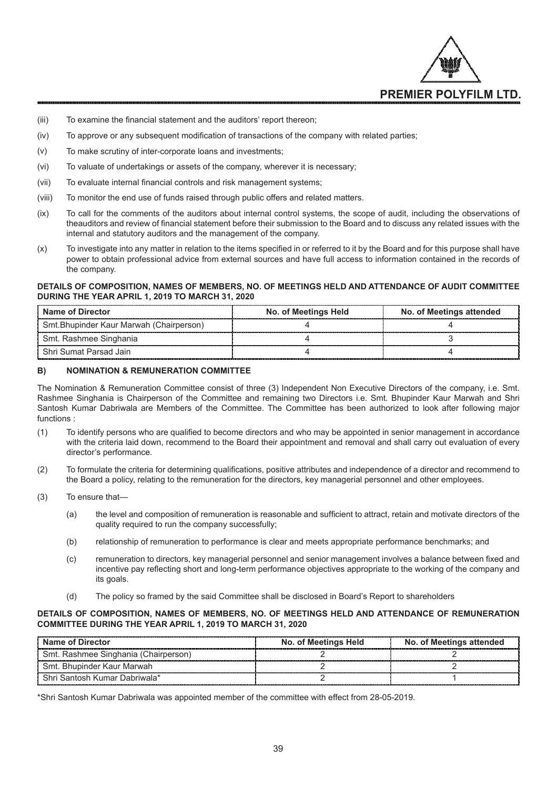

- (iii) To examine the financial statement and the auditors' report thereon;
- (iv) To approve or any subsequent modification of transactions of the company with related parties;
- (v) To make scrutiny of inter-corporate loans and investments;
- (vi) To valuate of undertakings or assets of the company, wherever it is necessary;
- (vii) To evaluate internal financial controls and risk management systems;
- (viii) To monitor the end use of funds raised through public offers and related matters.
- (ix) To call for the comments of the auditors about internal control systems, the scope of audit, including the observations of theauditors and review of financial statement before their submission to the Board and to discuss any related issues with the internal and statutory auditors and the management of the company.
- (x) To investigate into any matter in relation to the items specified in or referred to it by the Board and for this purpose shall have power to obtain professional advice from external sources and have full access to information contained in the records of the company.

#### **DETAILS OF COMPOSITION, NAMES OF MEMBERS, NO. OF MEETINGS HELD AND ATTENDANCE OF AUDIT COMMITTEE DURING THE YEAR APRIL 1, 2019 TO MARCH 31, 2020**

| Name of Director                       | No. of Meetings Held | No. of Meetings attended |
|----------------------------------------|----------------------|--------------------------|
| Smt.Bhupinder Kaur Marwah (Chairpersor |                      |                          |
| Smt. Rashmee Singhania                 |                      | --------------------     |
| Shri Sumat Parsad Jain                 |                      |                          |

#### **B) NOMINATION & REMUNERATION COMMITTEE**

The Nomination & Remuneration Committee consist of three (3) Independent Non Executive Directors of the company, i.e. Smt. Rashmee Singhania is Chairperson of the Committee and remaining two Directors i.e. Smt. Bhupinder Kaur Marwah and Shri Santosh Kumar Dabriwala are Members of the Committee. The Committee has been authorized to look after following major functions :

- (1) To identify persons who are qualified to become directors and who may be appointed in senior management in accordance with the criteria laid down, recommend to the Board their appointment and removal and shall carry out evaluation of every director's performance.
- (2) To formulate the criteria for determining qualifications, positive attributes and independence of a director and recommend to the Board a policy, relating to the remuneration for the directors, key managerial personnel and other employees.
- (3) To ensure that—
	- (a) the level and composition of remuneration is reasonable and sufficient to attract, retain and motivate directors of the quality required to run the company successfully;
	- (b) relationship of remuneration to performance is clear and meets appropriate performance benchmarks; and
	- (c) remuneration to directors, key managerial personnel and senior management involves a balance between fixed and incentive pay reflecting short and long-term performance objectives appropriate to the working of the company and its goals.
	- (d) The policy so framed by the said Committee shall be disclosed in Board's Report to shareholders

#### **DETAILS OF COMPOSITION, NAMES OF MEMBERS, NO. OF MEETINGS HELD AND ATTENDANCE OF REMUNERATION COMMITTEE DURING THE YEAR APRIL 1, 2019 TO MARCH 31, 2020**

| Name of Director      | aas Held<br>No.<br>വ |  |
|-----------------------|----------------------|--|
| Rashmee J             |                      |  |
| Bhupinder Kaur Marwah |                      |  |
| ⊰antosh Kumar I       |                      |  |

\*Shri Santosh Kumar Dabriwala was appointed member of the committee with effect from 28-05-2019.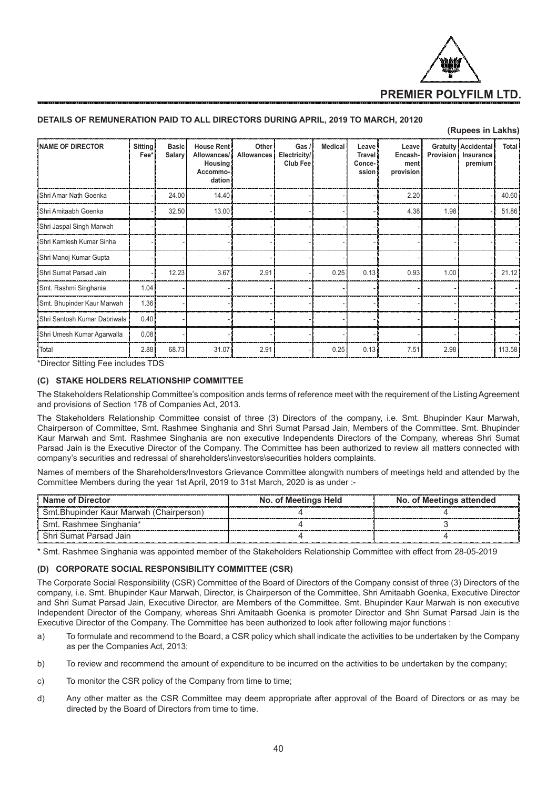

#### **DETAILS OF REMUNERATION PAID TO ALL DIRECTORS DURING APRIL, 2019 TO MARCH, 20120**

| NAME OF DIRECTOR             | <b>Sitting</b><br>Fee* | <b>Basic</b><br>Salary | <b>House Rent</b><br>Allowances/<br>Housing<br>Accommo-<br>dation | Other<br><b>Allowances</b> | Gas<br>Electricity/<br>Club Fee | <b>Medical</b> | Leave<br>Travel<br>Conce-<br>ssion | Leave<br>Encash-<br>ment<br>provision | Provision | Gratuity Accidental<br><b>Insurance</b><br>premium | Total  |
|------------------------------|------------------------|------------------------|-------------------------------------------------------------------|----------------------------|---------------------------------|----------------|------------------------------------|---------------------------------------|-----------|----------------------------------------------------|--------|
| Shri Amar Nath Goenka        |                        | 24.00                  | 14.40                                                             |                            |                                 |                |                                    | 2.20                                  |           |                                                    | 40.60  |
| Shri Amitaabh Goenka         |                        | 32.50                  | 13.00                                                             |                            |                                 |                |                                    | 4.38                                  | 1.98      |                                                    | 51.86  |
| Shri Jaspal Singh Marwah     |                        |                        |                                                                   |                            |                                 |                |                                    |                                       |           |                                                    |        |
| Shri Kamlesh Kumar Sinha     |                        |                        |                                                                   |                            |                                 |                |                                    |                                       |           |                                                    |        |
| Shri Manoj Kumar Gupta       |                        |                        |                                                                   |                            |                                 |                |                                    |                                       |           |                                                    |        |
| Shri Sumat Parsad Jain       |                        | 12.23                  | 3.67                                                              | 2.91                       |                                 | 0.25           | 0.13                               | 0.93                                  | 1.00      |                                                    | 21.12  |
| Smt. Rashmi Singhania        | 1.04                   |                        |                                                                   |                            |                                 |                |                                    |                                       |           |                                                    |        |
| Smt. Bhupinder Kaur Marwah   | 1.36                   |                        |                                                                   |                            |                                 |                |                                    |                                       |           |                                                    |        |
| Shri Santosh Kumar Dabriwala | 0.40                   |                        |                                                                   |                            |                                 |                |                                    |                                       |           |                                                    |        |
| Shri Umesh Kumar Agarwalla   | 0.08                   |                        |                                                                   |                            |                                 |                |                                    |                                       |           |                                                    |        |
| Total                        | 2.88                   | 68.73                  | 31.07                                                             | 2.91                       |                                 | 0.25           | 0.13                               | 7.51                                  | 2.98      |                                                    | 113.58 |

\*Director Sitting Fee includes TDS

#### **(C) STAKE HOLDERS RELATIONSHIP COMMITTEE**

The Stakeholders Relationship Committee's composition ands terms of reference meet with the requirement of the Listing Agreement and provisions of Section 178 of Companies Act, 2013.

The Stakeholders Relationship Committee consist of three (3) Directors of the company, i.e. Smt. Bhupinder Kaur Marwah, Chairperson of Committee, Smt. Rashmee Singhania and Shri Sumat Parsad Jain, Members of the Committee. Smt. Bhupinder Kaur Marwah and Smt. Rashmee Singhania are non executive Independents Directors of the Company, whereas Shri Sumat Parsad Jain is the Executive Director of the Company. The Committee has been authorized to review all matters connected with company's securities and redressal of shareholders\investors\securities holders complaints.

Names of members of the Shareholders/Investors Grievance Committee alongwith numbers of meetings held and attended by the Committee Members during the year 1st April, 2019 to 31st March, 2020 is as under :-

| nmee J                  |  |
|-------------------------|--|
| . Jair<br>≅Sumat Parsao |  |

\* Smt. Rashmee Singhania was appointed member of the Stakeholders Relationship Committee with effect from 28-05-2019

#### **(D) CORPORATE SOCIAL RESPONSIBILITY COMMITTEE (CSR)**

The Corporate Social Responsibility (CSR) Committee of the Board of Directors of the Company consist of three (3) Directors of the company, i.e. Smt. Bhupinder Kaur Marwah, Director, is Chairperson of the Committee, Shri Amitaabh Goenka, Executive Director and Shri Sumat Parsad Jain, Executive Director, are Members of the Committee. Smt. Bhupinder Kaur Marwah is non executive Independent Director of the Company, whereas Shri Amitaabh Goenka is promoter Director and Shri Sumat Parsad Jain is the Executive Director of the Company. The Committee has been authorized to look after following major functions :

- a) To formulate and recommend to the Board, a CSR policy which shall indicate the activities to be undertaken by the Company as per the Companies Act, 2013;
- b) To review and recommend the amount of expenditure to be incurred on the activities to be undertaken by the company;
- c) To monitor the CSR policy of the Company from time to time;
- d) Any other matter as the CSR Committee may deem appropriate after approval of the Board of Directors or as may be directed by the Board of Directors from time to time.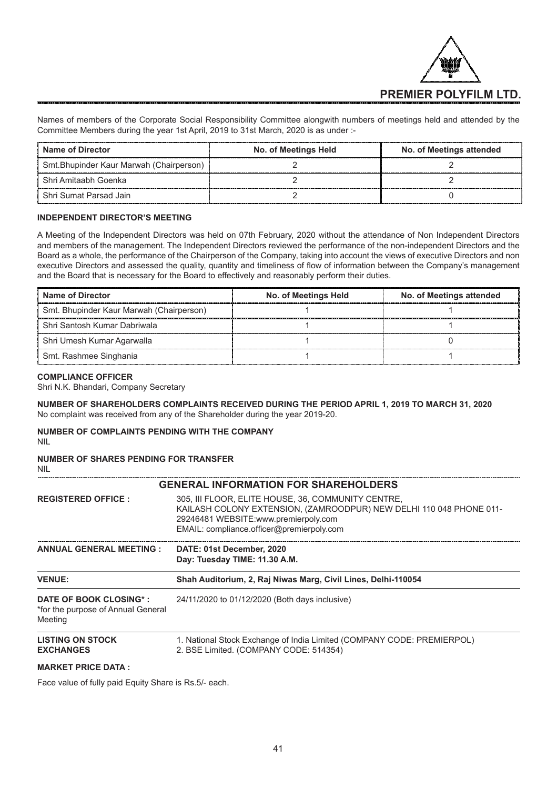

Names of members of the Corporate Social Responsibility Committee alongwith numbers of meetings held and attended by the Committee Members during the year 1st April, 2019 to 31st March, 2020 is as under :-

| <b>Name of Director</b>                  | No. of Meetings Held | No. of Meetings attended |  |
|------------------------------------------|----------------------|--------------------------|--|
| Smt. Bhupinder Kaur Marwah (Chairperson) |                      |                          |  |
| Shri Amitaabh Goenka                     |                      |                          |  |
| Shri Sumat Parsad Jain                   |                      |                          |  |

#### **INDEPENDENT DIRECTOR'S MEETING**

A Meeting of the Independent Directors was held on 07th February, 2020 without the attendance of Non Independent Directors and members of the management. The Independent Directors reviewed the performance of the non-independent Directors and the Board as a whole, the performance of the Chairperson of the Company, taking into account the views of executive Directors and non executive Directors and assessed the quality, quantity and timeliness of flow of information between the Company's management and the Board that is necessary for the Board to effectively and reasonably perform their duties.

| Name of Director                         | No. of Meetings Held | No. of Meetings attended |
|------------------------------------------|----------------------|--------------------------|
| Smt. Bhupinder Kaur Marwah (Chairperson) |                      |                          |
| Shri Santosh Kumar Dabriwala             |                      |                          |
| Shri Umesh Kumar Agarwalla               |                      |                          |
| Smt. Rashmee Singhania                   |                      |                          |

#### **COMPLIANCE OFFICER**

Shri N.K. Bhandari, Company Secretary

# **NUMBER OF SHAREHOLDERS COMPLAINTS RECEIVED DURING THE PERIOD APRIL 1, 2019 TO MARCH 31, 2020**

No complaint was received from any of the Shareholder during the year 2019-20.

#### **NUMBER OF COMPLAINTS PENDING WITH THE COMPANY**

NIL

#### **NUMBER OF SHARES PENDING FOR TRANSFER**

NIL

|                                                                         | <b>GENERAL INFORMATION FOR SHAREHOLDERS</b>                                                                                                                                                                    |
|-------------------------------------------------------------------------|----------------------------------------------------------------------------------------------------------------------------------------------------------------------------------------------------------------|
| <b>REGISTERED OFFICE:</b>                                               | 305, III FLOOR, ELITE HOUSE, 36, COMMUNITY CENTRE,<br>KAILASH COLONY EXTENSION, (ZAMROODPUR) NEW DELHI 110 048 PHONE 011-<br>29246481 WEBSITE:www.premierpoly.com<br>EMAIL: compliance.officer@premierpoly.com |
| <b>ANNUAL GENERAL MEETING:</b>                                          | DATE: 01st December, 2020<br>Day: Tuesday TIME: 11.30 A.M.                                                                                                                                                     |
| <b>VENUE:</b>                                                           | Shah Auditorium, 2, Raj Niwas Marg, Civil Lines, Delhi-110054                                                                                                                                                  |
| DATE OF BOOK CLOSING*:<br>*for the purpose of Annual General<br>Meeting | 24/11/2020 to 01/12/2020 (Both days inclusive)                                                                                                                                                                 |
| <b>LISTING ON STOCK</b><br><b>EXCHANGES</b>                             | 1. National Stock Exchange of India Limited (COMPANY CODE: PREMIERPOL)<br>2. BSE Limited. (COMPANY CODE: 514354)                                                                                               |
| <b>MARKET PRICE DATA:</b>                                               |                                                                                                                                                                                                                |

Face value of fully paid Equity Share is Rs.5/- each.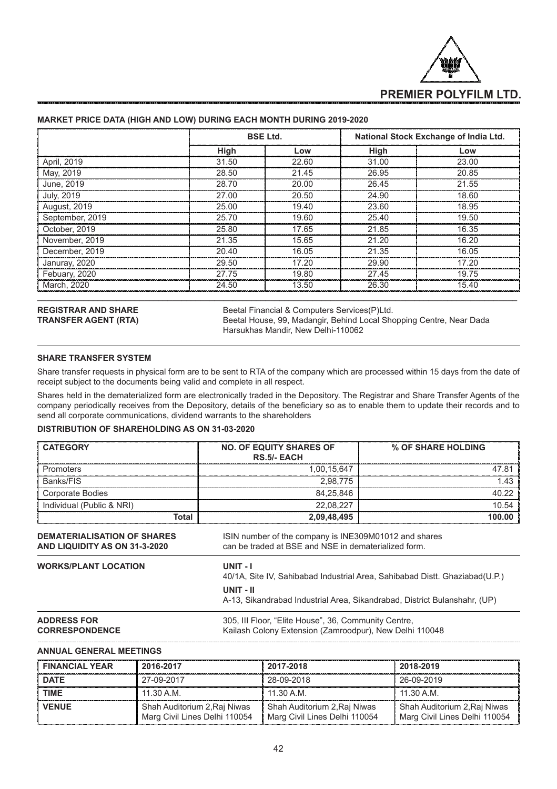

#### **MARKET PRICE DATA (HIGH AND LOW) DURING EACH MONTH DURING 2019-2020**

|                 | <b>BSE Ltd.</b> |       |       | National Stock Exchange of India Ltd. |
|-----------------|-----------------|-------|-------|---------------------------------------|
|                 | High            | Low   | High  | Low                                   |
| April, 2019     | 31.50           | 22.60 | 31.00 | 23.00                                 |
| May, 2019       | 28.50           | 21.45 | 26.95 | 20.85                                 |
| June, 2019      | 28.70           | 20.00 | 26.45 | 21.55                                 |
| July, 2019      | 27.00           | 20.50 | 24.90 | 18.60                                 |
| August, 2019    | 25.00           | 19.40 | 23.60 | 18.95                                 |
| September, 2019 | 25.70           | 19.60 | 25.40 | 19.50                                 |
| October, 2019   | 25.80           | 17.65 | 21.85 | 16.35                                 |
| November, 2019  | 21.35           | 15.65 | 21.20 | 16.20                                 |
| December, 2019  | 20.40           | 16.05 | 21.35 | 16.05                                 |
| Januray, 2020   | 29.50           | 17.20 | 29.90 | 17.20                                 |
| Febuary, 2020   | 27.75           | 19.80 | 27.45 | 19.75                                 |
| March, 2020     | 24.50           | 13.50 | 26.30 | 15.40                                 |

**REGISTRAR AND SHARE** Beetal Financial & Computers Services(P)Ltd.<br> **TRANSFER AGENT (RTA)** Beetal House, 99, Madangir, Behind Local She Beetal House, 99, Madangir, Behind Local Shopping Centre, Near Dada Harsukhas Mandir, New Delhi-110062

#### **SHARE TRANSFER SYSTEM**

Share transfer requests in physical form are to be sent to RTA of the company which are processed within 15 days from the date of receipt subject to the documents being valid and complete in all respect.

Shares held in the dematerialized form are electronically traded in the Depository. The Registrar and Share Transfer Agents of the company periodically receives from the Depository, details of the beneficiary so as to enable them to update their records and to send all corporate communications, dividend warrants to the shareholders

#### **DISTRIBUTION OF SHAREHOLDING AS ON 31-03-2020**

| <b>CATEGORY</b>                                                     | <b>NO. OF EQUITY SHARES OF</b><br>RS.5/- EACH                                                                                                                                     | % OF SHARE HOLDING |  |  |
|---------------------------------------------------------------------|-----------------------------------------------------------------------------------------------------------------------------------------------------------------------------------|--------------------|--|--|
| Promoters                                                           | 1,00,15,647                                                                                                                                                                       | 47.81              |  |  |
| Banks/FIS                                                           | 2.98.775                                                                                                                                                                          | 1.43               |  |  |
| <b>Corporate Bodies</b>                                             | 84.25.846                                                                                                                                                                         | 40.22              |  |  |
| Individual (Public & NRI)                                           | 22,08,227                                                                                                                                                                         | 10.54              |  |  |
| Total                                                               | 2,09,48,495                                                                                                                                                                       | 100.00             |  |  |
| <b>DEMATERIALISATION OF SHARES</b><br>AND LIQUIDITY AS ON 31-3-2020 | ISIN number of the company is INE309M01012 and shares<br>can be traded at BSE and NSE in dematerialized form.                                                                     |                    |  |  |
| <b>WORKS/PLANT LOCATION</b>                                         | UNIT - I<br>40/1A, Site IV, Sahibabad Industrial Area, Sahibabad Distt. Ghaziabad(U.P.)<br>UNIT - II<br>A-13, Sikandrabad Industrial Area, Sikandrabad, District Bulanshahr, (UP) |                    |  |  |
| <b>ADDRESS FOR</b><br><b>CORRESPONDENCE</b>                         | 305, III Floor, "Elite House", 36, Community Centre,<br>Kailash Colony Extension (Zamroodpur), New Delhi 110048                                                                   |                    |  |  |

#### **ANNUAL GENERAL MEETINGS**

| <b>FINANCIAL YEAR</b> | 2016-2017                                                     | 2017-2018                                                    | 2018-2019                                                     |
|-----------------------|---------------------------------------------------------------|--------------------------------------------------------------|---------------------------------------------------------------|
| <b>DATE</b>           | 27-09-2017                                                    | 28-09-2018                                                   | 26-09-2019                                                    |
| TIME                  | 11 30 A M                                                     | 11 30 A M                                                    | 11 30 A M                                                     |
| <b>VENUE</b>          | Shah Auditorium 2, Raj Niwas<br>Marg Civil Lines Delhi 110054 | Shah Auditorium 2.Rai Niwas<br>Marg Civil Lines Delhi 110054 | Shah Auditorium 2, Raj Niwas<br>Marg Civil Lines Delhi 110054 |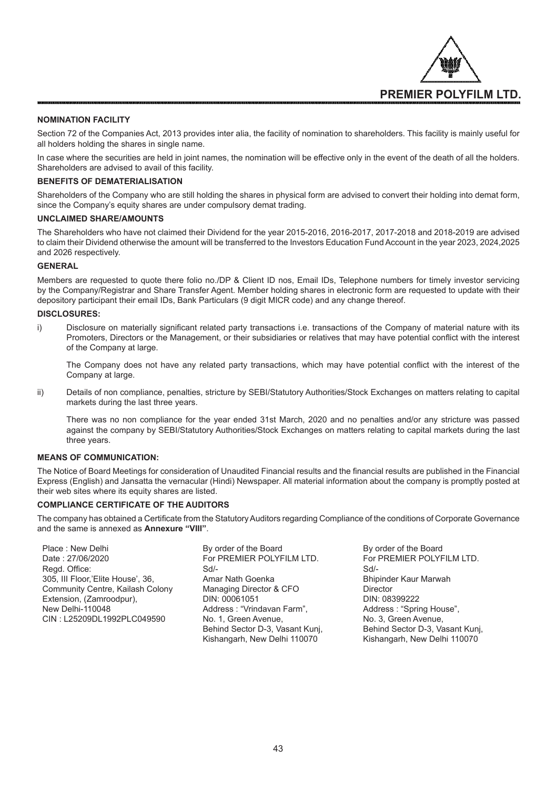

#### **NOMINATION FACILITY**

Section 72 of the Companies Act, 2013 provides inter alia, the facility of nomination to shareholders. This facility is mainly useful for all holders holding the shares in single name.

In case where the securities are held in joint names, the nomination will be effective only in the event of the death of all the holders. Shareholders are advised to avail of this facility.

#### **BENEFITS OF DEMATERIALISATION**

Shareholders of the Company who are still holding the shares in physical form are advised to convert their holding into demat form, since the Company's equity shares are under compulsory demat trading.

#### **UNCLAIMED SHARE/AMOUNTS**

The Shareholders who have not claimed their Dividend for the year 2015-2016, 2016-2017, 2017-2018 and 2018-2019 are advised to claim their Dividend otherwise the amount will be transferred to the Investors Education Fund Account in the year 2023, 2024,2025 and 2026 respectively.

#### **GENERAL**

Members are requested to quote there folio no./DP & Client ID nos, Email IDs, Telephone numbers for timely investor servicing by the Company/Registrar and Share Transfer Agent. Member holding shares in electronic form are requested to update with their depository participant their email IDs, Bank Particulars (9 digit MICR code) and any change thereof.

#### **DISCLOSURES:**

i) Disclosure on materially significant related party transactions i.e. transactions of the Company of material nature with its Promoters, Directors or the Management, or their subsidiaries or relatives that may have potential conflict with the interest of the Company at large.

The Company does not have any related party transactions, which may have potential conflict with the interest of the Company at large.

ii) Details of non compliance, penalties, stricture by SEBI/Statutory Authorities/Stock Exchanges on matters relating to capital markets during the last three years.

There was no non compliance for the year ended 31st March, 2020 and no penalties and/or any stricture was passed against the company by SEBI/Statutory Authorities/Stock Exchanges on matters relating to capital markets during the last three years.

#### **MEANS OF COMMUNICATION:**

The Notice of Board Meetings for consideration of Unaudited Financial results and the financial results are published in the Financial Express (English) and Jansatta the vernacular (Hindi) Newspaper. All material information about the company is promptly posted at their web sites where its equity shares are listed.

#### **COMPLIANCE CERTIFICATE OF THE AUDITORS**

The company has obtained a Certificate from the Statutory Auditors regarding Compliance of the conditions of Corporate Governance and the same is annexed as **Annexure "VIII"**.

Place : New Delhi Date : 27/06/2020 Regd. Office: 305, III Floor,'Elite House', 36, Community Centre, Kailash Colony Extension, (Zamroodpur), New Delhi-110048 CIN : L25209DL1992PLC049590

By order of the Board For PREMIER POLYFILM LTD. Sd/- Amar Nath Goenka Managing Director & CFO DIN: 00061051 Address : "Vrindavan Farm", No. 1, Green Avenue, Behind Sector D-3, Vasant Kunj, Kishangarh, New Delhi 110070

By order of the Board For PREMIER POLYFILM LTD. Sd/- Bhipinder Kaur Marwah Director DIN: 08399222 Address : "Spring House", No. 3, Green Avenue, Behind Sector D-3, Vasant Kunj, Kishangarh, New Delhi 110070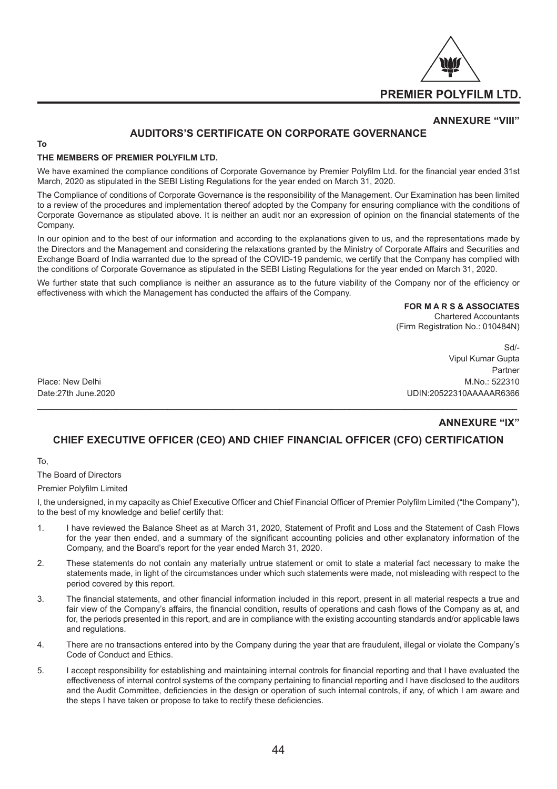

#### **ANNEXURE "VIII"**

#### **AUDITORS'S CERTIFICATE ON CORPORATE GOVERNANCE**

**To**

#### **THE MEMBERS OF PREMIER POLYFILM LTD.**

We have examined the compliance conditions of Corporate Governance by Premier Polyfilm Ltd. for the financial year ended 31st March, 2020 as stipulated in the SEBI Listing Regulations for the year ended on March 31, 2020.

The Compliance of conditions of Corporate Governance is the responsibility of the Management. Our Examination has been limited to a review of the procedures and implementation thereof adopted by the Company for ensuring compliance with the conditions of Corporate Governance as stipulated above. It is neither an audit nor an expression of opinion on the financial statements of the Company.

In our opinion and to the best of our information and according to the explanations given to us, and the representations made by the Directors and the Management and considering the relaxations granted by the Ministry of Corporate Affairs and Securities and Exchange Board of India warranted due to the spread of the COVID-19 pandemic, we certify that the Company has complied with the conditions of Corporate Governance as stipulated in the SEBI Listing Regulations for the year ended on March 31, 2020.

We further state that such compliance is neither an assurance as to the future viability of the Company nor of the efficiency or effectiveness with which the Management has conducted the affairs of the Company.

#### **FOR M A R S & ASSOCIATES**

Chartered Accountants (Firm Registration No.: 010484N)

Sd/- Vipul Kumar Gupta Partner Place: New Delhi M.No.: 522310 Date:27th June.2020 UDIN:20522310AAAAAR6366

#### **ANNEXURE "IX"**

#### **CHIEF EXECUTIVE OFFICER (CEO) AND CHIEF FINANCIAL OFFICER (CFO) CERTIFICATION**

\_\_\_\_\_\_\_\_\_\_\_\_\_\_\_\_\_\_\_\_\_\_\_\_\_\_\_\_\_\_\_\_\_\_\_\_\_\_\_\_\_\_\_\_\_\_\_\_\_\_\_\_\_\_\_\_\_\_\_\_\_\_\_\_\_\_\_\_\_\_\_\_\_\_\_\_\_\_\_\_\_\_\_\_\_\_\_\_\_\_\_\_\_\_\_\_\_\_\_\_\_\_\_

To,

The Board of Directors

Premier Polyfilm Limited

I, the undersigned, in my capacity as Chief Executive Officer and Chief Financial Officer of Premier Polyfilm Limited ("the Company"), to the best of my knowledge and belief certify that:

- 1. I have reviewed the Balance Sheet as at March 31, 2020, Statement of Profit and Loss and the Statement of Cash Flows for the year then ended, and a summary of the significant accounting policies and other explanatory information of the Company, and the Board's report for the year ended March 31, 2020.
- 2. These statements do not contain any materially untrue statement or omit to state a material fact necessary to make the statements made, in light of the circumstances under which such statements were made, not misleading with respect to the period covered by this report.
- 3. The financial statements, and other financial information included in this report, present in all material respects a true and fair view of the Company's affairs, the financial condition, results of operations and cash flows of the Company as at, and for, the periods presented in this report, and are in compliance with the existing accounting standards and/or applicable laws and regulations.
- 4. There are no transactions entered into by the Company during the year that are fraudulent, illegal or violate the Company's Code of Conduct and Ethics.
- 5. I accept responsibility for establishing and maintaining internal controls for financial reporting and that I have evaluated the effectiveness of internal control systems of the company pertaining to financial reporting and I have disclosed to the auditors and the Audit Committee, deficiencies in the design or operation of such internal controls, if any, of which I am aware and the steps I have taken or propose to take to rectify these deficiencies.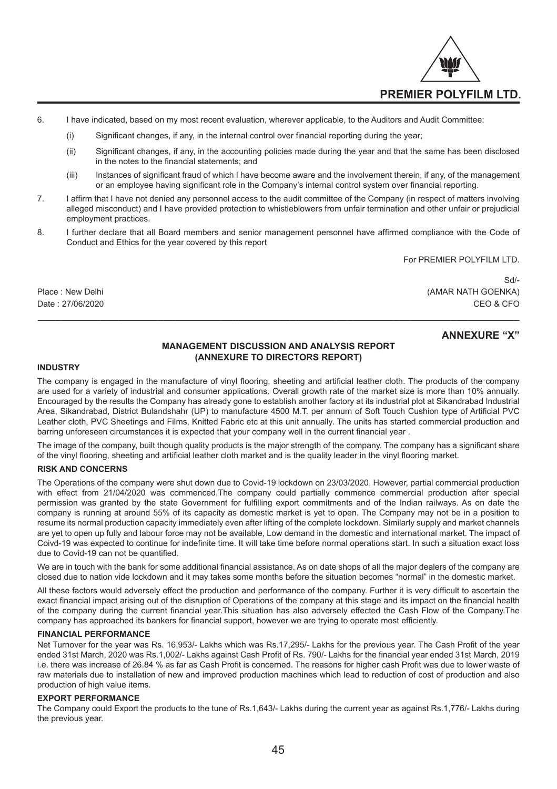

- 6. I have indicated, based on my most recent evaluation, wherever applicable, to the Auditors and Audit Committee:
	- (i) Significant changes, if any, in the internal control over financial reporting during the year;
	- (ii) Significant changes, if any, in the accounting policies made during the year and that the same has been disclosed in the notes to the financial statements; and
	- (iii) Instances of significant fraud of which I have become aware and the involvement therein, if any, of the management or an employee having significant role in the Company's internal control system over financial reporting.
- 7. I affirm that I have not denied any personnel access to the audit committee of the Company (in respect of matters involving alleged misconduct) and I have provided protection to whistleblowers from unfair termination and other unfair or prejudicial employment practices.
- 8. I further declare that all Board members and senior management personnel have affirmed compliance with the Code of Conduct and Ethics for the year covered by this report

For PREMIER POLYFILM LTD.

Sd/- Place : New Delhi (AMAR NATH GOENKA) Date : 27/06/2020 CEO & CFO

#### **ANNEXURE "X"**

#### **MANAGEMENT DISCUSSION AND ANALYSIS REPORT (ANNEXURE TO DIRECTORS REPORT)**

**\_\_\_\_\_\_\_\_\_\_\_\_\_\_\_\_\_\_\_\_\_\_\_\_\_\_\_\_\_\_\_\_\_\_\_\_\_\_\_\_\_\_\_\_\_\_\_\_\_\_\_\_\_\_\_\_\_\_\_\_\_\_\_\_\_\_\_\_\_\_\_\_\_\_\_\_\_\_\_\_\_\_\_\_**

#### **INDUSTRY**

The company is engaged in the manufacture of vinyl flooring, sheeting and artificial leather cloth. The products of the company are used for a variety of industrial and consumer applications. Overall growth rate of the market size is more than 10% annually. Encouraged by the results the Company has already gone to establish another factory at its industrial plot at Sikandrabad Industrial Area, Sikandrabad, District Bulandshahr (UP) to manufacture 4500 M.T. per annum of Soft Touch Cushion type of Artificial PVC Leather cloth, PVC Sheetings and Films, Knitted Fabric etc at this unit annually. The units has started commercial production and barring unforeseen circumstances it is expected that your company well in the current financial year .

The image of the company, built though quality products is the major strength of the company. The company has a significant share of the vinyl flooring, sheeting and artificial leather cloth market and is the quality leader in the vinyl flooring market.

#### **RISK AND CONCERNS**

The Operations of the company were shut down due to Covid-19 lockdown on 23/03/2020. However, partial commercial production with effect from 21/04/2020 was commenced.The company could partially commence commercial production after special permission was granted by the state Government for fulfilling export commitments and of the Indian railways. As on date the company is running at around 55% of its capacity as domestic market is yet to open. The Company may not be in a position to resume its normal production capacity immediately even after lifting of the complete lockdown. Similarly supply and market channels are yet to open up fully and labour force may not be available, Low demand in the domestic and international market. The impact of Coivd-19 was expected to continue for indefinite time. It will take time before normal operations start. In such a situation exact loss due to Covid-19 can not be quantified.

We are in touch with the bank for some additional financial assistance. As on date shops of all the major dealers of the company are closed due to nation vide lockdown and it may takes some months before the situation becomes "normal" in the domestic market.

All these factors would adversely effect the production and performance of the company. Further it is very difficult to ascertain the exact financial impact arising out of the disruption of Operations of the company at this stage and its impact on the financial health of the company during the current financial year.This situation has also adversely effected the Cash Flow of the Company.The company has approached its bankers for financial support, however we are trying to operate most efficiently.

#### **FINANCIAL PERFORMANCE**

Net Turnover for the year was Rs. 16,953/- Lakhs which was Rs.17,295/- Lakhs for the previous year. The Cash Profit of the year ended 31st March, 2020 was Rs.1,002/- Lakhs against Cash Profit of Rs. 790/- Lakhs for the financial year ended 31st March, 2019 i.e. there was increase of 26.84 % as far as Cash Profit is concerned. The reasons for higher cash Profit was due to lower waste of raw materials due to installation of new and improved production machines which lead to reduction of cost of production and also production of high value items.

#### **EXPORT PERFORMANCE**

The Company could Export the products to the tune of Rs.1,643/- Lakhs during the current year as against Rs.1,776/- Lakhs during the previous year.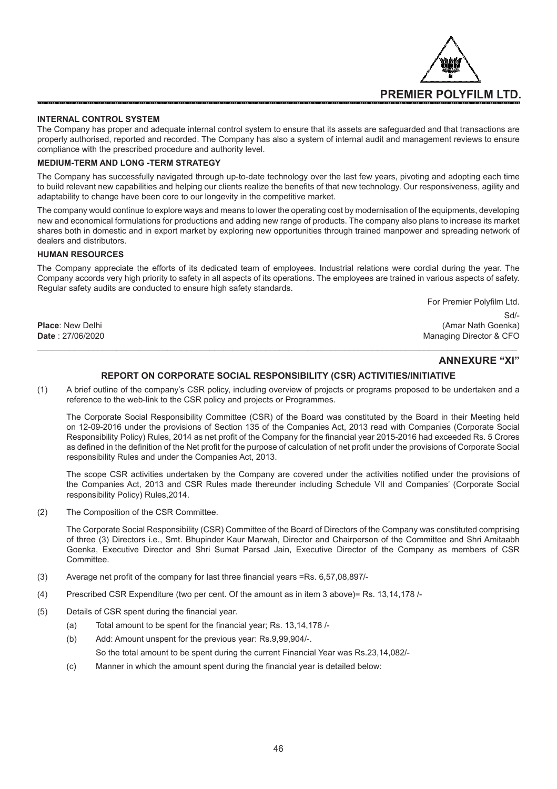

#### **INTERNAL CONTROL SYSTEM**

The Company has proper and adequate internal control system to ensure that its assets are safeguarded and that transactions are properly authorised, reported and recorded. The Company has also a system of internal audit and management reviews to ensure compliance with the prescribed procedure and authority level.

#### **MEDIUM-TERM AND LONG -TERM STRATEGY**

The Company has successfully navigated through up-to-date technology over the last few years, pivoting and adopting each time to build relevant new capabilities and helping our clients realize the benefits of that new technology. Our responsiveness, agility and adaptability to change have been core to our longevity in the competitive market.

The company would continue to explore ways and means to lower the operating cost by modernisation of the equipments, developing new and economical formulations for productions and adding new range of products. The company also plans to increase its market shares both in domestic and in export market by exploring new opportunities through trained manpower and spreading network of dealers and distributors.

#### **HUMAN RESOURCES**

The Company appreciate the efforts of its dedicated team of employees. Industrial relations were cordial during the year. The Company accords very high priority to safety in all aspects of its operations. The employees are trained in various aspects of safety. Regular safety audits are conducted to ensure high safety standards.

For Premier Polyfilm Ltd. Sd/- **Place**: New Delhi (Amar Nath Goenka) Managing Director & CFO

#### **ANNEXURE "XI"**

#### **REPORT ON CORPORATE SOCIAL RESPONSIBILITY (CSR) ACTIVITIES/INITIATIVE**

(1) A brief outline of the company's CSR policy, including overview of projects or programs proposed to be undertaken and a reference to the web-link to the CSR policy and projects or Programmes.

 $\mathcal{L}_\mathcal{L} = \{ \mathcal{L}_\mathcal{L} = \{ \mathcal{L}_\mathcal{L} = \{ \mathcal{L}_\mathcal{L} = \{ \mathcal{L}_\mathcal{L} = \{ \mathcal{L}_\mathcal{L} = \{ \mathcal{L}_\mathcal{L} = \{ \mathcal{L}_\mathcal{L} = \{ \mathcal{L}_\mathcal{L} = \{ \mathcal{L}_\mathcal{L} = \{ \mathcal{L}_\mathcal{L} = \{ \mathcal{L}_\mathcal{L} = \{ \mathcal{L}_\mathcal{L} = \{ \mathcal{L}_\mathcal{L} = \{ \mathcal{L}_\mathcal{$ 

The Corporate Social Responsibility Committee (CSR) of the Board was constituted by the Board in their Meeting held on 12-09-2016 under the provisions of Section 135 of the Companies Act, 2013 read with Companies (Corporate Social Responsibility Policy) Rules, 2014 as net profit of the Company for the financial year 2015-2016 had exceeded Rs. 5 Crores as defined in the definition of the Net profit for the purpose of calculation of net profit under the provisions of Corporate Social responsibility Rules and under the Companies Act, 2013.

The scope CSR activities undertaken by the Company are covered under the activities notified under the provisions of the Companies Act, 2013 and CSR Rules made thereunder including Schedule VII and Companies' (Corporate Social responsibility Policy) Rules,2014.

(2) The Composition of the CSR Committee.

The Corporate Social Responsibility (CSR) Committee of the Board of Directors of the Company was constituted comprising of three (3) Directors i.e., Smt. Bhupinder Kaur Marwah, Director and Chairperson of the Committee and Shri Amitaabh Goenka, Executive Director and Shri Sumat Parsad Jain, Executive Director of the Company as members of CSR **Committee.** 

- (3) Average net profit of the company for last three financial years =Rs. 6,57,08,897/-
- (4) Prescribed CSR Expenditure (two per cent. Of the amount as in item 3 above)= Rs. 13,14,178 /-
- (5) Details of CSR spent during the financial year.
	- (a) Total amount to be spent for the financial year; Rs. 13,14,178 /-
	- (b) Add: Amount unspent for the previous year: Rs.9,99,904/-.
		- So the total amount to be spent during the current Financial Year was Rs.23,14,082/-
	- (c) Manner in which the amount spent during the financial year is detailed below: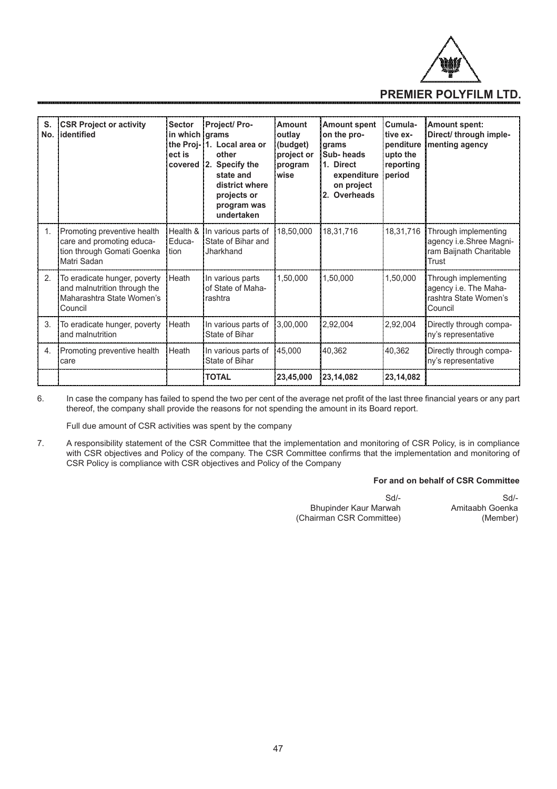

# **PREMIER POLYFILM LTD.**

| S.<br>No. | <b>CSR Project or activity</b><br>identified                                                          | Sector<br>in which grams<br>ect is<br>covered | Project/ Pro-<br>the Proj-11. Local area or<br>other<br>Specify the<br>12.<br>state and<br>district where<br>projects or<br>program was<br>undertaken | Amount<br>outlay<br>(budget)<br>project or<br>program<br>wise | <b>Amount spent</b><br>on the pro-<br>grams<br>Sub-heads<br>1. Direct<br>expenditure<br>on project<br>Overheads<br>2. | Cumula-<br>tive ex-<br>penditure<br>upto the<br>reporting<br>period | Amount spent:<br>Direct/ through imple-<br>menting agency                           |
|-----------|-------------------------------------------------------------------------------------------------------|-----------------------------------------------|-------------------------------------------------------------------------------------------------------------------------------------------------------|---------------------------------------------------------------|-----------------------------------------------------------------------------------------------------------------------|---------------------------------------------------------------------|-------------------------------------------------------------------------------------|
| 1.        | Promoting preventive health<br>care and promoting educa-<br>tion through Gomati Goenka<br>Matri Sadan | Health &<br>Educa-<br>tion                    | In various parts of<br>State of Bihar and<br>Jharkhand                                                                                                | 18,50,000                                                     | 18,31,716                                                                                                             | 18,31,716                                                           | Through implementing<br>agency i.e.Shree Magni-<br>ram Baijnath Charitable<br>Trust |
| 2.        | To eradicate hunger, poverty<br>and malnutrition through the<br>Maharashtra State Women's<br>Council  | Heath                                         | In various parts<br>of State of Maha-<br>rashtra                                                                                                      | 1,50,000                                                      | 1,50,000                                                                                                              | 1,50,000                                                            | Through implementing<br>agency i.e. The Maha-<br>rashtra State Women's<br>Council   |
| 3.        | To eradicate hunger, poverty<br>and malnutrition                                                      | Heath                                         | In various parts of<br>State of Bihar                                                                                                                 | 3,00,000                                                      | 2,92,004                                                                                                              | 2,92,004                                                            | Directly through compa-<br>ny's representative                                      |
| 4.        | Promoting preventive health<br>care                                                                   | Heath                                         | In various parts of<br>State of Bihar                                                                                                                 | 45.000                                                        | 40.362                                                                                                                | 40.362                                                              | Directly through compa-<br>ny's representative                                      |
|           |                                                                                                       |                                               | <b>TOTAL</b>                                                                                                                                          | 23,45,000                                                     | 23,14,082                                                                                                             | 23,14,082                                                           |                                                                                     |

6. In case the company has failed to spend the two per cent of the average net profit of the last three financial years or any part thereof, the company shall provide the reasons for not spending the amount in its Board report.

Full due amount of CSR activities was spent by the company

7. A responsibility statement of the CSR Committee that the implementation and monitoring of CSR Policy, is in compliance with CSR objectives and Policy of the company. The CSR Committee confirms that the implementation and monitoring of CSR Policy is compliance with CSR objectives and Policy of the Company

#### **For and on behalf of CSR Committee**

| Sd                       | Sd/-            |
|--------------------------|-----------------|
| Bhupinder Kaur Marwah    | Amitaabh Goenka |
| (Chairman CSR Committee) | (Member)        |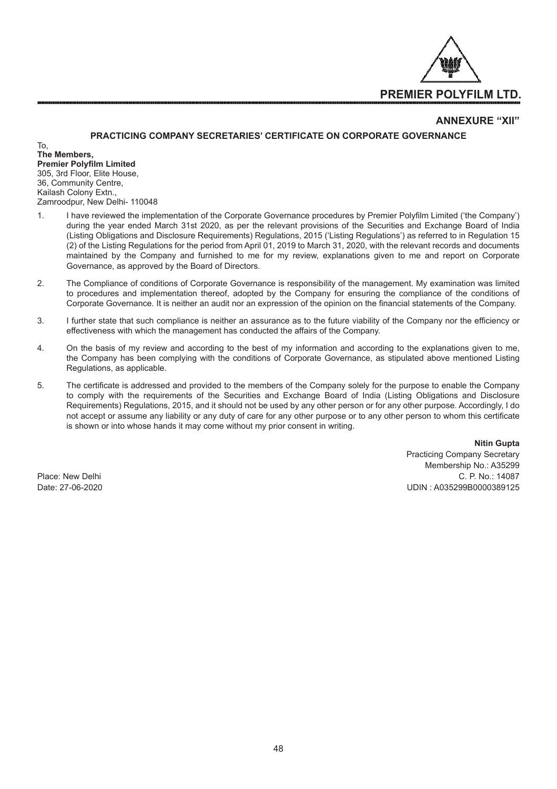

#### **ANNEXURE "XII"**

#### **PRACTICING COMPANY SECRETARIES' CERTIFICATE ON CORPORATE GOVERNANCE**

To, **The Members, Premier Polyfilm Limited** 305, 3rd Floor, Elite House, 36, Community Centre, Kailash Colony Extn., Zamroodpur, New Delhi- 110048

- 1. I have reviewed the implementation of the Corporate Governance procedures by Premier Polyfilm Limited ('the Company') during the year ended March 31st 2020, as per the relevant provisions of the Securities and Exchange Board of India (Listing Obligations and Disclosure Requirements) Regulations, 2015 ('Listing Regulations') as referred to in Regulation 15 (2) of the Listing Regulations for the period from April 01, 2019 to March 31, 2020, with the relevant records and documents maintained by the Company and furnished to me for my review, explanations given to me and report on Corporate Governance, as approved by the Board of Directors.
- 2. The Compliance of conditions of Corporate Governance is responsibility of the management. My examination was limited to procedures and implementation thereof, adopted by the Company for ensuring the compliance of the conditions of Corporate Governance. It is neither an audit nor an expression of the opinion on the financial statements of the Company.
- 3. I further state that such compliance is neither an assurance as to the future viability of the Company nor the efficiency or effectiveness with which the management has conducted the affairs of the Company.
- 4. On the basis of my review and according to the best of my information and according to the explanations given to me, the Company has been complying with the conditions of Corporate Governance, as stipulated above mentioned Listing Regulations, as applicable.
- 5. The certificate is addressed and provided to the members of the Company solely for the purpose to enable the Company to comply with the requirements of the Securities and Exchange Board of India (Listing Obligations and Disclosure Requirements) Regulations, 2015, and it should not be used by any other person or for any other purpose. Accordingly, I do not accept or assume any liability or any duty of care for any other purpose or to any other person to whom this certificate is shown or into whose hands it may come without my prior consent in writing.

#### **Nitin Gupta**

 Practicing Company Secretary Membership No.: A35299 Place: New Delhi C. P. No.: 14087 Date: 27-06-2020 UDIN : A035299B0000389125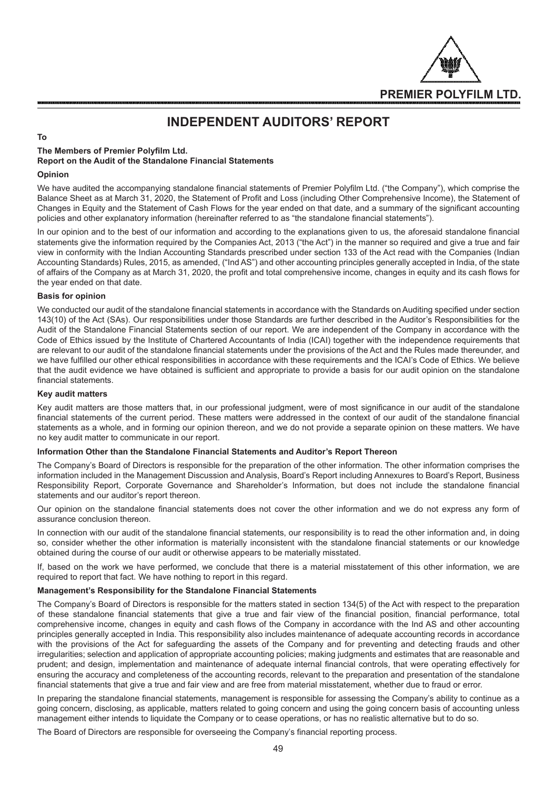

# **INDEPENDENT AUDITORS' REPORT**

#### **To**

#### **The Members of Premier Polyfilm Ltd.**

#### **Report on the Audit of the Standalone Financial Statements**

#### **Opinion**

We have audited the accompanying standalone financial statements of Premier Polyfilm Ltd. ("the Company"), which comprise the Balance Sheet as at March 31, 2020, the Statement of Profit and Loss (including Other Comprehensive Income), the Statement of Changes in Equity and the Statement of Cash Flows for the year ended on that date, and a summary of the significant accounting policies and other explanatory information (hereinafter referred to as "the standalone financial statements").

In our opinion and to the best of our information and according to the explanations given to us, the aforesaid standalone financial statements give the information required by the Companies Act, 2013 ("the Act") in the manner so required and give a true and fair view in conformity with the Indian Accounting Standards prescribed under section 133 of the Act read with the Companies (Indian Accounting Standards) Rules, 2015, as amended, ("Ind AS") and other accounting principles generally accepted in India, of the state of affairs of the Company as at March 31, 2020, the profit and total comprehensive income, changes in equity and its cash flows for the year ended on that date.

#### **Basis for opinion**

We conducted our audit of the standalone financial statements in accordance with the Standards on Auditing specified under section 143(10) of the Act (SAs). Our responsibilities under those Standards are further described in the Auditor's Responsibilities for the Audit of the Standalone Financial Statements section of our report. We are independent of the Company in accordance with the Code of Ethics issued by the Institute of Chartered Accountants of India (ICAI) together with the independence requirements that are relevant to our audit of the standalone financial statements under the provisions of the Act and the Rules made thereunder, and we have fulfilled our other ethical responsibilities in accordance with these requirements and the ICAI's Code of Ethics. We believe that the audit evidence we have obtained is sufficient and appropriate to provide a basis for our audit opinion on the standalone financial statements.

#### **Key audit matters**

Key audit matters are those matters that, in our professional judgment, were of most significance in our audit of the standalone financial statements of the current period. These matters were addressed in the context of our audit of the standalone financial statements as a whole, and in forming our opinion thereon, and we do not provide a separate opinion on these matters. We have no key audit matter to communicate in our report.

#### **Information Other than the Standalone Financial Statements and Auditor's Report Thereon**

The Company's Board of Directors is responsible for the preparation of the other information. The other information comprises the information included in the Management Discussion and Analysis, Board's Report including Annexures to Board's Report, Business Responsibility Report, Corporate Governance and Shareholder's Information, but does not include the standalone financial statements and our auditor's report thereon.

Our opinion on the standalone financial statements does not cover the other information and we do not express any form of assurance conclusion thereon.

In connection with our audit of the standalone financial statements, our responsibility is to read the other information and, in doing so, consider whether the other information is materially inconsistent with the standalone financial statements or our knowledge obtained during the course of our audit or otherwise appears to be materially misstated.

If, based on the work we have performed, we conclude that there is a material misstatement of this other information, we are required to report that fact. We have nothing to report in this regard.

#### **Management's Responsibility for the Standalone Financial Statements**

The Company's Board of Directors is responsible for the matters stated in section 134(5) of the Act with respect to the preparation of these standalone financial statements that give a true and fair view of the financial position, financial performance, total comprehensive income, changes in equity and cash flows of the Company in accordance with the Ind AS and other accounting principles generally accepted in India. This responsibility also includes maintenance of adequate accounting records in accordance with the provisions of the Act for safeguarding the assets of the Company and for preventing and detecting frauds and other irregularities; selection and application of appropriate accounting policies; making judgments and estimates that are reasonable and prudent; and design, implementation and maintenance of adequate internal financial controls, that were operating effectively for ensuring the accuracy and completeness of the accounting records, relevant to the preparation and presentation of the standalone financial statements that give a true and fair view and are free from material misstatement, whether due to fraud or error.

In preparing the standalone financial statements, management is responsible for assessing the Company's ability to continue as a going concern, disclosing, as applicable, matters related to going concern and using the going concern basis of accounting unless management either intends to liquidate the Company or to cease operations, or has no realistic alternative but to do so.

The Board of Directors are responsible for overseeing the Company's financial reporting process.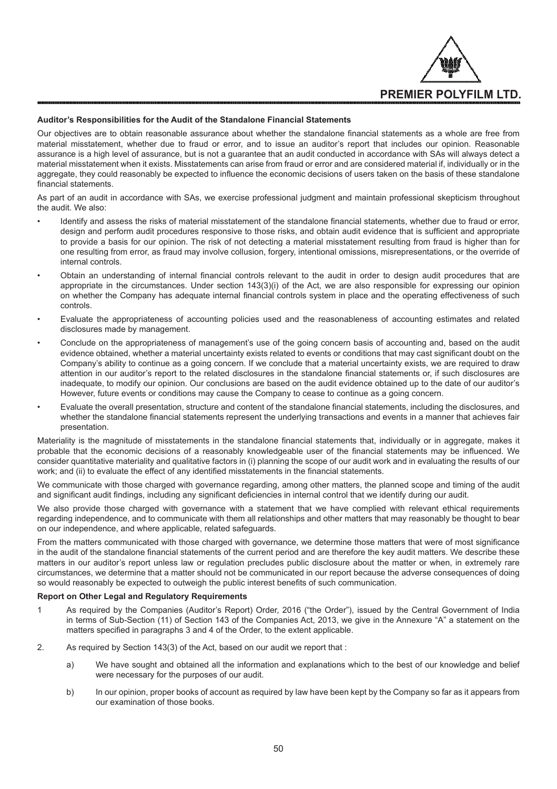

#### **Auditor's Responsibilities for the Audit of the Standalone Financial Statements**

Our objectives are to obtain reasonable assurance about whether the standalone financial statements as a whole are free from material misstatement, whether due to fraud or error, and to issue an auditor's report that includes our opinion. Reasonable assurance is a high level of assurance, but is not a guarantee that an audit conducted in accordance with SAs will always detect a material misstatement when it exists. Misstatements can arise from fraud or error and are considered material if, individually or in the aggregate, they could reasonably be expected to influence the economic decisions of users taken on the basis of these standalone financial statements.

As part of an audit in accordance with SAs, we exercise professional judgment and maintain professional skepticism throughout the audit. We also:

- Identify and assess the risks of material misstatement of the standalone financial statements, whether due to fraud or error, design and perform audit procedures responsive to those risks, and obtain audit evidence that is sufficient and appropriate to provide a basis for our opinion. The risk of not detecting a material misstatement resulting from fraud is higher than for one resulting from error, as fraud may involve collusion, forgery, intentional omissions, misrepresentations, or the override of internal controls.
- Obtain an understanding of internal financial controls relevant to the audit in order to design audit procedures that are appropriate in the circumstances. Under section 143(3)(i) of the Act, we are also responsible for expressing our opinion on whether the Company has adequate internal financial controls system in place and the operating effectiveness of such controls.
- Evaluate the appropriateness of accounting policies used and the reasonableness of accounting estimates and related disclosures made by management.
- Conclude on the appropriateness of management's use of the going concern basis of accounting and, based on the audit evidence obtained, whether a material uncertainty exists related to events or conditions that may cast significant doubt on the Company's ability to continue as a going concern. If we conclude that a material uncertainty exists, we are required to draw attention in our auditor's report to the related disclosures in the standalone financial statements or, if such disclosures are inadequate, to modify our opinion. Our conclusions are based on the audit evidence obtained up to the date of our auditor's However, future events or conditions may cause the Company to cease to continue as a going concern.
- Evaluate the overall presentation, structure and content of the standalone financial statements, including the disclosures, and whether the standalone financial statements represent the underlying transactions and events in a manner that achieves fair presentation.

Materiality is the magnitude of misstatements in the standalone financial statements that, individually or in aggregate, makes it probable that the economic decisions of a reasonably knowledgeable user of the financial statements may be influenced. We consider quantitative materiality and qualitative factors in (i) planning the scope of our audit work and in evaluating the results of our work; and (ii) to evaluate the effect of any identified misstatements in the financial statements.

We communicate with those charged with governance regarding, among other matters, the planned scope and timing of the audit and significant audit findings, including any significant deficiencies in internal control that we identify during our audit.

We also provide those charged with governance with a statement that we have complied with relevant ethical requirements regarding independence, and to communicate with them all relationships and other matters that may reasonably be thought to bear on our independence, and where applicable, related safeguards.

From the matters communicated with those charged with governance, we determine those matters that were of most significance in the audit of the standalone financial statements of the current period and are therefore the key audit matters. We describe these matters in our auditor's report unless law or regulation precludes public disclosure about the matter or when, in extremely rare circumstances, we determine that a matter should not be communicated in our report because the adverse consequences of doing so would reasonably be expected to outweigh the public interest benefits of such communication.

#### **Report on Other Legal and Regulatory Requirements**

- 1 As required by the Companies (Auditor's Report) Order, 2016 ("the Order"), issued by the Central Government of India in terms of Sub-Section (11) of Section 143 of the Companies Act, 2013, we give in the Annexure "A" a statement on the matters specified in paragraphs 3 and 4 of the Order, to the extent applicable.
- 2. As required by Section 143(3) of the Act, based on our audit we report that :
	- a) We have sought and obtained all the information and explanations which to the best of our knowledge and belief were necessary for the purposes of our audit.
	- b) In our opinion, proper books of account as required by law have been kept by the Company so far as it appears from our examination of those books.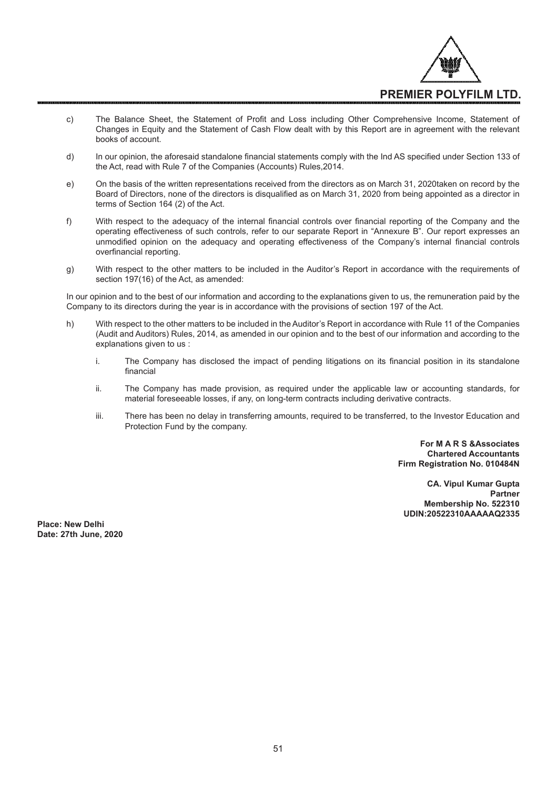

- c) The Balance Sheet, the Statement of Profit and Loss including Other Comprehensive Income, Statement of Changes in Equity and the Statement of Cash Flow dealt with by this Report are in agreement with the relevant books of account.
- d) In our opinion, the aforesaid standalone financial statements comply with the Ind AS specified under Section 133 of the Act, read with Rule 7 of the Companies (Accounts) Rules,2014.
- e) On the basis of the written representations received from the directors as on March 31, 2020taken on record by the Board of Directors, none of the directors is disqualified as on March 31, 2020 from being appointed as a director in terms of Section 164 (2) of the Act.
- f) With respect to the adequacy of the internal financial controls over financial reporting of the Company and the operating effectiveness of such controls, refer to our separate Report in "Annexure B". Our report expresses an unmodified opinion on the adequacy and operating effectiveness of the Company's internal financial controls overfinancial reporting.
- g) With respect to the other matters to be included in the Auditor's Report in accordance with the requirements of section 197(16) of the Act, as amended:

In our opinion and to the best of our information and according to the explanations given to us, the remuneration paid by the Company to its directors during the year is in accordance with the provisions of section 197 of the Act.

- h) With respect to the other matters to be included in the Auditor's Report in accordance with Rule 11 of the Companies (Audit and Auditors) Rules, 2014, as amended in our opinion and to the best of our information and according to the explanations given to us :
	- i. The Company has disclosed the impact of pending litigations on its financial position in its standalone financial
	- ii. The Company has made provision, as required under the applicable law or accounting standards, for material foreseeable losses, if any, on long-term contracts including derivative contracts.
	- iii. There has been no delay in transferring amounts, required to be transferred, to the Investor Education and Protection Fund by the company.

**For M A R S &Associates Chartered Accountants Firm Registration No. 010484N**

**CA. Vipul Kumar Gupta Partner Membership No. 522310 UDIN:20522310AAAAAQ2335**

**Place: New Delhi Date: 27th June, 2020**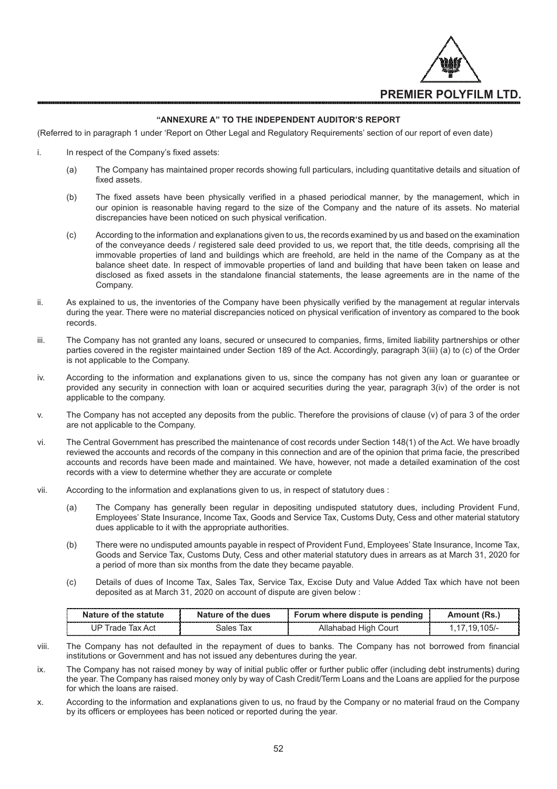

#### **"ANNEXURE A" TO THE INDEPENDENT AUDITOR'S REPORT**

(Referred to in paragraph 1 under 'Report on Other Legal and Regulatory Requirements' section of our report of even date)

i. In respect of the Company's fixed assets:

֡֡֡

- (a) The Company has maintained proper records showing full particulars, including quantitative details and situation of fixed assets.
- (b) The fixed assets have been physically verified in a phased periodical manner, by the management, which in our opinion is reasonable having regard to the size of the Company and the nature of its assets. No material discrepancies have been noticed on such physical verification.
- (c) According to the information and explanations given to us, the records examined by us and based on the examination of the conveyance deeds / registered sale deed provided to us, we report that, the title deeds, comprising all the immovable properties of land and buildings which are freehold, are held in the name of the Company as at the balance sheet date. In respect of immovable properties of land and building that have been taken on lease and disclosed as fixed assets in the standalone financial statements, the lease agreements are in the name of the Company.
- ii. As explained to us, the inventories of the Company have been physically verified by the management at regular intervals during the year. There were no material discrepancies noticed on physical verification of inventory as compared to the book records.
- iii. The Company has not granted any loans, secured or unsecured to companies, firms, limited liability partnerships or other parties covered in the register maintained under Section 189 of the Act. Accordingly, paragraph 3(iii) (a) to (c) of the Order is not applicable to the Company.
- iv. According to the information and explanations given to us, since the company has not given any loan or guarantee or provided any security in connection with loan or acquired securities during the year, paragraph 3(iv) of the order is not applicable to the company.
- v. The Company has not accepted any deposits from the public. Therefore the provisions of clause (v) of para 3 of the order are not applicable to the Company.
- vi. The Central Government has prescribed the maintenance of cost records under Section 148(1) of the Act. We have broadly reviewed the accounts and records of the company in this connection and are of the opinion that prima facie, the prescribed accounts and records have been made and maintained. We have, however, not made a detailed examination of the cost records with a view to determine whether they are accurate or complete
- vii. According to the information and explanations given to us, in respect of statutory dues :
	- (a) The Company has generally been regular in depositing undisputed statutory dues, including Provident Fund, Employees' State Insurance, Income Tax, Goods and Service Tax, Customs Duty, Cess and other material statutory dues applicable to it with the appropriate authorities.
	- (b) There were no undisputed amounts payable in respect of Provident Fund, Employees' State Insurance, Income Tax, Goods and Service Tax, Customs Duty, Cess and other material statutory dues in arrears as at March 31, 2020 for a period of more than six months from the date they became payable.
	- (c) Details of dues of Income Tax, Sales Tax, Service Tax, Excise Duty and Value Added Tax which have not been deposited as at March 31, 2020 on account of dispute are given below :

| Nature of the statute | Nature of the dues | Forum where dispute is pending |       |
|-----------------------|--------------------|--------------------------------|-------|
| JP.<br>Trade Tax Act  | sales              | Cour<br>. Hinh '<br>Allahahad. | 105/- |

- viii. The Company has not defaulted in the repayment of dues to banks. The Company has not borrowed from financial institutions or Government and has not issued any debentures during the year.
- ix. The Company has not raised money by way of initial public offer or further public offer (including debt instruments) during the year. The Company has raised money only by way of Cash Credit/Term Loans and the Loans are applied for the purpose for which the loans are raised.
- x. According to the information and explanations given to us, no fraud by the Company or no material fraud on the Company by its officers or employees has been noticed or reported during the year.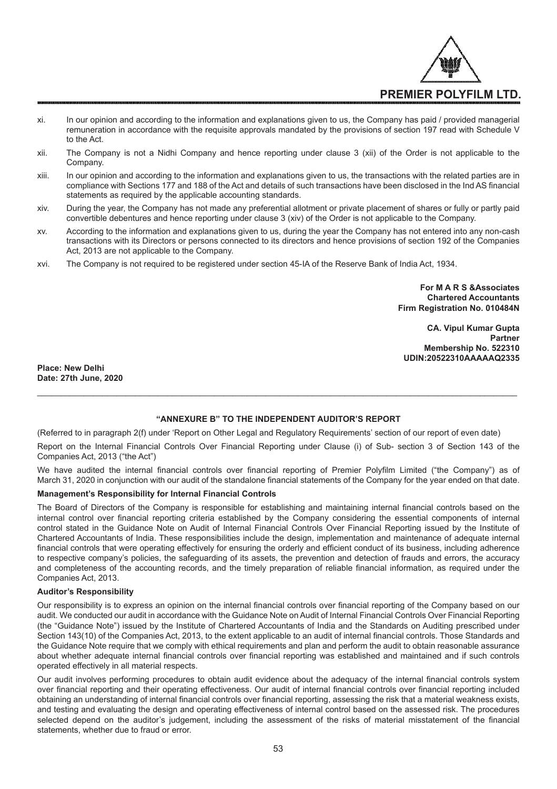

- xi. In our opinion and according to the information and explanations given to us, the Company has paid / provided managerial remuneration in accordance with the requisite approvals mandated by the provisions of section 197 read with Schedule V to the Act.
- xii. The Company is not a Nidhi Company and hence reporting under clause 3 (xii) of the Order is not applicable to the Company.
- xiii. In our opinion and according to the information and explanations given to us, the transactions with the related parties are in compliance with Sections 177 and 188 of the Act and details of such transactions have been disclosed in the Ind AS financial statements as required by the applicable accounting standards.
- xiv. During the year, the Company has not made any preferential allotment or private placement of shares or fully or partly paid convertible debentures and hence reporting under clause 3 (xiv) of the Order is not applicable to the Company.
- xv. According to the information and explanations given to us, during the year the Company has not entered into any non-cash transactions with its Directors or persons connected to its directors and hence provisions of section 192 of the Companies Act, 2013 are not applicable to the Company.
- xvi. The Company is not required to be registered under section 45-IA of the Reserve Bank of India Act, 1934.

**For M A R S &Associates Chartered Accountants Firm Registration No. 010484N**

**CA. Vipul Kumar Gupta Partner Membership No. 522310 UDIN:20522310AAAAAQ2335**

**Place: New Delhi Date: 27th June, 2020**

#### **"ANNEXURE B" TO THE INDEPENDENT AUDITOR'S REPORT**

\_\_\_\_\_\_\_\_\_\_\_\_\_\_\_\_\_\_\_\_\_\_\_\_\_\_\_\_\_\_\_\_\_\_\_\_\_\_\_\_\_\_\_\_\_\_\_\_\_\_\_\_\_\_\_\_\_\_\_\_\_\_\_\_\_\_\_\_\_\_\_\_\_\_\_\_\_\_\_\_\_\_\_\_\_\_\_\_\_\_\_\_\_\_\_\_\_\_\_\_\_\_\_

(Referred to in paragraph 2(f) under 'Report on Other Legal and Regulatory Requirements' section of our report of even date)

Report on the Internal Financial Controls Over Financial Reporting under Clause (i) of Sub- section 3 of Section 143 of the Companies Act, 2013 ("the Act")

We have audited the internal financial controls over financial reporting of Premier Polyfilm Limited ("the Company") as of March 31, 2020 in conjunction with our audit of the standalone financial statements of the Company for the year ended on that date.

#### **Management's Responsibility for Internal Financial Controls**

The Board of Directors of the Company is responsible for establishing and maintaining internal financial controls based on the internal control over financial reporting criteria established by the Company considering the essential components of internal control stated in the Guidance Note on Audit of Internal Financial Controls Over Financial Reporting issued by the Institute of Chartered Accountants of India. These responsibilities include the design, implementation and maintenance of adequate internal financial controls that were operating effectively for ensuring the orderly and efficient conduct of its business, including adherence to respective company's policies, the safeguarding of its assets, the prevention and detection of frauds and errors, the accuracy and completeness of the accounting records, and the timely preparation of reliable financial information, as required under the Companies Act, 2013.

#### **Auditor's Responsibility**

Our responsibility is to express an opinion on the internal financial controls over financial reporting of the Company based on our audit. We conducted our audit in accordance with the Guidance Note on Audit of Internal Financial Controls Over Financial Reporting (the "Guidance Note") issued by the Institute of Chartered Accountants of India and the Standards on Auditing prescribed under Section 143(10) of the Companies Act, 2013, to the extent applicable to an audit of internal financial controls. Those Standards and the Guidance Note require that we comply with ethical requirements and plan and perform the audit to obtain reasonable assurance about whether adequate internal financial controls over financial reporting was established and maintained and if such controls operated effectively in all material respects.

Our audit involves performing procedures to obtain audit evidence about the adequacy of the internal financial controls system over financial reporting and their operating effectiveness. Our audit of internal financial controls over financial reporting included obtaining an understanding of internal financial controls over financial reporting, assessing the risk that a material weakness exists, and testing and evaluating the design and operating effectiveness of internal control based on the assessed risk. The procedures selected depend on the auditor's judgement, including the assessment of the risks of material misstatement of the financial statements, whether due to fraud or error.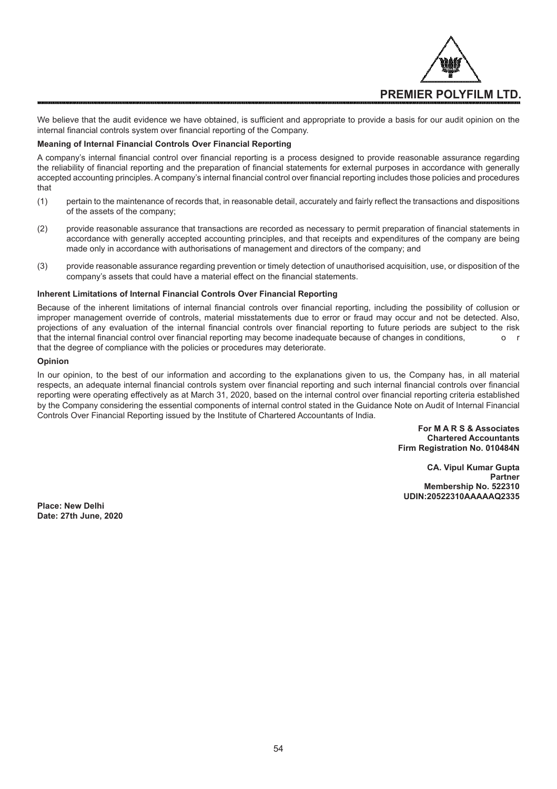

We believe that the audit evidence we have obtained, is sufficient and appropriate to provide a basis for our audit opinion on the internal financial controls system over financial reporting of the Company.

#### **Meaning of Internal Financial Controls Over Financial Reporting**

A company's internal financial control over financial reporting is a process designed to provide reasonable assurance regarding the reliability of financial reporting and the preparation of financial statements for external purposes in accordance with generally accepted accounting principles. A company's internal financial control over financial reporting includes those policies and procedures that

- (1) pertain to the maintenance of records that, in reasonable detail, accurately and fairly reflect the transactions and dispositions of the assets of the company;
- (2) provide reasonable assurance that transactions are recorded as necessary to permit preparation of financial statements in accordance with generally accepted accounting principles, and that receipts and expenditures of the company are being made only in accordance with authorisations of management and directors of the company; and
- (3) provide reasonable assurance regarding prevention or timely detection of unauthorised acquisition, use, or disposition of the company's assets that could have a material effect on the financial statements.

#### **Inherent Limitations of Internal Financial Controls Over Financial Reporting**

Because of the inherent limitations of internal financial controls over financial reporting, including the possibility of collusion or improper management override of controls, material misstatements due to error or fraud may occur and not be detected. Also, projections of any evaluation of the internal financial controls over financial reporting to future periods are subject to the risk that the internal financial control over financial reporting may become inadequate because of changes in conditions, on that the degree of compliance with the policies or procedures may deteriorate.

#### **Opinion**

In our opinion, to the best of our information and according to the explanations given to us, the Company has, in all material respects, an adequate internal financial controls system over financial reporting and such internal financial controls over financial reporting were operating effectively as at March 31, 2020, based on the internal control over financial reporting criteria established by the Company considering the essential components of internal control stated in the Guidance Note on Audit of Internal Financial Controls Over Financial Reporting issued by the Institute of Chartered Accountants of India.

> **For M A R S & Associates Chartered Accountants Firm Registration No. 010484N**

**CA. Vipul Kumar Gupta Partner Membership No. 522310 UDIN:20522310AAAAAQ2335**

**Place: New Delhi Date: 27th June, 2020**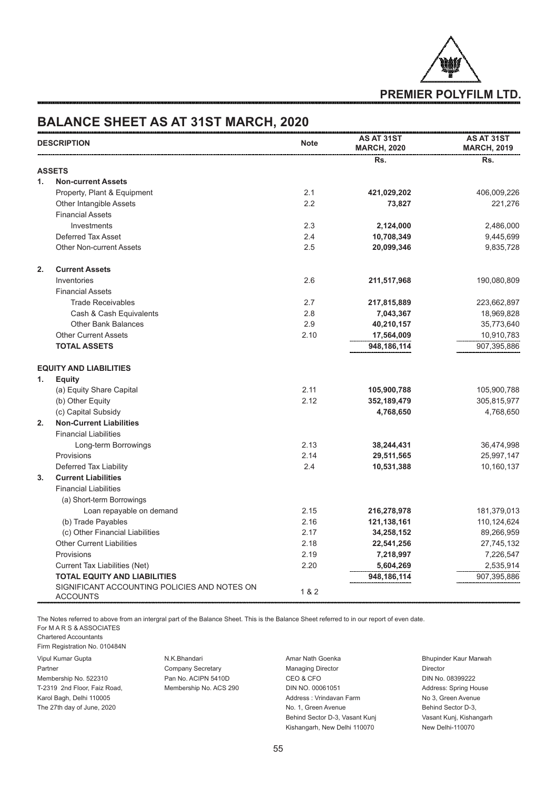

# **BALANCE SHEET AS AT 31ST MARCH, 2020**

|    | <b>DESCRIPTION</b>                                              | <b>Note</b> | AS AT 31ST<br><b>MARCH, 2020</b> | AS AT 31ST<br><b>MARCH, 2019</b> |
|----|-----------------------------------------------------------------|-------------|----------------------------------|----------------------------------|
|    |                                                                 |             | Rs.                              | Rs.                              |
|    | <b>ASSETS</b>                                                   |             |                                  |                                  |
| 1. | <b>Non-current Assets</b>                                       |             |                                  |                                  |
|    | Property, Plant & Equipment                                     | 2.1         | 421,029,202                      | 406,009,226                      |
|    | Other Intangible Assets                                         | 2.2         | 73,827                           | 221,276                          |
|    | <b>Financial Assets</b>                                         |             |                                  |                                  |
|    | Investments                                                     | 2.3         | 2,124,000                        | 2,486,000                        |
|    | Deferred Tax Asset                                              | 2.4         | 10,708,349                       | 9,445,699                        |
|    | Other Non-current Assets                                        | 2.5         | 20,099,346                       | 9,835,728                        |
| 2. | <b>Current Assets</b>                                           |             |                                  |                                  |
|    | Inventories                                                     | 2.6         | 211,517,968                      | 190,080,809                      |
|    | <b>Financial Assets</b>                                         |             |                                  |                                  |
|    | <b>Trade Receivables</b>                                        | 2.7         | 217,815,889                      | 223,662,897                      |
|    | Cash & Cash Equivalents                                         | 2.8         | 7,043,367                        | 18,969,828                       |
|    | <b>Other Bank Balances</b>                                      | 2.9         | 40,210,157                       | 35,773,640                       |
|    | <b>Other Current Assets</b>                                     | 2.10        | 17,564,009                       | 10,910,783                       |
|    | <b>TOTAL ASSETS</b>                                             |             | 948,186,114                      | 907,395,886                      |
|    | <b>EQUITY AND LIABILITIES</b>                                   |             |                                  |                                  |
| 1. | Equity                                                          |             |                                  |                                  |
|    | (a) Equity Share Capital                                        | 2.11        | 105,900,788                      | 105,900,788                      |
|    | (b) Other Equity                                                | 2.12        | 352,189,479                      | 305,815,977                      |
|    | (c) Capital Subsidy                                             |             | 4,768,650                        | 4,768,650                        |
| 2. | <b>Non-Current Liabilities</b>                                  |             |                                  |                                  |
|    | <b>Financial Liabilities</b>                                    |             |                                  |                                  |
|    | Long-term Borrowings                                            | 2.13        | 38,244,431                       | 36,474,998                       |
|    | Provisions                                                      | 2.14        | 29,511,565                       | 25,997,147                       |
|    | Deferred Tax Liability                                          | 2.4         | 10,531,388                       | 10,160,137                       |
| 3. | <b>Current Liabilities</b>                                      |             |                                  |                                  |
|    | <b>Financial Liabilities</b>                                    |             |                                  |                                  |
|    | (a) Short-term Borrowings                                       |             |                                  |                                  |
|    | Loan repayable on demand                                        | 2.15        | 216,278,978                      | 181,379,013                      |
|    | (b) Trade Payables                                              | 2.16        | 121,138,161                      | 110, 124, 624                    |
|    | (c) Other Financial Liabilities                                 | 2.17        | 34,258,152                       | 89,266,959                       |
|    | <b>Other Current Liabilities</b>                                | 2.18        | 22,541,256                       | 27,745,132                       |
|    | Provisions                                                      | 2.19        | 7,218,997                        | 7,226,547                        |
|    | Current Tax Liabilities (Net)                                   | 2.20        | 5,604,269                        | 2,535,914                        |
|    | <b>TOTAL EQUITY AND LIABILITIES</b>                             |             | 948,186,114                      | 907,395,886                      |
|    | SIGNIFICANT ACCOUNTING POLICIES AND NOTES ON<br><b>ACCOUNTS</b> | 1 & 2       |                                  |                                  |

The Notes referred to above from an intergral part of the Balance Sheet. This is the Balance Sheet referred to in our report of even date. For M A R S & ASSOCIATES

Chartered Accountants Firm Registration No. 010484N

Vipul Kumar Gupta **N.K.Bhandari** N.K.Bhandari Amar Nath Goenka **Amar Nath Goenka** Bhupinder Kaur Marwah Company Secretary **Maryading Director** Director Karol Bagh, Delhi 110005

Partner **Company Secretary Managing Director** Director Director Membership No. 522310 Pan No. ACIPN 5410D CEO & CFO DIN No. 08399222 T-2319 2nd Floor, Faiz Road, Cassim Membership No. ACS 290 DIN NO. 00061051 DIN NO. 100061051 Address: Spring House<br>Karol Bagh. Delhi 110005 No. 2016 Cassim Address: Vindavan Farm No. 3. Green Avenue The 27th day of June, 2020 Contract the 27th day of June, 2020 Contract and the 27th day of June, 2020 Contract D-3, Behind Sector D-3, Vasant Kunj Vasant Kunj, Kishangarh Kishangarh, New Delhi 110070 New Delhi-110070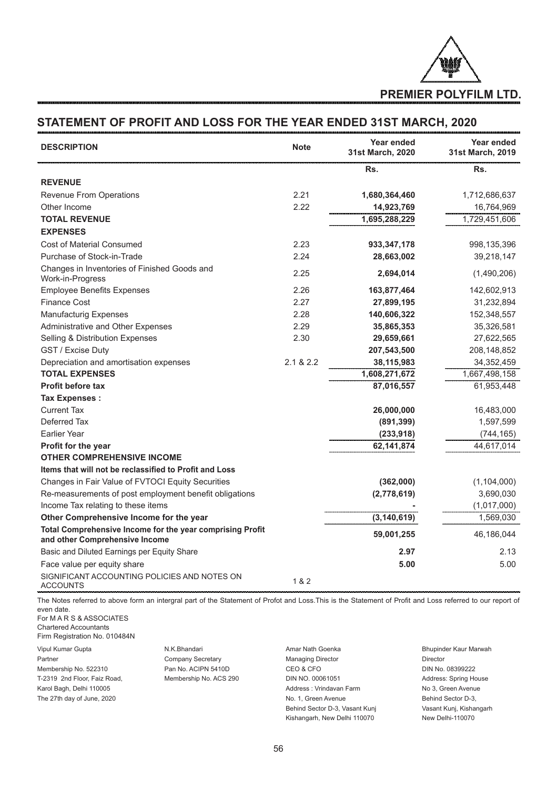

### **STATEMENT OF PROFIT AND LOSS FOR THE YEAR ENDED 31ST MARCH, 2020**

| <b>DESCRIPTION</b>                                                                          | <b>Note</b> | Year ended<br>31st March, 2020 | Year ended<br>31st March, 2019 |
|---------------------------------------------------------------------------------------------|-------------|--------------------------------|--------------------------------|
|                                                                                             |             | Rs.                            | Rs.                            |
| <b>REVENUE</b>                                                                              |             |                                |                                |
| Revenue From Operations                                                                     | 2.21        | 1,680,364,460                  | 1,712,686,637                  |
| Other Income                                                                                | 2.22        | 14,923,769                     | 16,764,969                     |
| <b>TOTAL REVENUE</b>                                                                        |             | 1,695,288,229                  | 1,729,451,606                  |
| <b>EXPENSES</b>                                                                             |             |                                |                                |
| Cost of Material Consumed                                                                   | 2.23        | 933, 347, 178                  | 998, 135, 396                  |
| Purchase of Stock-in-Trade                                                                  | 2.24        | 28,663,002                     | 39,218,147                     |
| Changes in Inventories of Finished Goods and<br>Work-in-Progress                            | 2.25        | 2,694,014                      | (1,490,206)                    |
| <b>Employee Benefits Expenses</b>                                                           | 2.26        | 163,877,464                    | 142,602,913                    |
| Finance Cost                                                                                | 2.27        | 27,899,195                     | 31,232,894                     |
| Manufacturig Expenses                                                                       | 2.28        | 140,606,322                    | 152,348,557                    |
| Administrative and Other Expenses                                                           | 2.29        | 35,865,353                     | 35,326,581                     |
| Selling & Distribution Expenses                                                             | 2.30        | 29,659,661                     | 27,622,565                     |
| GST / Excise Dutv                                                                           |             | 207,543,500                    | 208,148,852                    |
| Depreciation and amortisation expenses                                                      | 2.1 & 2.2   | 38,115,983                     | 34, 352, 459                   |
| <b>TOTAL EXPENSES</b>                                                                       |             | 1,608,271,672                  | 1,667,498,158                  |
| Profit before tax                                                                           |             | 87,016,557                     | 61,953,448                     |
| Tax Expenses :                                                                              |             |                                |                                |
| Current Tax                                                                                 |             | 26,000,000                     | 16,483,000                     |
| Deferred Tax                                                                                |             | (891, 399)                     | 1,597,599                      |
| <b>Earlier Year</b>                                                                         |             | (233,918)                      | (744, 165)                     |
| Profit for the year                                                                         |             | 62,141,874                     | 44,617,014                     |
| <b>OTHER COMPREHENSIVE INCOME</b>                                                           |             |                                |                                |
| Items that will not be reclassified to Profit and Loss                                      |             |                                |                                |
| Changes in Fair Value of FVTOCI Equity Securities                                           |             | (362,000)                      | (1, 104, 000)                  |
| Re-measurements of post employment benefit obligations                                      |             | (2,778,619)                    | 3,690,030                      |
| Income Tax relating to these items                                                          |             |                                | (1,017,000)                    |
| Other Comprehensive Income for the year                                                     |             | (3, 140, 619)                  | 1,569,030                      |
| Total Comprehensive Income for the year comprising Profit<br>and other Comprehensive Income |             | 59,001,255                     | 46,186,044                     |
| Basic and Diluted Earnings per Equity Share                                                 |             | 2.97                           | 2.13                           |
| Face value per equity share                                                                 |             | 5.00                           | 5.00                           |
| SIGNIFICANT ACCOUNTING POLICIES AND NOTES ON<br><b>ACCOUNTS</b>                             | 1 & 2       |                                |                                |

The Notes referred to above form an intergral part of the Statement of Profot and Loss.This is the Statement of Profit and Loss referred to our report of even date.

For M A R S & ASSOCIATES Chartered Accountants Firm Registration No. 010484N

Membership No. 522310

Vipul Kumar Gupta **N.K.Bhandari Amar Nath Goenka** Amar Nath Goenka **Amar Nath Goenka** Bhupinder Kaur Marwah Company Secretary **Amar Marwah** Managing Director **Company Secretary** Managing Director Partner Company Secretary Managing Director Company Secretary Managing Director CEO & CFO<br>
Pan No. ACIPN 5410D CEO & CFO COMPACT COMPANY DIN No. 08399222 T-2319 2nd Floor, Faiz Road, Membership No. ACS 290 DIN NO. 00061051 CHA Address: Spring House Karol Bagh, Delhi 110005 **Address : Vrindavan Farm** No 3, Green Avenue No 3, Green Avenue The 27th day of June, 2020 Channel Sector D-3, Channel Sector D-3, Channel Sector D-3, Channel Sector D-3, Behind Sector D-3, Vasant Kunj Vasant Kunj, Kishangarh Kishangarh, New Delhi 110070 New Delhi-110070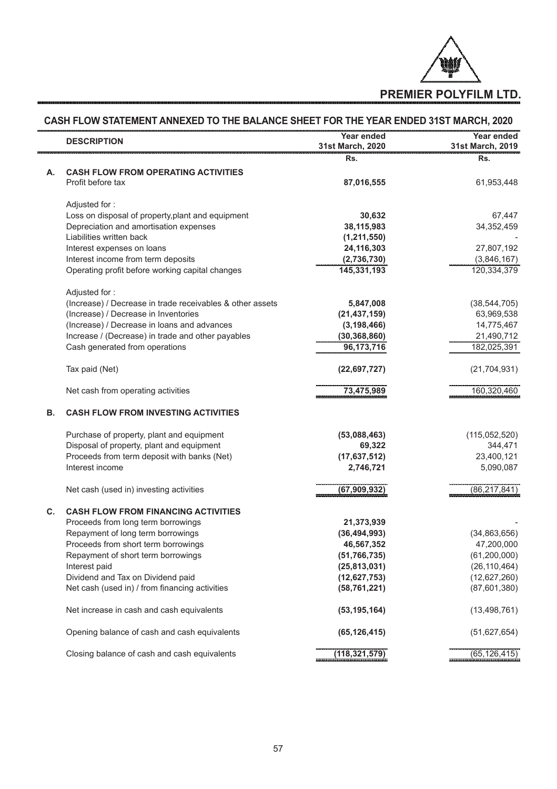

# **CASH FLOW STATEMENT ANNEXED TO THE BALANCE SHEET FOR THE YEAR ENDED 31ST MARCH, 2020**

|    | <b>DESCRIPTION</b>                                        | Year ended<br>31st March, 2020 | Year ended<br>31st March, 2019 |
|----|-----------------------------------------------------------|--------------------------------|--------------------------------|
|    |                                                           | Rs.                            | Rs.                            |
| А. | <b>CASH FLOW FROM OPERATING ACTIVITIES</b>                |                                |                                |
|    | Profit before tax                                         | 87,016,555                     | 61,953,448                     |
|    | Adjusted for:                                             |                                |                                |
|    | Loss on disposal of property, plant and equipment         | 30,632                         | 67,447                         |
|    | Depreciation and amortisation expenses                    | 38,115,983                     | 34, 352, 459                   |
|    | Liabilities written back                                  | (1, 211, 550)                  |                                |
|    | Interest expenses on loans                                | 24,116,303                     | 27,807,192                     |
|    | Interest income from term deposits                        | (2,736,730)                    | (3,846,167)                    |
|    | Operating profit before working capital changes           | 145,331,193                    | 120,334,379                    |
|    | Adjusted for:                                             |                                |                                |
|    | (Increase) / Decrease in trade receivables & other assets | 5,847,008                      | (38, 544, 705)                 |
|    | (Increase) / Decrease in Inventories                      | (21, 437, 159)                 | 63,969,538                     |
|    | (Increase) / Decrease in loans and advances               | (3, 198, 466)                  | 14,775,467                     |
|    | Increase / (Decrease) in trade and other payables         | (30, 368, 860)                 | 21,490,712                     |
|    | Cash generated from operations                            | 96,173,716                     | 182,025,391                    |
|    | Tax paid (Net)                                            | (22, 697, 727)                 | (21, 704, 931)                 |
|    | Net cash from operating activities                        | 73,475,989                     | 160,320,460                    |
| В. | <b>CASH FLOW FROM INVESTING ACTIVITIES</b>                |                                |                                |
|    | Purchase of property, plant and equipment                 | (53,088,463)                   | (115,052,520)                  |
|    | Disposal of property, plant and equipment                 | 69,322                         | 344,471                        |
|    | Proceeds from term deposit with banks (Net)               | (17, 637, 512)                 | 23,400,121                     |
|    | Interest income                                           | 2,746,721                      | 5,090,087                      |
|    | Net cash (used in) investing activities                   | (67,909,932)                   | (86, 217, 841)                 |
| C. | <b>CASH FLOW FROM FINANCING ACTIVITIES</b>                |                                |                                |
|    | Proceeds from long term borrowings                        | 21,373,939                     |                                |
|    | Repayment of long term borrowings                         | (36, 494, 993)                 | (34, 863, 656)                 |
|    | Proceeds from short term borrowings                       | 46,567,352                     | 47,200,000                     |
|    | Repayment of short term borrowings                        | (51, 766, 735)                 | (61, 200, 000)                 |
|    | Interest paid                                             | (25,813,031)                   | (26, 110, 464)                 |
|    | Dividend and Tax on Dividend paid                         | (12,627,753)                   | (12,627,260)                   |
|    | Net cash (used in) / from financing activities            | (58, 761, 221)                 | (87,601,380)                   |
|    | Net increase in cash and cash equivalents                 | (53, 195, 164)                 | (13, 498, 761)                 |
|    | Opening balance of cash and cash equivalents              | (65, 126, 415)                 | (51,627,654)                   |
|    | Closing balance of cash and cash equivalents              | (118, 321, 579)                | (65, 126, 415)                 |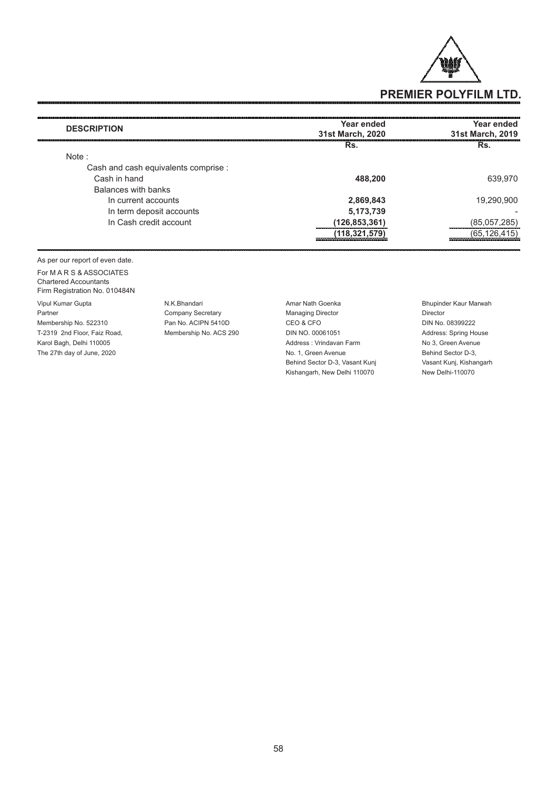

| <b>DESCRIPTION</b>                   | Year ended<br>31st March, 2020 | Year ended<br>31st March, 2019 |
|--------------------------------------|--------------------------------|--------------------------------|
|                                      | Rs.                            | Rs.                            |
| Note:                                |                                |                                |
| Cash and cash equivalents comprise : |                                |                                |
| Cash in hand                         | 488.200                        | 639.970                        |
| Balances with banks                  |                                |                                |
| In current accounts                  | 2,869,843                      | 19,290,900                     |
| In term deposit accounts             | 5,173,739                      |                                |
| In Cash credit account               | (126,853,361                   | (85,057,285)                   |
|                                      | (118.321.579)                  | (65.126.415)                   |

As per our report of even date.

For M A R S & ASSOCIATES Chartered Accountants Firm Registration No. 010484N

Vipul Kumar Gupta **M.K.Bhandari** N.K.Bhandari Amar Nath Goenka Bhupinder Kaur Marwah Bhupinder Kaur Marwah

Partner Company Secretary Managing Director Director Membership No. 522310 Pan No. ACIPN 5410D CEO & CFO CONTENT DIN No. 08399222<br>1992 T-2319 2nd Floor, Faiz Road, Membership No. ACS 290 DIN NO. 00061051 T-2319 2nd Floor, Faiz Road, Cass Membership No. ACS 290 DIN NO. 00061051 DIN NO. 100061051 Address: Spring House<br>Carol Bagh, Delhi 110005 No. 3, Green Avenue Address : Vrindavan Farm The 27th day of June, 2020 Contract the 27th day of June, 2020 Contract Avenue Behind Sector D-3, Behind Sector D-3, Vasant Kunj Vasant Kunj, Kishangarh<br>Kishangarh, New Delhi 110070 New Delhi-110070 Kishangarh, New Delhi 110070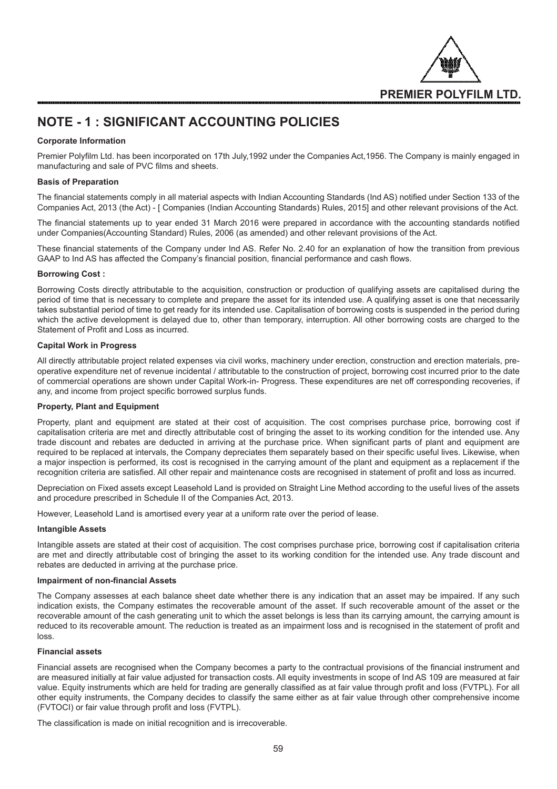

# **NOTE - 1 : SIGNIFICANT ACCOUNTING POLICIES**

#### **Corporate Information**

Premier Polyfilm Ltd. has been incorporated on 17th July,1992 under the Companies Act,1956. The Company is mainly engaged in manufacturing and sale of PVC films and sheets.

#### **Basis of Preparation**

The financial statements comply in all material aspects with Indian Accounting Standards (Ind AS) notified under Section 133 of the Companies Act, 2013 (the Act) - [ Companies (Indian Accounting Standards) Rules, 2015] and other relevant provisions of the Act.

The financial statements up to year ended 31 March 2016 were prepared in accordance with the accounting standards notified under Companies(Accounting Standard) Rules, 2006 (as amended) and other relevant provisions of the Act.

These financial statements of the Company under Ind AS. Refer No. 2.40 for an explanation of how the transition from previous GAAP to Ind AS has affected the Company's financial position, financial performance and cash flows.

#### **Borrowing Cost :**

Borrowing Costs directly attributable to the acquisition, construction or production of qualifying assets are capitalised during the period of time that is necessary to complete and prepare the asset for its intended use. A qualifying asset is one that necessarily takes substantial period of time to get ready for its intended use. Capitalisation of borrowing costs is suspended in the period during which the active development is delayed due to, other than temporary, interruption. All other borrowing costs are charged to the Statement of Profit and Loss as incurred.

#### **Capital Work in Progress**

All directly attributable project related expenses via civil works, machinery under erection, construction and erection materials, preoperative expenditure net of revenue incidental / attributable to the construction of project, borrowing cost incurred prior to the date of commercial operations are shown under Capital Work-in- Progress. These expenditures are net off corresponding recoveries, if any, and income from project specific borrowed surplus funds.

#### **Property, Plant and Equipment**

Property, plant and equipment are stated at their cost of acquisition. The cost comprises purchase price, borrowing cost if capitalisation criteria are met and directly attributable cost of bringing the asset to its working condition for the intended use. Any trade discount and rebates are deducted in arriving at the purchase price. When significant parts of plant and equipment are required to be replaced at intervals, the Company depreciates them separately based on their specific useful lives. Likewise, when a major inspection is performed, its cost is recognised in the carrying amount of the plant and equipment as a replacement if the recognition criteria are satisfied. All other repair and maintenance costs are recognised in statement of profit and loss as incurred.

Depreciation on Fixed assets except Leasehold Land is provided on Straight Line Method according to the useful lives of the assets and procedure prescribed in Schedule II of the Companies Act, 2013.

However, Leasehold Land is amortised every year at a uniform rate over the period of lease.

#### **Intangible Assets**

Intangible assets are stated at their cost of acquisition. The cost comprises purchase price, borrowing cost if capitalisation criteria are met and directly attributable cost of bringing the asset to its working condition for the intended use. Any trade discount and rebates are deducted in arriving at the purchase price.

#### **Impairment of non-financial Assets**

The Company assesses at each balance sheet date whether there is any indication that an asset may be impaired. If any such indication exists, the Company estimates the recoverable amount of the asset. If such recoverable amount of the asset or the recoverable amount of the cash generating unit to which the asset belongs is less than its carrying amount, the carrying amount is reduced to its recoverable amount. The reduction is treated as an impairment loss and is recognised in the statement of profit and loss.

#### **Financial assets**

Financial assets are recognised when the Company becomes a party to the contractual provisions of the financial instrument and are measured initially at fair value adjusted for transaction costs. All equity investments in scope of Ind AS 109 are measured at fair value. Equity instruments which are held for trading are generally classified as at fair value through profit and loss (FVTPL). For all other equity instruments, the Company decides to classify the same either as at fair value through other comprehensive income (FVTOCI) or fair value through profit and loss (FVTPL).

The classification is made on initial recognition and is irrecoverable.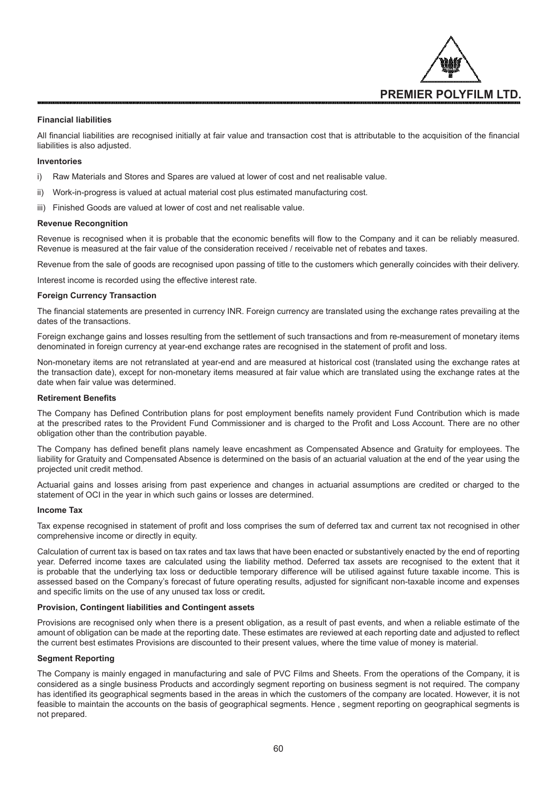

#### **Financial liabilities**

All financial liabilities are recognised initially at fair value and transaction cost that is attributable to the acquisition of the financial liabilities is also adjusted.

#### **Inventories**

- i) Raw Materials and Stores and Spares are valued at lower of cost and net realisable value.
- ii) Work-in-progress is valued at actual material cost plus estimated manufacturing cost.
- iii) Finished Goods are valued at lower of cost and net realisable value.

#### **Revenue Recongnition**

Revenue is recognised when it is probable that the economic benefits will flow to the Company and it can be reliably measured. Revenue is measured at the fair value of the consideration received / receivable net of rebates and taxes.

Revenue from the sale of goods are recognised upon passing of title to the customers which generally coincides with their delivery.

Interest income is recorded using the effective interest rate.

#### **Foreign Currency Transaction**

The financial statements are presented in currency INR. Foreign currency are translated using the exchange rates prevailing at the dates of the transactions.

Foreign exchange gains and losses resulting from the settlement of such transactions and from re-measurement of monetary items denominated in foreign currency at year-end exchange rates are recognised in the statement of profit and loss.

Non-monetary items are not retranslated at year-end and are measured at historical cost (translated using the exchange rates at the transaction date), except for non-monetary items measured at fair value which are translated using the exchange rates at the date when fair value was determined.

#### **Retirement Benefits**

The Company has Defined Contribution plans for post employment benefits namely provident Fund Contribution which is made at the prescribed rates to the Provident Fund Commissioner and is charged to the Profit and Loss Account. There are no other obligation other than the contribution payable.

The Company has defined benefit plans namely leave encashment as Compensated Absence and Gratuity for employees. The liability for Gratuity and Compensated Absence is determined on the basis of an actuarial valuation at the end of the year using the projected unit credit method.

Actuarial gains and losses arising from past experience and changes in actuarial assumptions are credited or charged to the statement of OCI in the year in which such gains or losses are determined.

#### **Income Tax**

Tax expense recognised in statement of profit and loss comprises the sum of deferred tax and current tax not recognised in other comprehensive income or directly in equity.

Calculation of current tax is based on tax rates and tax laws that have been enacted or substantively enacted by the end of reporting year. Deferred income taxes are calculated using the liability method. Deferred tax assets are recognised to the extent that it is probable that the underlying tax loss or deductible temporary difference will be utilised against future taxable income. This is assessed based on the Company's forecast of future operating results, adjusted for significant non-taxable income and expenses and specific limits on the use of any unused tax loss or credit**.**

#### **Provision, Contingent liabilities and Contingent assets**

Provisions are recognised only when there is a present obligation, as a result of past events, and when a reliable estimate of the amount of obligation can be made at the reporting date. These estimates are reviewed at each reporting date and adjusted to reflect the current best estimates Provisions are discounted to their present values, where the time value of money is material.

#### **Segment Reporting**

The Company is mainly engaged in manufacturing and sale of PVC Films and Sheets. From the operations of the Company, it is considered as a single business Products and accordingly segment reporting on business segment is not required. The company has identified its geographical segments based in the areas in which the customers of the company are located. However, it is not feasible to maintain the accounts on the basis of geographical segments. Hence , segment reporting on geographical segments is not prepared.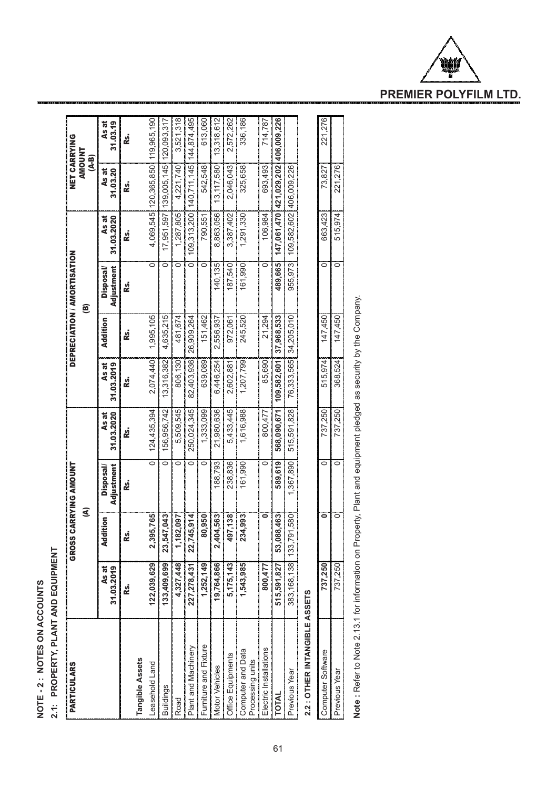# NOTE - 2 : NOTES ON ACCOUNTS **NOTE - 2 : NOTES ON ACCOUNTS**

# 2.1: PROPERTY, PLANT AND EQUIPMENT **2.1: PROPERTY, PLANT AND EQUIPMENT**

| <b>PARTICULARS</b>                    |                     | GROSS CARRYING AMOUNT   |                        |                     |                                    |                       | DEPRECIATION / AMORTISATION |                         | <b>NET CARRYING</b>                           |                   |
|---------------------------------------|---------------------|-------------------------|------------------------|---------------------|------------------------------------|-----------------------|-----------------------------|-------------------------|-----------------------------------------------|-------------------|
|                                       |                     | ₹                       |                        |                     |                                    |                       | ๏                           |                         | <b>AMOUNT</b><br>$(A-B)$                      |                   |
|                                       | 31.03.2019<br>As at | Addition                | Adjustment<br>Disposal | 31.03.2020<br>As at | As at<br>31.03.2019                | Addition              | Adjustment<br>Disposal      | As at<br>31.03.2020     | As at<br>31.03.20                             | As at<br>31.03.19 |
|                                       | es.                 | ė.                      | œ.                     | ė.                  | ė.                                 | ខ្ចុំ                 | ė.                          | es.                     | ė                                             | ė.                |
| Tangible Assets                       |                     |                         |                        |                     |                                    |                       |                             |                         |                                               |                   |
| Leasehold Land                        | 122,039,629         | 2,395,765               | $\overline{\circ}$     | 124,435,394         | 2.074.440                          | 1,995,105             | ö                           |                         | 4,069,545 120,365,850 119,965,190             |                   |
| <b>Buildings</b>                      | 133,409,699         | 23,547,043              | ö                      | 156,956,742         | 13,316,382                         | 4,635,215             |                             |                         | 17, 951, 597   139, 005, 145   120, 093, 317  |                   |
| Road                                  | 4,327,448           | 1,182,097               | ៊                      | 5,509,545           | 806,130                            | 481,674               | 5                           | 1,287,805               | 4,221,740                                     | 3,521,318         |
| Plant and Machinery                   | 227,278,431         | 22,745,914              | $\circ$                | 250,024,345         |                                    | 82,403,936 26,909,264 |                             |                         | 109, 313, 200   140, 711, 145   144, 874, 495 |                   |
| Furniture and Fixture                 | 1,252,149           | 80,950                  | ö                      | 1,333,099           | 639,089                            | 151,462               | ö                           | 790,551                 | 542,548                                       | 613,060           |
| Motor Vehicles                        | 19,764,866          | 2,404,563               | 188,793                | 21,980,636          | 6,446,254                          | 2,556,937             | 140, 135                    | 8,863,056               | 13,117,580                                    | 13,318,612        |
| Office Equipments                     | 5,175,143           | 497,138                 | 238,836                | 5,433,445           | 2,602,881                          | 972,06'               | 187,540                     | 3,387,402               | 2,046,043                                     | 2,572,262         |
| Computer and Data<br>Processing units | 1,543,985           | 234,993                 | 161,990                | 1,616,988           | ,207,799                           | 245,520               | 161,990                     | 1,291,330               | 325,658                                       | 336,186           |
| Electric Installations                | 800,477             |                         | Ö                      | 800,477             | 85,690                             | 21,294                | ö                           | 106,984                 | 693,493                                       | 714,787           |
| TOTAL                                 | 515,591,827         | 53,088,463              | 589,619                |                     | 568,090,671 109,582,601 37,968,533 |                       | 489,665                     |                         | 147, 061, 470 421, 029, 202 406, 009, 226     |                   |
| Previous Year                         |                     | 383,168,138 133,791,580 | 1,367,890              | 515,591,828         |                                    | 76,333,565 34,205,010 | 955,973                     | 109,582,602 406,009,226 |                                               |                   |
| <b>2.2 : OTHER INTANGIBLE ASSETS</b>  |                     |                         |                        |                     |                                    |                       |                             |                         |                                               |                   |

| to bit was not the the the till the side of the side of the side of the side of the side of the side of the side of the side of the side of the side of the side of the side of the side of the side of the side of the side o<br>ottware<br>g<br>Compu | 737,250         | ៑ | 737,250 | 515.974 | 47,450 |   | 663,423 | 73,827  | 221,276 |
|---------------------------------------------------------------------------------------------------------------------------------------------------------------------------------------------------------------------------------------------------------|-----------------|---|---------|---------|--------|---|---------|---------|---------|
| Year<br>l<br>j<br>ś<br>rev<br>I                                                                                                                                                                                                                         | 250<br>727<br>5 | ៑ | 737,250 | 368,524 | 47,450 | ። | 515.974 | 221,276 |         |
|                                                                                                                                                                                                                                                         |                 |   |         |         |        |   |         |         |         |

Note : Refer to Note 2.13.1 for information on Property, Plant and equipment pledged as security by the Company. **Note :** Refer to Note 2.13.1 for information on Property, Plant and equipment pledged as security by the Company.

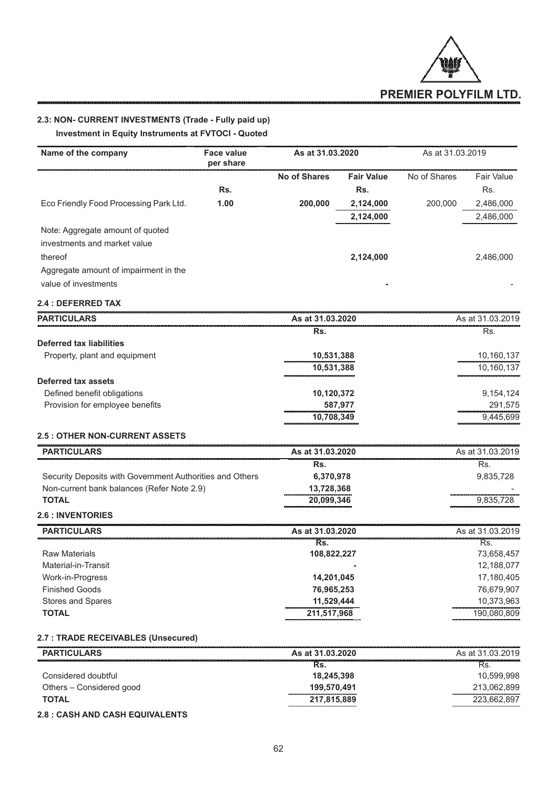

#### **2.3: NON- CURRENT INVESTMENTS (Trade - Fully paid up) Investment in Equity Instruments at FVTOCI - Quoted**

| Name of the company                                      | <b>Face value</b><br>per share | As at 31.03.2020         |                   | As at 31.03.2019 |                          |
|----------------------------------------------------------|--------------------------------|--------------------------|-------------------|------------------|--------------------------|
|                                                          |                                | <b>No of Shares</b>      | <b>Fair Value</b> | No of Shares     | Fair Value               |
|                                                          | Rs.                            |                          | Rs.               |                  | Rs.                      |
| Eco Friendly Food Processing Park Ltd.                   | 1.00                           | 200,000                  | 2,124,000         | 200,000          | 2,486,000                |
|                                                          |                                |                          | 2,124,000         |                  | 2,486,000                |
| Note: Aggregate amount of quoted                         |                                |                          |                   |                  |                          |
| investments and market value                             |                                |                          |                   |                  |                          |
| thereof                                                  |                                |                          | 2,124,000         |                  | 2,486,000                |
| Aggregate amount of impairment in the                    |                                |                          |                   |                  |                          |
| value of investments                                     |                                |                          |                   |                  |                          |
| 2.4 : DEFERRED TAX                                       |                                |                          |                   |                  |                          |
| <b>PARTICULARS</b>                                       |                                | As at 31.03.2020         |                   |                  | As at 31.03.2019         |
|                                                          |                                | Rs.                      |                   |                  | Rs.                      |
| <b>Deferred tax liabilities</b>                          |                                |                          |                   |                  |                          |
| Property, plant and equipment                            |                                | 10,531,388               |                   |                  | 10,160,137               |
|                                                          |                                | 10,531,388               |                   |                  | 10,160,137               |
| Deferred tax assets                                      |                                |                          |                   |                  |                          |
| Defined benefit obligations                              |                                | 10,120,372               |                   |                  | 9,154,124                |
| Provision for employee benefits                          |                                |                          | 587,977           |                  | 291,575                  |
|                                                          |                                | 10,708,349               |                   |                  | 9,445,699                |
| 2.5 : OTHER NON-CURRENT ASSETS                           |                                |                          |                   |                  |                          |
| <b>PARTICULARS</b>                                       |                                | As at 31.03.2020         |                   |                  | As at 31.03.2019         |
|                                                          |                                | Rs.                      |                   |                  | Rs.                      |
| Security Deposits with Government Authorities and Others |                                | 6,370,978                |                   |                  | 9,835,728                |
| Non-current bank balances (Refer Note 2.9)               |                                | 13,728,368               |                   |                  |                          |
| <b>TOTAL</b>                                             |                                | 20,099,346               |                   |                  | 9,835,728                |
| <b>2.6 : INVENTORIES</b>                                 |                                |                          |                   |                  |                          |
| <b>PARTICULARS</b>                                       |                                | As at 31.03.2020         |                   |                  | As at 31.03.2019         |
|                                                          |                                | Rs.                      |                   |                  | Rs.                      |
| <b>Raw Materials</b>                                     |                                | 108,822,227              |                   |                  | 73,658,457               |
| Material-in-Transit<br>Work-in-Progress                  |                                |                          |                   |                  | 12,188,077               |
| <b>Finished Goods</b>                                    |                                | 14,201,045<br>76,965,253 |                   |                  | 17,180,405<br>76,679,907 |
| Stores and Spares                                        |                                | 11,529,444               |                   |                  | 10,373,963               |
| <b>TOTAL</b>                                             |                                | 211,517,968              |                   |                  | 190,080,809              |
|                                                          |                                |                          |                   |                  |                          |
| 2.7 : TRADE RECEIVABLES (Unsecured)                      |                                |                          |                   |                  |                          |
| <b>PARTICULARS</b>                                       |                                | As at 31.03.2020         |                   |                  | As at 31.03.2019         |
|                                                          |                                | Rs.                      |                   |                  | $\overline{\text{Rs}}$ . |
| Considered doubtful                                      |                                | 18,245,398               |                   |                  | 10,599,998               |
| Others - Considered good                                 |                                | 199,570,491              |                   |                  | 213,062,899              |

**2.8 : CASH AND CASH EQUIVALENTS**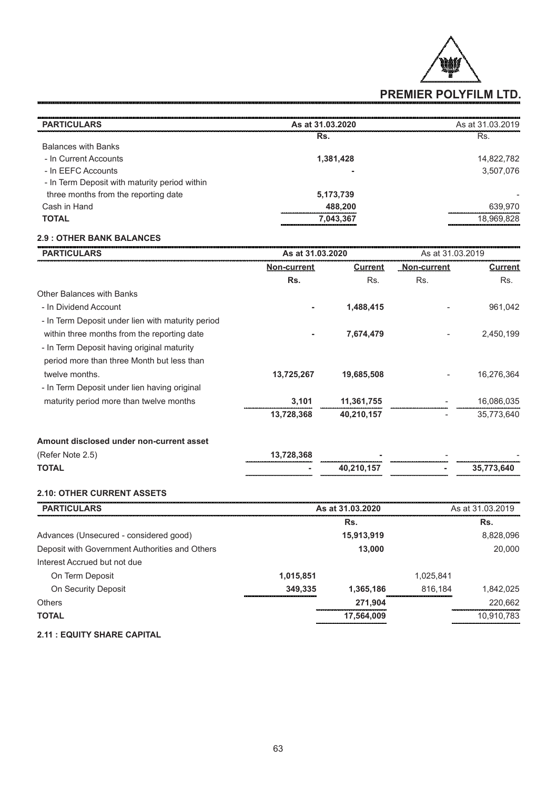

| <b>PARTICULARS</b>                            | As at 31.03.2020 | As at 31.03.2019 |
|-----------------------------------------------|------------------|------------------|
|                                               | Rs.              | Rs.              |
| <b>Balances with Banks</b>                    |                  |                  |
| - In Current Accounts                         | 1,381,428        | 14,822,782       |
| - In EEFC Accounts                            |                  | 3.507.076        |
| - In Term Deposit with maturity period within |                  |                  |
| three months from the reporting date          | 5,173,739        |                  |
| Cash in Hand                                  | 488.200          |                  |
| <b>TOTAL</b>                                  |                  |                  |

#### **2.9 : OTHER BANK BALANCES**

| <b>PARTICULARS</b>                                | As at 31.03.2020   |                | As at 31.03.2019 |                |
|---------------------------------------------------|--------------------|----------------|------------------|----------------|
|                                                   | <b>Non-current</b> | <b>Current</b> | Non-current      | <b>Current</b> |
|                                                   | Rs.                | Rs.            | Rs.              | Rs.            |
| Other Balances with Banks                         |                    |                |                  |                |
| - In Dividend Account                             |                    | 1,488,415      |                  | 961,042        |
| - In Term Deposit under lien with maturity period |                    |                |                  |                |
| within three months from the reporting date       |                    | 7,674,479      |                  | 2,450,199      |
| - In Term Deposit having original maturity        |                    |                |                  |                |
| period more than three Month but less than        |                    |                |                  |                |
| twelve months.                                    | 13,725,267         | 19,685,508     |                  | 16,276,364     |
| - In Term Deposit under lien having original      |                    |                |                  |                |
| maturity period more than twelve months           | 3,101              | 11,361,755     |                  | 16,086,035     |
|                                                   | 13,728,368         | 40,210,157     |                  | 35,773,640     |
| Amount disclosed under non-current asset          |                    |                |                  |                |
| (Refer Note 2.5)                                  | 13,728,368         |                |                  |                |
| <b>TOTAL</b>                                      |                    | 40,210,157     |                  | 35.773.640     |

#### **2.10: OTHER CURRENT ASSETS**

| <b>PARTICULARS</b>                             |           | As at 31.03.2020 |           | As at 31,03,2019 |
|------------------------------------------------|-----------|------------------|-----------|------------------|
|                                                |           | Rs.              |           | Rs.              |
| Advances (Unsecured - considered good)         |           | 15,913,919       |           | 8,828,096        |
| Deposit with Government Authorities and Others |           | 13,000           |           | 20,000           |
| Interest Accrued but not due                   |           |                  |           |                  |
| On Term Deposit                                | 1,015,851 |                  | 1.025.841 |                  |
| On Security Deposit                            | 349.335   | 1,365,186        | 816.184   | 1.842.025        |
| <b>Others</b>                                  |           | 271.904          |           | 220.662          |
| <b>TOTAL</b>                                   |           | 17,564,009       |           | 10.910.783       |

**2.11 : EQUITY SHARE CAPITAL**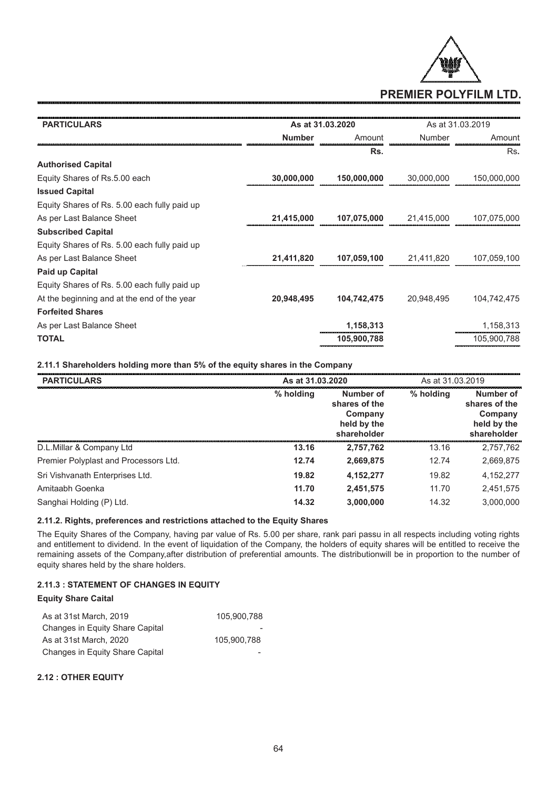

# **PREMIER POLYFILM LTD.**

| <b>PARTICULARS</b>                           | As at 31.03.2020 |             | As at 31.03.2019 |             |
|----------------------------------------------|------------------|-------------|------------------|-------------|
|                                              | <b>Number</b>    | Amount      | Number           | Amount      |
|                                              |                  | Rs.         |                  | Rs.         |
| <b>Authorised Capital</b>                    |                  |             |                  |             |
| Equity Shares of Rs.5.00 each                | 30,000,000       | 150,000,000 | 30,000,000       | 150,000,000 |
| <b>Issued Capital</b>                        |                  |             |                  |             |
| Equity Shares of Rs. 5.00 each fully paid up |                  |             |                  |             |
| As per Last Balance Sheet                    | 21,415,000       | 107,075,000 | 21,415,000       | 107,075,000 |
| <b>Subscribed Capital</b>                    |                  |             |                  |             |
| Equity Shares of Rs. 5.00 each fully paid up |                  |             |                  |             |
| As per Last Balance Sheet                    | 21,411,820       | 107,059,100 | 21,411,820       | 107,059,100 |
| Paid up Capital                              |                  |             |                  |             |
| Equity Shares of Rs. 5.00 each fully paid up |                  |             |                  |             |
| At the beginning and at the end of the year  | 20,948,495       | 104,742,475 | 20.948.495       | 104.742.475 |
| <b>Forfeited Shares</b>                      |                  |             |                  |             |
| As per Last Balance Sheet                    |                  | 1,158,313   |                  | 1,158,313   |
| <b>TOTAL</b>                                 |                  | 105.900.788 |                  | 105.900.788 |

#### **2.11.1 Shareholders holding more than 5% of the equity shares in the Company**

| <b>PARTICULARS</b>                    | As at 31.03.2020 |                                                                     | As at 31.03.2019 |                                                                     |
|---------------------------------------|------------------|---------------------------------------------------------------------|------------------|---------------------------------------------------------------------|
|                                       | % holding        | Number of<br>shares of the<br>Company<br>held by the<br>shareholder | % holding        | Number of<br>shares of the<br>Company<br>held by the<br>shareholder |
| D.L.Millar & Company Ltd              | 13.16            | 2.757.762                                                           | 13.16            | 2.757.762                                                           |
| Premier Polyplast and Processors Ltd. | 12.74            | 2,669,875                                                           | 12.74            | 2.669.875                                                           |
| Sri Vishvanath Enterprises Ltd.       | 19.82            | 4,152,277                                                           | 19.82            | 4,152,277                                                           |
| Amitaabh Goenka                       | 11.70            | 2,451,575                                                           | 11.70            | 2.451.575                                                           |
| Sanghai Holding (P) Ltd.              | 14.32            | 3.000.000                                                           | 14.32            | 3.000.000                                                           |

#### **2.11.2. Rights, preferences and restrictions attached to the Equity Shares**

The Equity Shares of the Company, having par value of Rs. 5.00 per share, rank pari passu in all respects including voting rights and entitlement to dividend. In the event of liquidation of the Company, the holders of equity shares will be entitled to receive the remaining assets of the Company,after distribution of preferential amounts. The distributionwill be in proportion to the number of equity shares held by the share holders.

#### **2.11.3 : STATEMENT OF CHANGES IN EQUITY**

#### **Equity Share Caital**

| As at 31st March, 2019          | 105.900.788 |
|---------------------------------|-------------|
| Changes in Equity Share Capital |             |
| As at 31st March, 2020          | 105.900.788 |
| Changes in Equity Share Capital |             |

#### **2.12 : OTHER EQUITY**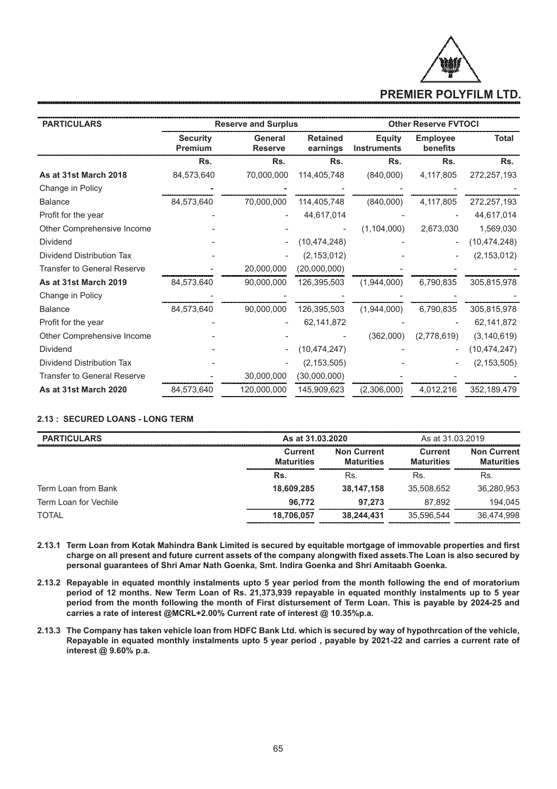

# **PREMIER POLYFILM LTD.**

| <b>PARTICULARS</b>                 |                            | <b>Reserve and Surplus</b> |                             |                              | <b>Other Reserve FVTOCI</b> |                |
|------------------------------------|----------------------------|----------------------------|-----------------------------|------------------------------|-----------------------------|----------------|
|                                    | <b>Security</b><br>Premium | General<br><b>Reserve</b>  | <b>Retained</b><br>earnings | Equity<br><b>Instruments</b> | Employee<br>benefits        | <b>Total</b>   |
|                                    | Rs.                        | Rs.                        | Rs.                         | Rs.                          | Rs.                         | Rs.            |
| As at 31st March 2018              | 84,573,640                 | 70,000,000                 | 114,405,748                 | (840,000)                    | 4,117,805                   | 272,257,193    |
| Change in Policy                   |                            |                            |                             |                              |                             |                |
| <b>Balance</b>                     | 84,573,640                 | 70,000,000                 | 114,405,748                 | (840,000)                    | 4,117,805                   | 272,257,193    |
| Profit for the year                |                            |                            | 44,617,014                  |                              |                             | 44,617,014     |
| Other Comprehensive Income         |                            |                            |                             | (1, 104, 000)                | 2,673,030                   | 1,569,030      |
| Dividend                           |                            |                            | (10, 474, 248)              |                              |                             | (10, 474, 248) |
| Dividend Distribution Tax          |                            |                            | (2, 153, 012)               |                              |                             | (2, 153, 012)  |
| <b>Transfer to General Reserve</b> |                            | 20,000,000                 | (20,000,000)                |                              |                             |                |
| As at 31st March 2019              | 84,573,640                 | 90,000,000                 | 126,395,503                 | (1,944,000)                  | 6,790,835                   | 305,815,978    |
| Change in Policy                   |                            |                            |                             |                              |                             |                |
| <b>Balance</b>                     | 84,573,640                 | 90,000,000                 | 126,395,503                 | (1,944,000)                  | 6,790,835                   | 305,815,978    |
| Profit for the year                |                            |                            | 62,141,872                  |                              |                             | 62,141,872     |
| Other Comprehensive Income         |                            |                            |                             | (362,000)                    | (2,778,619)                 | (3, 140, 619)  |
| Dividend                           |                            |                            | (10, 474, 247)              |                              |                             | (10, 474, 247) |
| Dividend Distribution Tax          |                            |                            | (2, 153, 505)               |                              |                             | (2, 153, 505)  |
| <b>Transfer to General Reserve</b> |                            | 30,000,000                 | (30,000,000)                |                              |                             |                |
| As at 31st March 2020              | 84,573,640                 | 120,000,000                | 145,909,623                 | (2,306,000)                  | 4,012,216                   | 352,189,479    |

#### **2.13 : SECURED LOANS - LONG TERM**

| <b>PARTICULARS</b>    | As at 31.03.2020             |                                         | As at 31.03.2019             |                                         |
|-----------------------|------------------------------|-----------------------------------------|------------------------------|-----------------------------------------|
|                       | Current<br><b>Maturities</b> | <b>Non Current</b><br><b>Maturities</b> | Current<br><b>Maturities</b> | <b>Non Current</b><br><b>Maturities</b> |
|                       | Rs.                          | Rs.                                     | Rs.                          | Rs.                                     |
| Term Loan from Bank   | 18.609.285                   | 38.147.158                              | 35.508.652                   | 36.280.953                              |
| Term Loan for Vechile | 96.772                       | 97.273                                  | 87.892                       | 194.045                                 |
| <b>TOTAL</b>          | 18.706.057                   | 38.244.431                              | 35.596.544                   | 36.474.998                              |

- **2.13.1 Term Loan from Kotak Mahindra Bank Limited is secured by equitable mortgage of immovable properties and first charge on all present and future current assets of the company alongwith fixed assets.The Loan is also secured by personal guarantees of Shri Amar Nath Goenka, Smt. Indira Goenka and Shri Amitaabh Goenka.**
- **2.13.2 Repayable in equated monthly instalments upto 5 year period from the month following the end of moratorium period of 12 months. New Term Loan of Rs. 21,373,939 repayable in equated monthly instalments up to 5 year period from the month following the month of First distursement of Term Loan. This is payable by 2024-25 and carries a rate of interest @MCRL+2.00% Current rate of interest @ 10.35%p.a.**
- **2.13.3 The Company has taken vehicle loan from HDFC Bank Ltd. which is secured by way of hypothrcation of the vehicle, Repayable in equated monthly instalments upto 5 year period , payable by 2021-22 and carries a current rate of interest @ 9.60% p.a.**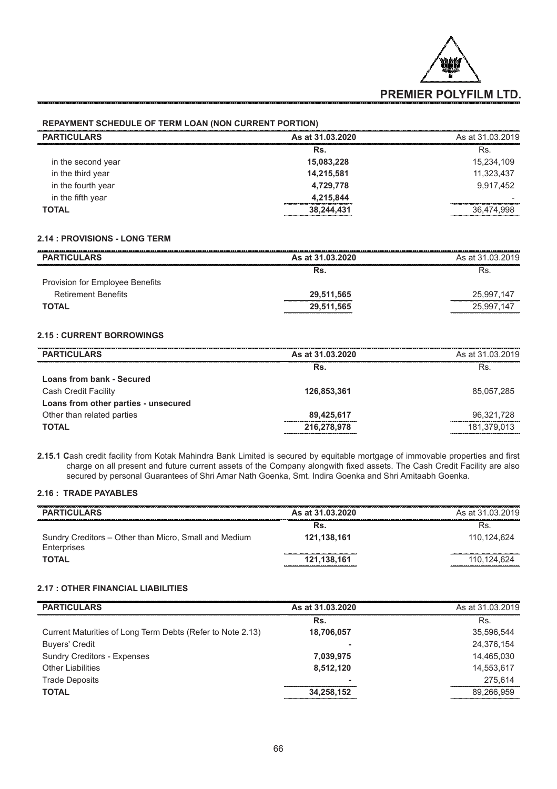

#### **REPAYMENT SCHEDULE OF TERM LOAN (NON CURRENT PORTION)**

| <b>PARTICULARS</b> | As at 31.03.2020 | As at 31.03.2019         |
|--------------------|------------------|--------------------------|
|                    | Rs.              | Rs                       |
| in the second year | 15,083,228       | 15,234,109               |
| in the third year  | 14,215,581       | 11,323,437               |
| in the fourth year | 4,729,778        | 9.917.452                |
| in the fifth year  | 4.215.844<br>    | $\overline{\phantom{0}}$ |
| <b>TOTAL</b>       | 38.244.431       |                          |

#### **2.14 : PROVISIONS - LONG TERM**

| *********<br><b>PARTICULARS</b> | As at 31.03.2020 | As at 31.03.2019 |
|---------------------------------|------------------|------------------|
|                                 | Rs.              | ≺s.              |
| Provision for Employee Benefits |                  |                  |
| <b>Retirement Benefits</b>      | 29.511.565       | 25.997.147       |
| <b>TOTAL</b>                    | 29.511.565       | 25.997.147       |

#### **2.15 : CURRENT BORROWINGS**

| <b>PARTICULARS</b>                   | As at 31.03.2020 | As at 31.03.2019 |
|--------------------------------------|------------------|------------------|
|                                      | Rs.              | Rs.              |
| Loans from bank - Secured            |                  |                  |
| Cash Credit Facility                 | 126.853.361      | 85.057.285       |
| Loans from other parties - unsecured |                  |                  |
| Other than related parties           | 89.425.617       | 96.321.728       |
| <b>TOTAL</b>                         | 216.278.978      | 181.379.013      |

**2.15.1 C**ash credit facility from Kotak Mahindra Bank Limited is secured by equitable mortgage of immovable properties and first charge on all present and future current assets of the Company alongwith fixed assets. The Cash Credit Facility are also secured by personal Guarantees of Shri Amar Nath Goenka, Smt. Indira Goenka and Shri Amitaabh Goenka.

#### **2.16 : TRADE PAYABLES**

| <b>PARTICULARS</b>                                                   | As at 31.03.2020 | As at 31.03.2019 |
|----------------------------------------------------------------------|------------------|------------------|
|                                                                      | Rs.              | Rs               |
| Sundry Creditors – Other than Micro, Small and Medium<br>Enterprises | 121.138.161      | 110.124.624      |
| <b>TOTAL</b>                                                         | 121.138.161      | 110.124.624      |

#### **2.17 : OTHER FINANCIAL LIABILITIES**

| <b>PARTICULARS</b>                                         | As at 31.03.2020 | As at 31.03.2019 |
|------------------------------------------------------------|------------------|------------------|
|                                                            | Rs.              | Rs.              |
| Current Maturities of Long Term Debts (Refer to Note 2.13) | 18.706.057       | 35.596.544       |
| <b>Buyers' Credit</b>                                      |                  | 24.376.154       |
| Sundry Creditors - Expenses                                | 7.039.975        | 14.465.030       |
| <b>Other Liabilities</b>                                   | 8.512.120        | 14.553.617       |
| <b>Trade Deposits</b>                                      |                  | 275.614          |
| <b>TOTAL</b>                                               | 34,258,152       | 89.266.959       |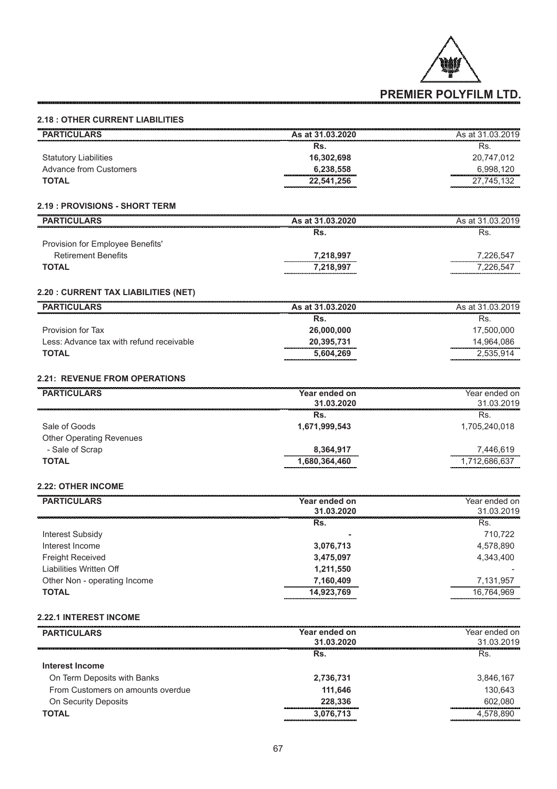

#### **2.18 : OTHER CURRENT LIABILITIES**

| <b>PARTICULARS</b>                          | As at 31.03.2020            | As at 31.03.2019            |
|---------------------------------------------|-----------------------------|-----------------------------|
|                                             | Rs.                         | Rs.                         |
| <b>Statutory Liabilities</b>                | 16,302,698                  | 20,747,012                  |
| <b>Advance from Customers</b>               | 6,238,558                   | 6,998,120                   |
| <b>TOTAL</b>                                | 22,541,256                  | 27,745,132                  |
| <b>2.19 : PROVISIONS - SHORT TERM</b>       |                             |                             |
| <b>PARTICULARS</b>                          | As at 31.03.2020            | As at 31.03.2019            |
|                                             | Rs.                         | Rs.                         |
| Provision for Employee Benefits'            |                             |                             |
| <b>Retirement Benefits</b>                  | 7,218,997                   | 7,226,547                   |
| <b>TOTAL</b>                                | 7,218,997                   | 7,226,547                   |
| <b>2.20 : CURRENT TAX LIABILITIES (NET)</b> |                             |                             |
| <b>PARTICULARS</b>                          | As at 31.03.2020            | As at 31.03.2019            |
|                                             | Rs.                         | Rs.                         |
| Provision for Tax                           | 26,000,000                  | 17,500,000                  |
| Less: Advance tax with refund receivable    | 20,395,731                  | 14,964,086                  |
| <b>TOTAL</b>                                | 5,604,269                   | 2,535,914                   |
| 2.21: REVENUE FROM OPERATIONS               |                             |                             |
| <b>PARTICULARS</b>                          | Year ended on               | Year ended on               |
|                                             | 31.03.2020                  | 31.03.2019                  |
|                                             | Rs.                         | Rs.                         |
| Sale of Goods                               | 1,671,999,543               | 1,705,240,018               |
| <b>Other Operating Revenues</b>             |                             |                             |
| - Sale of Scrap                             | 8,364,917                   | 7,446,619                   |
| <b>TOTAL</b>                                | 1,680,364,460               | 1,712,686,637               |
| <b>2.22: OTHER INCOME</b>                   |                             |                             |
| <b>PARTICULARS</b>                          | Year ended on               | Year ended on               |
|                                             | 31.03.2020<br>Rs.           | 31.03.2019<br>Rs.           |
| <b>Interest Subsidy</b>                     |                             | 710,722                     |
| Interest Income                             | 3,076,713                   | 4,578,890                   |
| <b>Freight Received</b>                     | 3,475,097                   | 4,343,400                   |
| Liabilities Written Off                     | 1,211,550                   |                             |
| Other Non - operating Income                | 7,160,409                   | 7,131,957                   |
| <b>TOTAL</b>                                | 14,923,769                  | 16,764,969                  |
|                                             |                             |                             |
| <b>2.22.1 INTEREST INCOME</b>               |                             |                             |
| <b>PARTICULARS</b>                          | Year ended on<br>31.03.2020 | Year ended on<br>31.03.2019 |
|                                             | Rs.                         | Rs.                         |
| <b>Interest Income</b>                      |                             |                             |
| On Term Deposits with Banks                 | 2,736,731                   | 3,846,167                   |
| From Customers on amounts overdue           | 111,646                     | 130,643                     |
| On Security Deposits                        | 228,336                     | 602,080                     |
| <b>TOTAL</b>                                | 3,076,713                   | 4,578,890                   |
|                                             |                             |                             |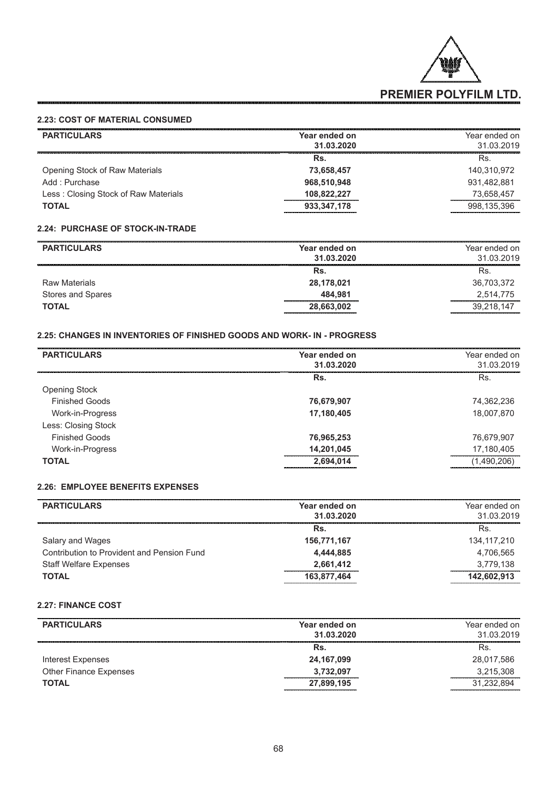

#### **2.23: COST OF MATERIAL CONSUMED**

| <b>PARTICULARS</b>                   | Year ended on<br>31.03.2020 | Year ended on<br>31.03.2019 |
|--------------------------------------|-----------------------------|-----------------------------|
|                                      | Rs.                         | Rs                          |
| Opening Stock of Raw Materials       | 73,658,457                  | 140.310.972                 |
| Add: Purchase                        | 968,510,948                 | 931,482,881                 |
| Less: Closing Stock of Raw Materials | 108.822.227                 | 73.658.457                  |
| <b>TOTAL</b>                         | 933,347,178                 | 998.135.396                 |

#### **2.24: PURCHASE OF STOCK-IN-TRADE**

| <b>PARTICULARS</b> | Year ended on<br>31.03.2020 | Year ended on<br>31.03.2019 |
|--------------------|-----------------------------|-----------------------------|
|                    | Rs.                         | Rs                          |
| Raw Materials      | 28,178,021                  | 36,703,372                  |
| Stores and Spares  | 484.981                     | 2.514.775                   |
| <b>TOTAL</b>       | 28.663.002                  | 39.218.147                  |

#### **2.25: CHANGES IN INVENTORIES OF FINISHED GOODS AND WORK- IN - PROGRESS**

| <b>PARTICULARS</b>    | Year ended on<br>31.03.2020 | Year ended on<br>31.03.2019 |
|-----------------------|-----------------------------|-----------------------------|
|                       | Rs.                         | Rs.                         |
| <b>Opening Stock</b>  |                             |                             |
| <b>Finished Goods</b> | 76,679,907                  | 74.362.236                  |
| Work-in-Progress      | 17,180,405                  | 18.007.870                  |
| Less: Closing Stock   |                             |                             |
| <b>Finished Goods</b> | 76,965,253                  | 76.679.907                  |
| Work-in-Progress      | 14,201,045                  | 17,180,405                  |
| <b>TOTAL</b>          | 2.694.014                   | (1.490.206)                 |

#### **2.26: EMPLOYEE BENEFITS EXPENSES**

| <b>PARTICULARS</b>                         | Year ended on<br>31.03.2020 | Year ended on<br>31.03.2019 |
|--------------------------------------------|-----------------------------|-----------------------------|
|                                            | Rs.                         | Rs                          |
| Salary and Wages                           | 156,771,167                 | 134, 117, 210               |
| Contribution to Provident and Pension Fund | 4,444,885                   | 4.706.565                   |
| <b>Staff Welfare Expenses</b>              | 2.661.412                   | 3.779.138                   |
| <b>TOTAL</b>                               | 163,877,464                 |                             |

#### **2.27: FINANCE COST**

| <b>PARTICULARS</b>            | Year ended on<br>31.03.2020 | Year ended on<br>31 03 2019 |
|-------------------------------|-----------------------------|-----------------------------|
|                               | Rs.                         |                             |
| Interest Expenses             | 24,167,099                  | 28,017,586                  |
| <b>Other Finance Expenses</b> | 3 732 097                   |                             |
| <b>TOTAL</b>                  | 27.899.195                  |                             |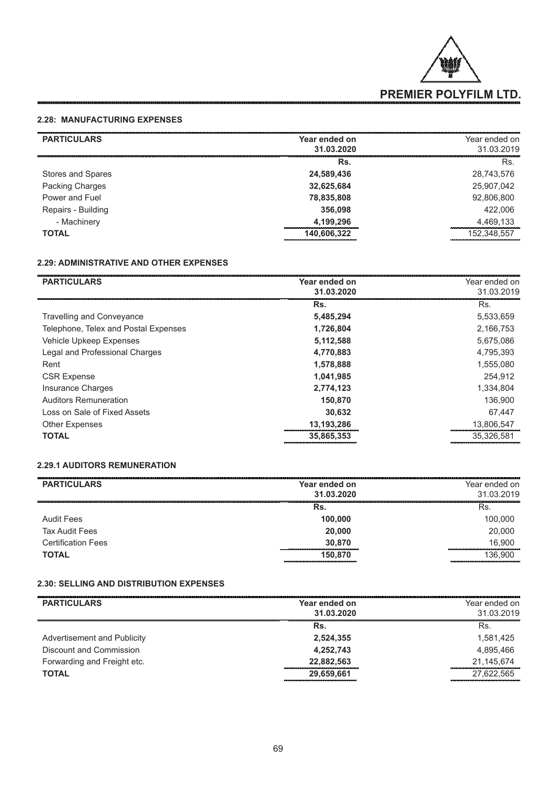

#### **2.28: MANUFACTURING EXPENSES**

| <b>PARTICULARS</b> | Year ended on<br>31.03.2020 | Year ended on<br>31.03.2019 |
|--------------------|-----------------------------|-----------------------------|
|                    | Rs.                         | Rs.                         |
| Stores and Spares  | 24.589.436                  | 28.743.576                  |
| Packing Charges    | 32.625.684                  | 25.907.042                  |
| Power and Fuel     | 78.835.808                  | 92.806.800                  |
| Repairs - Building | 356,098                     | 422,006                     |
| - Machinery        | 4,199,296                   | 4,469,133                   |
| <b>TOTAL</b>       | 140.606.322                 | 152.348.557                 |

#### **2.29: ADMINISTRATIVE AND OTHER EXPENSES**

| <b>PARTICULARS</b>                   | Year ended on | Year ended on |
|--------------------------------------|---------------|---------------|
|                                      | 31.03.2020    | 31.03.2019    |
|                                      | Rs.           | Rs.           |
| <b>Travelling and Conveyance</b>     | 5,485,294     | 5.533.659     |
| Telephone, Telex and Postal Expenses | 1.726.804     | 2.166.753     |
| <b>Vehicle Upkeep Expenses</b>       | 5,112,588     | 5.675.086     |
| Legal and Professional Charges       | 4.770.883     | 4.795.393     |
| Rent                                 | 1.578.888     | 1.555.080     |
| <b>CSR Expense</b>                   | 1.041.985     | 254.912       |
| <b>Insurance Charges</b>             | 2,774,123     | 1.334.804     |
| <b>Auditors Remuneration</b>         | 150,870       | 136,900       |
| Loss on Sale of Fixed Assets         | 30.632        | 67.447        |
| <b>Other Expenses</b>                | 13,193,286    | 13,806,547    |
| <b>TOTAL</b>                         | 35,865,353    | 35.326.581    |

#### **2.29.1 AUDITORS REMUNERATION**

| <b>PARTICULARS</b>        | Year ended on<br>31.03.2020              | Year ended on<br>31.03.2019                 |
|---------------------------|------------------------------------------|---------------------------------------------|
|                           | Rs.                                      | Rs.                                         |
| Audit Fees                | 100.000                                  | 100,000                                     |
| <b>Tax Audit Fees</b>     | 20.000                                   | 20,000                                      |
| <b>Certification Fees</b> | 30,870<br>------------------------------ | 16.900<br>--------------------------------- |
| <b>TOTAL</b>              | 150.870                                  | 136,900                                     |

#### **2.30: SELLING AND DISTRIBUTION EXPENSES**

| <b>PARTICULARS</b>          | Year ended on | Year ended on |
|-----------------------------|---------------|---------------|
|                             | 31.03.2020    | 31.03.2019    |
|                             | Rs.           | Rs.           |
| Advertisement and Publicity | 2,524,355     | 1.581.425     |
| Discount and Commission     | 4,252,743     | 4.895.466     |
| Forwarding and Freight etc. | 22.882.563    | 21.145.674    |
| <b>TOTAL</b>                | 29.659.661    | 27.622.565    |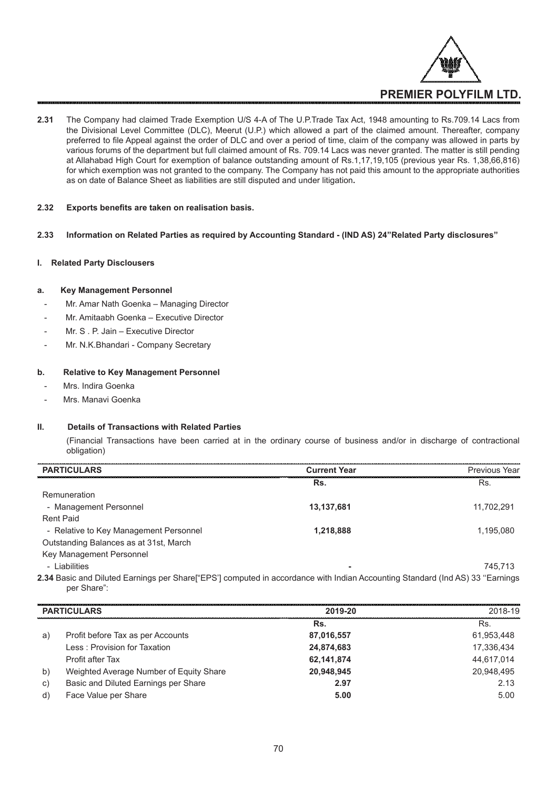

**2.31** The Company had claimed Trade Exemption U/S 4-A of The U.P.Trade Tax Act, 1948 amounting to Rs.709.14 Lacs from the Divisional Level Committee (DLC), Meerut (U.P.) which allowed a part of the claimed amount. Thereafter, company preferred to file Appeal against the order of DLC and over a period of time, claim of the company was allowed in parts by various forums of the department but full claimed amount of Rs. 709.14 Lacs was never granted. The matter is still pending at Allahabad High Court for exemption of balance outstanding amount of Rs.1,17,19,105 (previous year Rs. 1,38,66,816) for which exemption was not granted to the company. The Company has not paid this amount to the appropriate authorities as on date of Balance Sheet as liabilities are still disputed and under litigation**.**

#### **2.32 Exports benefits are taken on realisation basis.**

#### **2.33 Information on Related Parties as required by Accounting Standard - (IND AS) 24"Related Party disclosures"**

#### **I. Related Party Disclousers**

#### **a. Key Management Personnel**

- Mr. Amar Nath Goenka Managing Director
- Mr. Amitaabh Goenka Executive Director
- Mr. S . P. Jain Executive Director
- Mr. N.K.Bhandari Company Secretary

#### **b. Relative to Key Management Personnel**

- Mrs. Indira Goenka
- Mrs. Manavi Goenka

#### **II. Details of Transactions with Related Parties**

(Financial Transactions have been carried at in the ordinary course of business and/or in discharge of contractional obligation)

| <b>PARTICULARS</b>                     | <b>Current Year</b>      | Previous Year |
|----------------------------------------|--------------------------|---------------|
|                                        | Rs.                      | Rs.           |
| Remuneration                           |                          |               |
| - Management Personnel                 | 13.137.681               | 11.702.291    |
| Rent Paid                              |                          |               |
| - Relative to Key Management Personnel | 1.218.888                | 1.195.080     |
| Outstanding Balances as at 31st, March |                          |               |
| Key Management Personnel               |                          |               |
| - Liabilities                          | $\overline{\phantom{a}}$ | 745.713       |

**2.34** Basic and Diluted Earnings per Share["EPS'] computed in accordance with Indian Accounting Standard (Ind AS) 33 ''Earnings per Share":

| <b>PARTICULARS</b> |                                         | 2019-20    | 2018-19    |  |
|--------------------|-----------------------------------------|------------|------------|--|
|                    |                                         | Rs.        | Rs.        |  |
| a)                 | Profit before Tax as per Accounts       | 87,016,557 | 61.953.448 |  |
|                    | Less: Provision for Taxation            | 24.874.683 | 17.336.434 |  |
|                    | Profit after Tax                        | 62,141,874 | 44.617.014 |  |
| b)                 | Weighted Average Number of Equity Share | 20.948.945 | 20.948.495 |  |
| C)                 | Basic and Diluted Earnings per Share    | 2.97       | 2.13       |  |
| d)                 | Face Value per Share                    | 5.00       | 5.00       |  |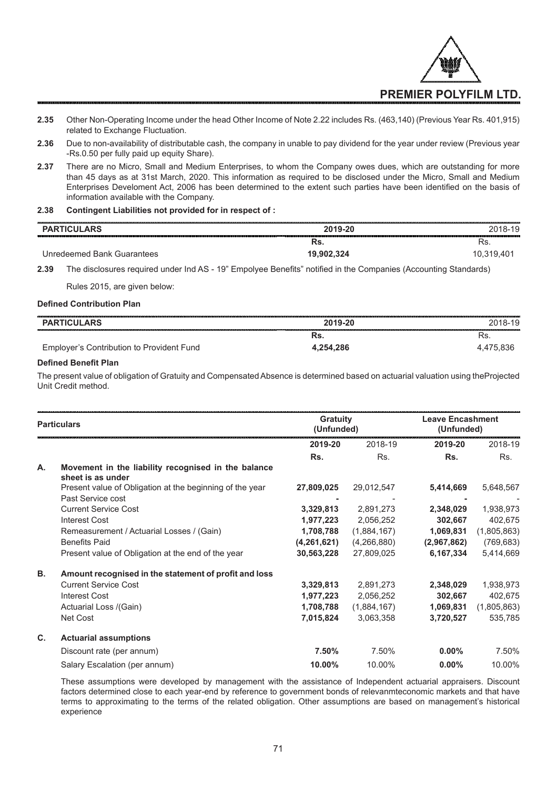

- **2.35** Other Non-Operating Income under the head Other Income of Note 2.22 includes Rs. (463,140) (Previous Year Rs. 401,915) related to Exchange Fluctuation.
- **2.36** Due to non-availability of distributable cash, the company in unable to pay dividend for the year under review (Previous year -Rs.0.50 per fully paid up equity Share).
- **2.37** There are no Micro, Small and Medium Enterprises, to whom the Company owes dues, which are outstanding for more than 45 days as at 31st March, 2020. This information as required to be disclosed under the Micro, Small and Medium Enterprises Develoment Act, 2006 has been determined to the extent such parties have been identified on the basis of information available with the Company.

#### **2.38 Contingent Liabilities not provided for in respect of :**

| <b>PARTICULARS</b><br>-------- | 19-20      | 2018-19<br>-------------        |
|--------------------------------|------------|---------------------------------|
|                                | 33         | $\overline{\phantom{a}}$<br>.כר |
| 'Jnredeemed Bank Guarantees    | 19.902.324 | 10.319.40                       |

**2.39** The disclosures required under Ind AS - 19" Empolyee Benefits" notified in the Companies (Accounting Standards)

Rules 2015, are given below:

#### **Defined Contribution Plan**

| <b>PARTICULARS</b>                        | 2019-20   |           |  |
|-------------------------------------------|-----------|-----------|--|
|                                           | κs        | Rs.       |  |
| Employer's Contribution to Provident Fund | 4.254.286 | 4.475.836 |  |

#### **Defined Benefit Plan**

The present value of obligation of Gratuity and Compensated Absence is determined based on actuarial valuation using theProjected Unit Credit method.

| <b>Particulars</b> |                                                                               | Gratuity<br>(Unfunded) |             | <b>Leave Encashment</b><br>(Unfunded) |             |
|--------------------|-------------------------------------------------------------------------------|------------------------|-------------|---------------------------------------|-------------|
|                    |                                                                               | 2019-20                | 2018-19     | 2019-20                               | 2018-19     |
|                    |                                                                               | Rs.                    | Rs.         | Rs.                                   | Rs.         |
| А.                 | Movement in the liability recognised in the balance                           |                        |             |                                       |             |
|                    | sheet is as under<br>Present value of Obligation at the beginning of the year | 27,809,025             | 29,012,547  | 5,414,669                             | 5,648,567   |
|                    | Past Service cost                                                             |                        |             |                                       |             |
|                    | <b>Current Service Cost</b>                                                   | 3,329,813              | 2,891,273   | 2,348,029                             | 1,938,973   |
|                    | <b>Interest Cost</b>                                                          | 1,977,223              | 2,056,252   | 302,667                               | 402,675     |
|                    | Remeasurement / Actuarial Losses / (Gain)                                     | 1,708,788              | (1,884,167) | 1,069,831                             | (1,805,863) |
|                    | <b>Benefits Paid</b>                                                          | (4,261,621)            | (4,266,880) | (2,967,862)                           | (769, 683)  |
|                    | Present value of Obligation at the end of the year                            | 30,563,228             | 27,809,025  | 6,167,334                             | 5,414,669   |
| В.                 | Amount recognised in the statement of profit and loss                         |                        |             |                                       |             |
|                    | <b>Current Service Cost</b>                                                   | 3,329,813              | 2.891.273   | 2,348,029                             | 1,938,973   |
|                    | <b>Interest Cost</b>                                                          | 1,977,223              | 2,056,252   | 302,667                               | 402,675     |
|                    | Actuarial Loss /(Gain)                                                        | 1,708,788              | (1,884,167) | 1,069,831                             | (1,805,863) |
|                    | Net Cost                                                                      | 7,015,824              | 3,063,358   | 3,720,527                             | 535,785     |
| C.                 | <b>Actuarial assumptions</b>                                                  |                        |             |                                       |             |
|                    | Discount rate (per annum)                                                     | 7.50%                  | 7.50%       | $0.00\%$                              | 7.50%       |
|                    | Salary Escalation (per annum)                                                 | 10.00%                 | 10.00%      | $0.00\%$                              | 10.00%      |

These assumptions were developed by management with the assistance of Independent actuarial appraisers. Discount factors determined close to each year-end by reference to government bonds of relevanmteconomic markets and that have terms to approximating to the terms of the related obligation. Other assumptions are based on management's historical experience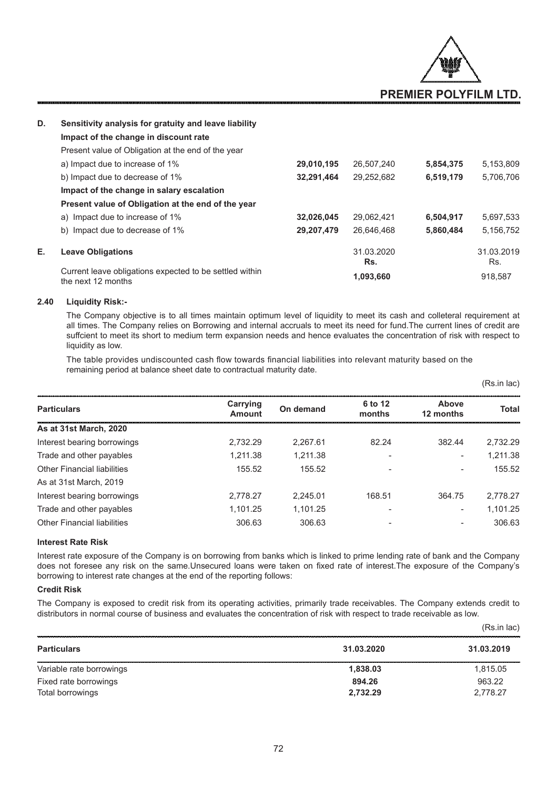

(Rs.in lac)

| D. | Sensitivity analysis for gratuity and leave liability                         |            |                   |           |                   |
|----|-------------------------------------------------------------------------------|------------|-------------------|-----------|-------------------|
|    | Impact of the change in discount rate                                         |            |                   |           |                   |
|    | Present value of Obligation at the end of the year                            |            |                   |           |                   |
|    | a) Impact due to increase of 1%                                               | 29.010.195 | 26,507,240        | 5.854.375 | 5.153.809         |
|    | b) Impact due to decrease of 1%                                               | 32,291,464 | 29.252.682        | 6,519,179 | 5.706.706         |
|    | Impact of the change in salary escalation                                     |            |                   |           |                   |
|    | Present value of Obligation at the end of the year                            |            |                   |           |                   |
|    | a) Impact due to increase of 1%                                               | 32.026.045 | 29.062.421        | 6,504,917 | 5,697,533         |
|    | b) Impact due to decrease of 1%                                               | 29.207.479 | 26.646.468        | 5.860.484 | 5.156.752         |
| Е. | <b>Leave Obligations</b>                                                      |            | 31.03.2020<br>Rs. |           | 31.03.2019<br>Rs. |
|    | Current leave obligations expected to be settled within<br>the next 12 months |            | 1.093.660         |           | 918.587           |

### **2.40 Liquidity Risk:-**

The Company objective is to all times maintain optimum level of liquidity to meet its cash and colleteral requirement at all times. The Company relies on Borrowing and internal accruals to meet its need for fund.The current lines of credit are suffcient to meet its short to medium term expansion needs and hence evaluates the concentration of risk with respect to liquidity as low.

The table provides undiscounted cash flow towards financial liabilities into relevant maturity based on the remaining period at balance sheet date to contractual maturity date.

|                                    |                    |           |                   |                          | (Rs.in lac) |
|------------------------------------|--------------------|-----------|-------------------|--------------------------|-------------|
| <b>Particulars</b>                 | Carrying<br>Amount | On demand | 6 to 12<br>months | Above<br>12 months       | Total       |
| As at 31st March, 2020             |                    |           |                   |                          |             |
| Interest bearing borrowings        | 2.732.29           | 2.267.61  | 82.24             | 382.44                   | 2.732.29    |
| Trade and other payables           | 1.211.38           | 1.211.38  |                   | $\overline{\phantom{a}}$ | 1.211.38    |
| Other Financial liabilities        | 155.52             | 155.52    |                   | $\overline{\phantom{a}}$ | 155.52      |
| As at 31st March, 2019             |                    |           |                   |                          |             |
| Interest bearing borrowings        | 2.778.27           | 2.245.01  | 168.51            | 364.75                   | 2.778.27    |
| Trade and other payables           | 1.101.25           | 1.101.25  |                   | $\overline{\phantom{a}}$ | 1.101.25    |
| <b>Other Financial liabilities</b> | 306.63             | 306.63    |                   |                          | 306.63      |

### **Interest Rate Risk**

Interest rate exposure of the Company is on borrowing from banks which is linked to prime lending rate of bank and the Company does not foresee any risk on the same.Unsecured loans were taken on fixed rate of interest.The exposure of the Company's borrowing to interest rate changes at the end of the reporting follows:

#### **Credit Risk**

The Company is exposed to credit risk from its operating activities, primarily trade receivables. The Company extends credit to distributors in normal course of business and evaluates the concentration of risk with respect to trade receivable as low.

| 31.03.2020         | 31.03.2019         |  |
|--------------------|--------------------|--|
| 1.838.03           | 1.815.05           |  |
| 894.26<br>2,732.29 | 963.22<br>2.778.27 |  |
|                    |                    |  |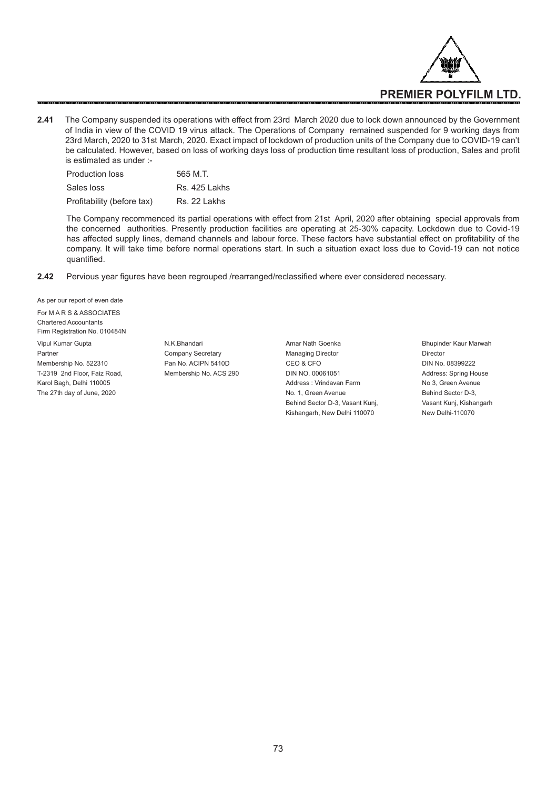

**2.41** The Company suspended its operations with effect from 23rd March 2020 due to lock down announced by the Government of India in view of the COVID 19 virus attack. The Operations of Company remained suspended for 9 working days from 23rd March, 2020 to 31st March, 2020. Exact impact of lockdown of production units of the Company due to COVID-19 can't be calculated. However, based on loss of working days loss of production time resultant loss of production, Sales and profit is estimated as under :-

| Production loss            | 565 M.T.      |
|----------------------------|---------------|
| Sales loss                 | Rs. 425 Lakhs |
| Profitability (before tax) | Rs. 22 Lakhs  |

The Company recommenced its partial operations with effect from 21st April, 2020 after obtaining special approvals from the concerned authorities. Presently production facilities are operating at 25-30% capacity. Lockdown due to Covid-19 has affected supply lines, demand channels and labour force. These factors have substantial effect on profitability of the company. It will take time before normal operations start. In such a situation exact loss due to Covid-19 can not notice quantified.

**2.42** Pervious year figures have been regrouped /rearranged/reclassified where ever considered necessary.

As per our report of even date For M A R S & ASSOCIATES Chartered Accountants Firm Registration No. 010484N Vipul Kumar Gupta Numar Numar Numar Numar Numar Nath Goenka Nath Goenka Bhupinder Kaur Marwah The 27th day of June, 2020 No. 1, Green Avenue Behind Sector D-3, Green Avenue Behind Sector D-3, Green Avenue

Partner **Company Secretary Managing Director** Director Director Membership No. 522310 Pan No. ACIPN 5410D CEO & CFO DIN No. 08399222 T-2319 2nd Floor, Faiz Road, Membership No. ACS 290 DIN NO. 00061051 Address: Spring House Karol Bagh, Delhi 110005 (Note and the Samuel Address : Vrindavan Farm No 3, Green Avenue<br>1992 - The 27th day of June: 2020 (No 3, Alexandress in the Samuel No. 1. Green Avenue Behind Sector D-3, Vasant Kunj, Vasant Kunj, Kishangarh Kishangarh, New Delhi 110070 New Delhi-110070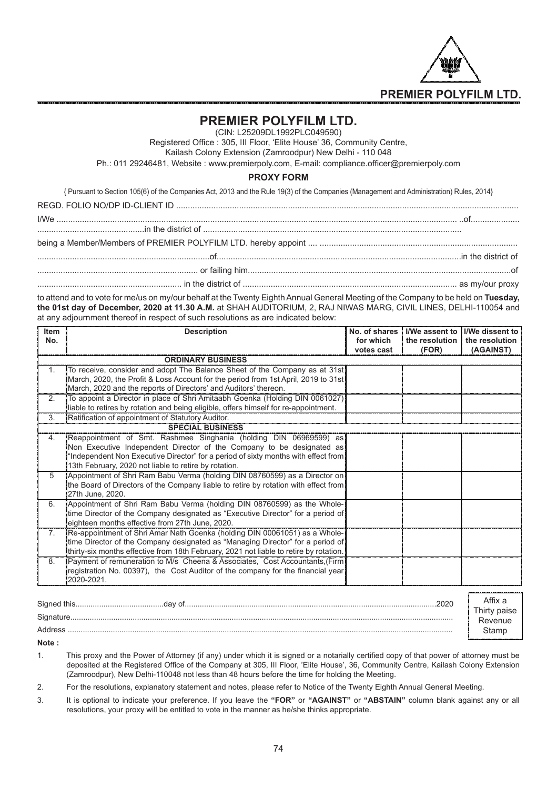

## **PREMIER POLYFILM LTD.**

(CIN: L25209DL1992PLC049590)

Registered Office : 305, III Floor, 'Elite House' 36, Community Centre,

Kailash Colony Extension (Zamroodpur) New Delhi - 110 048

Ph.: 011 29246481, Website : www.premierpoly.com, E-mail: compliance.officer@premierpoly.com

### **PROXY FORM**

{ Pursuant to Section 105(6) of the Companies Act, 2013 and the Rule 19(3) of the Companies (Management and Administration) Rules, 2014}

to attend and to vote for me/us on my/our behalf at the Twenty Eighth Annual General Meeting of the Company to be held on **Tuesday, the 01st day of December, 2020 at 11.30 A.M.** at SHAH AUDITORIUM, 2, RAJ NIWAS MARG, CIVIL LINES, DELHI-110054 and at any adjournment thereof in respect of such resolutions as are indicated below:

| Item<br>No.    | <b>Description</b>                                                                                                                                                                                                                                                                        | No. of shares<br>for which | I/We assent to<br>the resolution | I/We dissent to<br>the resolution |
|----------------|-------------------------------------------------------------------------------------------------------------------------------------------------------------------------------------------------------------------------------------------------------------------------------------------|----------------------------|----------------------------------|-----------------------------------|
|                |                                                                                                                                                                                                                                                                                           | votes cast                 | (FOR)                            | (AGAINST)                         |
|                | <b>ORDINARY BUSINESS</b>                                                                                                                                                                                                                                                                  |                            |                                  |                                   |
| 1 <sup>1</sup> | To receive, consider and adopt The Balance Sheet of the Company as at 31st<br>March, 2020, the Profit & Loss Account for the period from 1st April, 2019 to 31st<br>March, 2020 and the reports of Directors' and Auditors' thereon.                                                      |                            |                                  |                                   |
| 2.             | To appoint a Director in place of Shri Amitaabh Goenka (Holding DIN 0061027)<br>liable to retires by rotation and being eligible, offers himself for re-appointment.                                                                                                                      |                            |                                  |                                   |
| 3.             | Ratification of appointment of Statutory Auditor.                                                                                                                                                                                                                                         |                            |                                  |                                   |
|                | <b>SPECIAL BUSINESS</b>                                                                                                                                                                                                                                                                   |                            |                                  |                                   |
| 4.             | Reappointment of Smt. Rashmee Singhania (holding DIN 06969599) as<br>Non Executive Independent Director of the Company to be designated as<br>"Independent Non Executive Director" for a period of sixty months with effect from<br>13th February, 2020 not liable to retire by rotation. |                            |                                  |                                   |
| 5              | Appointment of Shri Ram Babu Verma (holding DIN 08760599) as a Director on<br>the Board of Directors of the Company liable to retire by rotation with effect from<br>27th June, 2020.                                                                                                     |                            |                                  |                                   |
| 6.             | Appointment of Shri Ram Babu Verma (holding DIN 08760599) as the Whole-<br>time Director of the Company designated as "Executive Director" for a period of<br>eighteen months effective from 27th June, 2020.                                                                             |                            |                                  |                                   |
| 7 <sub>1</sub> | Re-appointment of Shri Amar Nath Goenka (holding DIN 00061051) as a Whole-<br>time Director of the Company designated as "Managing Director" for a period of<br>thirty-six months effective from 18th February, 2021 not liable to retire by rotation.                                    |                            |                                  |                                   |
| 8.             | Payment of remuneration to M/s Cheena & Associates, Cost Accountants, (Firm<br>registration No. 00397), the Cost Auditor of the company for the financial year<br>2020-2021.                                                                                                              |                            |                                  |                                   |

| .2020            | Affix a<br>Thirty paise<br>Revenue |
|------------------|------------------------------------|
| Address<br>Note: | Stamp                              |

1. This proxy and the Power of Attorney (if any) under which it is signed or a notarially certified copy of that power of attorney must be deposited at the Registered Office of the Company at 305, III Floor, 'Elite House', 36, Community Centre, Kailash Colony Extension (Zamroodpur), New Delhi-110048 not less than 48 hours before the time for holding the Meeting.

2. For the resolutions, explanatory statement and notes, please refer to Notice of the Twenty Eighth Annual General Meeting.

3. It is optional to indicate your preference. If you leave the **"FOR"** or **"AGAINST"** or **"ABSTAIN"** column blank against any or all resolutions, your proxy will be entitled to vote in the manner as he/she thinks appropriate.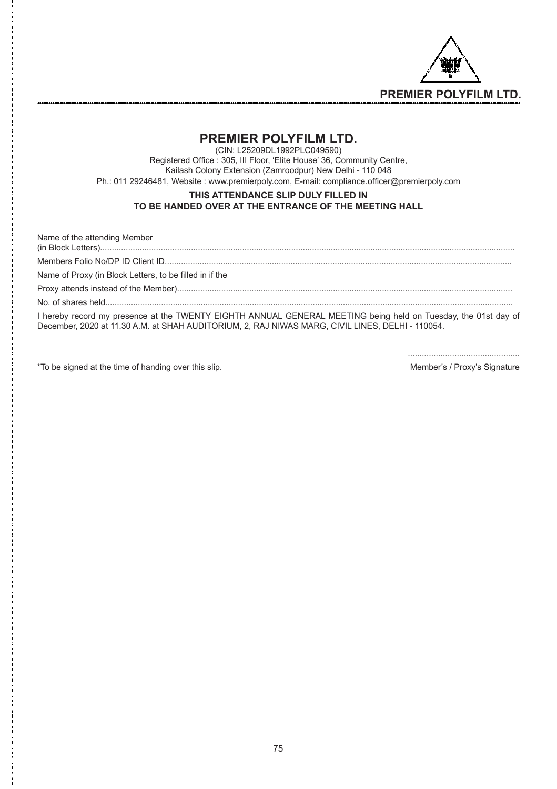

# **PREMIER POLYFILM LTD.**

(CIN: L25209DL1992PLC049590)

Registered Office : 305, III Floor, 'Elite House' 36, Community Centre, Kailash Colony Extension (Zamroodpur) New Delhi - 110 048 Ph.: 011 29246481, Website : www.premierpoly.com, E-mail: compliance.officer@premierpoly.com

### **THIS ATTENDANCE SLIP DULY FILLED IN TO BE HANDED OVER AT THE ENTRANCE OF THE MEETING HALL**

Name of the attending Member (in Block Letters).................................................................................................................................................................................. Members Folio No/DP ID Client ID..................................................................................................................................................... Name of Proxy (in Block Letters, to be filled in if the Proxy attends instead of the Member)................................................................................................................................................ No. of shares held............................................................................................................................................................................... I hereby record my presence at the TWENTY EIGHTH ANNUAL GENERAL MEETING being held on Tuesday, the 01st day of December, 2020 at 11.30 A.M. at SHAH AUDITORIUM, 2, RAJ NIWAS MARG, CIVIL LINES, DELHI - 110054.

\*To be signed at the time of handing over this slip. Member's / Proxy's Signature

................................................